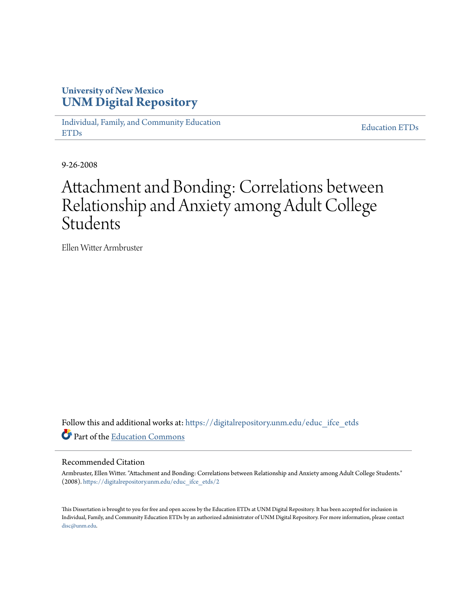# **University of New Mexico [UNM Digital Repository](https://digitalrepository.unm.edu?utm_source=digitalrepository.unm.edu%2Feduc_ifce_etds%2F2&utm_medium=PDF&utm_campaign=PDFCoverPages)**

[Individual, Family, and Community Education](https://digitalrepository.unm.edu/educ_ifce_etds?utm_source=digitalrepository.unm.edu%2Feduc_ifce_etds%2F2&utm_medium=PDF&utm_campaign=PDFCoverPages) [ETDs](https://digitalrepository.unm.edu/educ_ifce_etds?utm_source=digitalrepository.unm.edu%2Feduc_ifce_etds%2F2&utm_medium=PDF&utm_campaign=PDFCoverPages)

[Education ETDs](https://digitalrepository.unm.edu/educ_etds?utm_source=digitalrepository.unm.edu%2Feduc_ifce_etds%2F2&utm_medium=PDF&utm_campaign=PDFCoverPages)

9-26-2008

# Attachment and Bonding: Correlations between Relationship and Anxiety among Adult College Students

Ellen Witter Armbruster

Follow this and additional works at: [https://digitalrepository.unm.edu/educ\\_ifce\\_etds](https://digitalrepository.unm.edu/educ_ifce_etds?utm_source=digitalrepository.unm.edu%2Feduc_ifce_etds%2F2&utm_medium=PDF&utm_campaign=PDFCoverPages) Part of the [Education Commons](http://network.bepress.com/hgg/discipline/784?utm_source=digitalrepository.unm.edu%2Feduc_ifce_etds%2F2&utm_medium=PDF&utm_campaign=PDFCoverPages)

#### Recommended Citation

Armbruster, Ellen Witter. "Attachment and Bonding: Correlations between Relationship and Anxiety among Adult College Students." (2008). [https://digitalrepository.unm.edu/educ\\_ifce\\_etds/2](https://digitalrepository.unm.edu/educ_ifce_etds/2?utm_source=digitalrepository.unm.edu%2Feduc_ifce_etds%2F2&utm_medium=PDF&utm_campaign=PDFCoverPages)

This Dissertation is brought to you for free and open access by the Education ETDs at UNM Digital Repository. It has been accepted for inclusion in Individual, Family, and Community Education ETDs by an authorized administrator of UNM Digital Repository. For more information, please contact [disc@unm.edu](mailto:disc@unm.edu).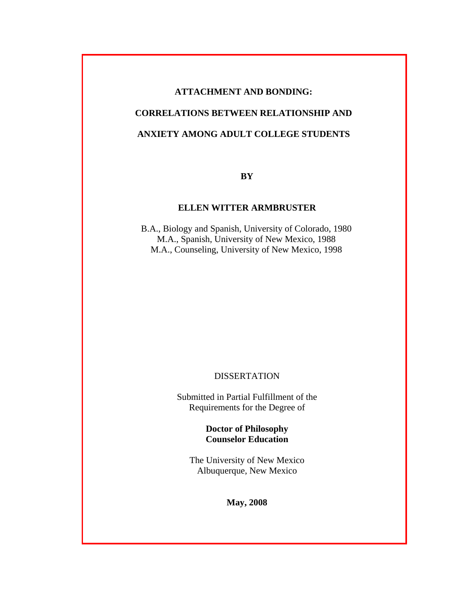# **ATTACHMENT AND BONDING:**

# **CORRELATIONS BETWEEN RELATIONSHIP AND**

# **ANXIETY AMONG ADULT COLLEGE STUDENTS**

**BY**

# **ELLEN WITTER ARMBRUSTER**

B.A., Biology and Spanish, University of Colorado, 1980 M.A., Spanish, University of New Mexico, 1988 M.A., Counseling, University of New Mexico, 1998

### DISSERTATION

Submitted in Partial Fulfillment of the Requirements for the Degree of

> **Doctor of Philosophy Counselor Education**

The University of New Mexico Albuquerque, New Mexico

**May, 2008**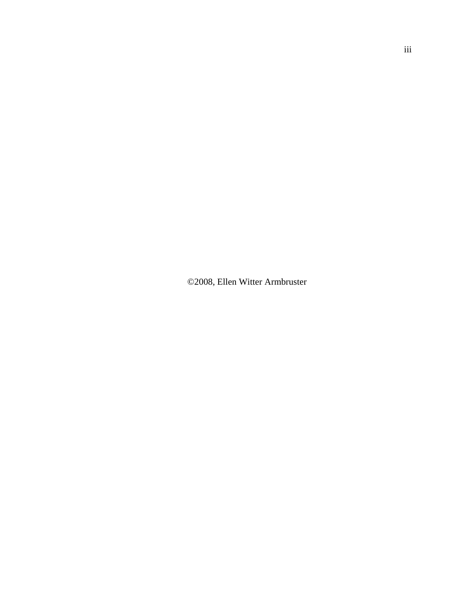©2008, Ellen Witter Armbruster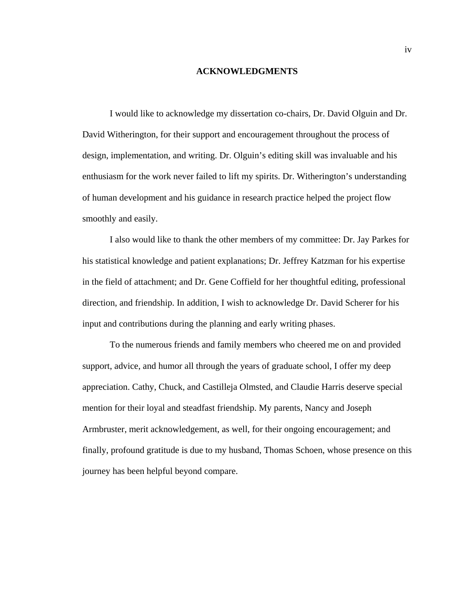#### **ACKNOWLEDGMENTS**

 I would like to acknowledge my dissertation co-chairs, Dr. David Olguin and Dr. David Witherington, for their support and encouragement throughout the process of design, implementation, and writing. Dr. Olguin's editing skill was invaluable and his enthusiasm for the work never failed to lift my spirits. Dr. Witherington's understanding of human development and his guidance in research practice helped the project flow smoothly and easily.

 I also would like to thank the other members of my committee: Dr. Jay Parkes for his statistical knowledge and patient explanations; Dr. Jeffrey Katzman for his expertise in the field of attachment; and Dr. Gene Coffield for her thoughtful editing, professional direction, and friendship. In addition, I wish to acknowledge Dr. David Scherer for his input and contributions during the planning and early writing phases.

 To the numerous friends and family members who cheered me on and provided support, advice, and humor all through the years of graduate school, I offer my deep appreciation. Cathy, Chuck, and Castilleja Olmsted, and Claudie Harris deserve special mention for their loyal and steadfast friendship. My parents, Nancy and Joseph Armbruster, merit acknowledgement, as well, for their ongoing encouragement; and finally, profound gratitude is due to my husband, Thomas Schoen, whose presence on this journey has been helpful beyond compare.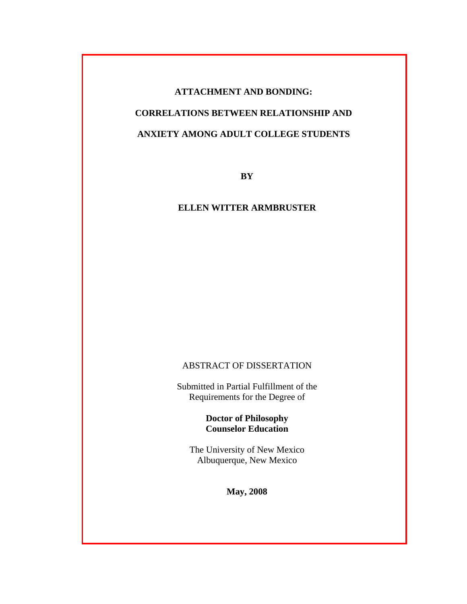# **ATTACHMENT AND BONDING: CORRELATIONS BETWEEN RELATIONSHIP AND ANXIETY AMONG ADULT COLLEGE STUDENTS**

**BY**

# **ELLEN WITTER ARMBRUSTER**

# ABSTRACT OF DISSERTATION

Submitted in Partial Fulfillment of the Requirements for the Degree of

# **Doctor of Philosophy Counselor Education**

The University of New Mexico Albuquerque, New Mexico

**May, 2008**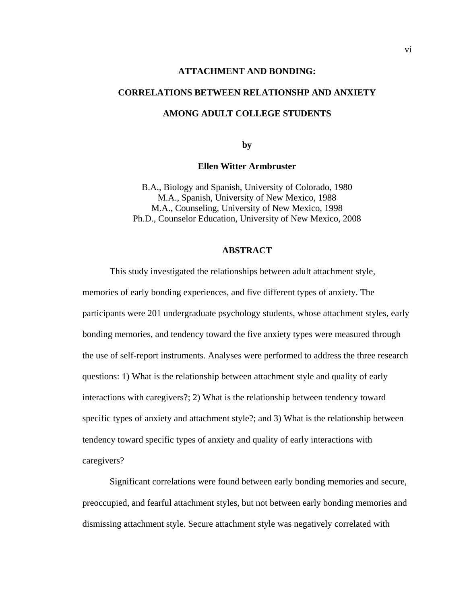#### **ATTACHMENT AND BONDING:**

# **CORRELATIONS BETWEEN RELATIONSHP AND ANXIETY**

# **AMONG ADULT COLLEGE STUDENTS**

**by** 

#### **Ellen Witter Armbruster**

B.A., Biology and Spanish, University of Colorado, 1980 M.A., Spanish, University of New Mexico, 1988 M.A., Counseling, University of New Mexico, 1998 Ph.D., Counselor Education, University of New Mexico, 2008

#### **ABSTRACT**

 This study investigated the relationships between adult attachment style, memories of early bonding experiences, and five different types of anxiety. The participants were 201 undergraduate psychology students, whose attachment styles, early bonding memories, and tendency toward the five anxiety types were measured through the use of self-report instruments. Analyses were performed to address the three research questions: 1) What is the relationship between attachment style and quality of early interactions with caregivers?; 2) What is the relationship between tendency toward specific types of anxiety and attachment style?; and 3) What is the relationship between tendency toward specific types of anxiety and quality of early interactions with caregivers?

 Significant correlations were found between early bonding memories and secure, preoccupied, and fearful attachment styles, but not between early bonding memories and dismissing attachment style. Secure attachment style was negatively correlated with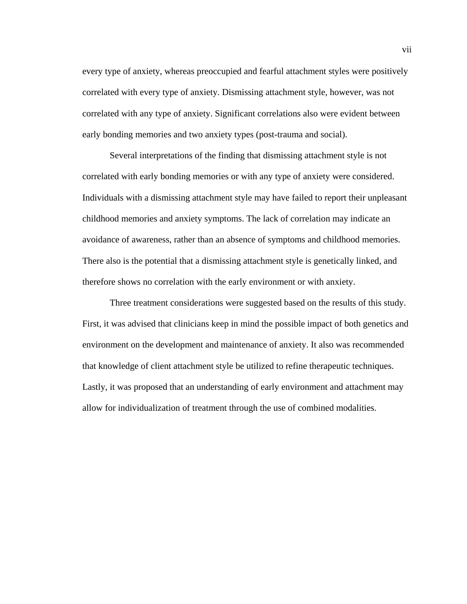every type of anxiety, whereas preoccupied and fearful attachment styles were positively correlated with every type of anxiety. Dismissing attachment style, however, was not correlated with any type of anxiety. Significant correlations also were evident between early bonding memories and two anxiety types (post-trauma and social).

 Several interpretations of the finding that dismissing attachment style is not correlated with early bonding memories or with any type of anxiety were considered. Individuals with a dismissing attachment style may have failed to report their unpleasant childhood memories and anxiety symptoms. The lack of correlation may indicate an avoidance of awareness, rather than an absence of symptoms and childhood memories. There also is the potential that a dismissing attachment style is genetically linked, and therefore shows no correlation with the early environment or with anxiety.

 Three treatment considerations were suggested based on the results of this study. First, it was advised that clinicians keep in mind the possible impact of both genetics and environment on the development and maintenance of anxiety. It also was recommended that knowledge of client attachment style be utilized to refine therapeutic techniques. Lastly, it was proposed that an understanding of early environment and attachment may allow for individualization of treatment through the use of combined modalities.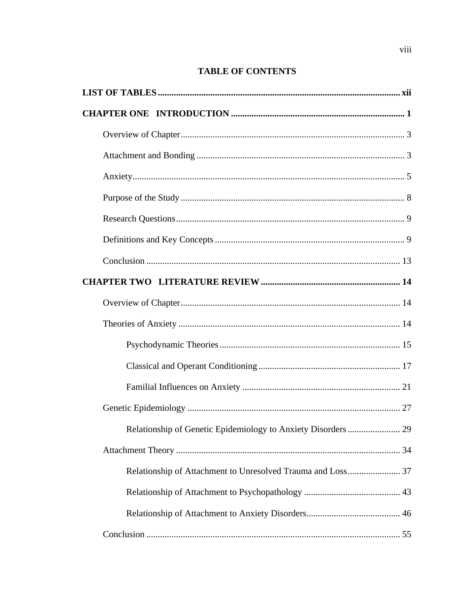# **TABLE OF CONTENTS**

| Relationship of Genetic Epidemiology to Anxiety Disorders   | 29 |
|-------------------------------------------------------------|----|
|                                                             |    |
| Relationship of Attachment to Unresolved Trauma and Loss 37 |    |
|                                                             |    |
|                                                             |    |
|                                                             |    |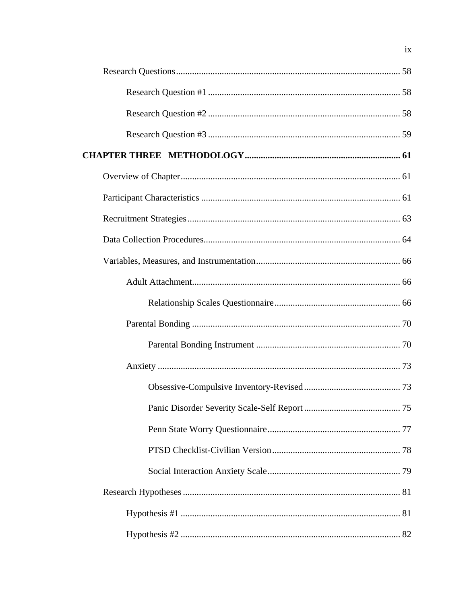$i\mathbf{x}$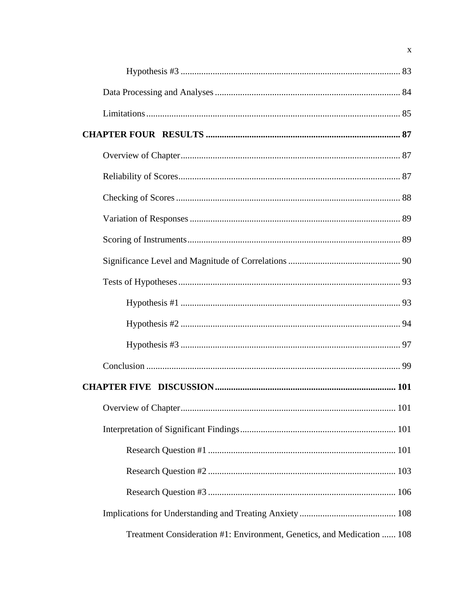| Treatment Consideration #1: Environment, Genetics, and Medication  108 |  |
|------------------------------------------------------------------------|--|

 $\mathbf X$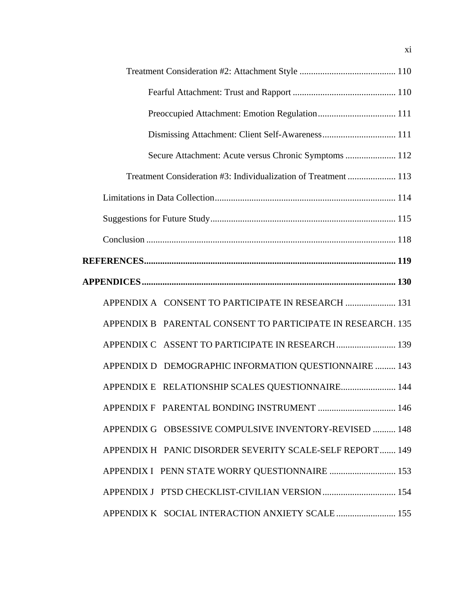| Dismissing Attachment: Client Self-Awareness 111                |
|-----------------------------------------------------------------|
| Secure Attachment: Acute versus Chronic Symptoms  112           |
| Treatment Consideration #3: Individualization of Treatment  113 |
|                                                                 |
|                                                                 |
|                                                                 |
|                                                                 |
|                                                                 |
| APPENDIX A CONSENT TO PARTICIPATE IN RESEARCH  131              |
| APPENDIX B PARENTAL CONSENT TO PARTICIPATE IN RESEARCH. 135     |
|                                                                 |
| APPENDIX D DEMOGRAPHIC INFORMATION QUESTIONNAIRE  143           |
| APPENDIX E RELATIONSHIP SCALES QUESTIONNAIRE 144                |
|                                                                 |
| APPENDIX G OBSESSIVE COMPULSIVE INVENTORY-REVISED  148          |
| APPENDIX H PANIC DISORDER SEVERITY SCALE-SELF REPORT 149        |
| APPENDIX I PENN STATE WORRY QUESTIONNAIRE  153                  |
| APPENDIX J PTSD CHECKLIST-CIVILIAN VERSION  154                 |
| APPENDIX K SOCIAL INTERACTION ANXIETY SCALE  155                |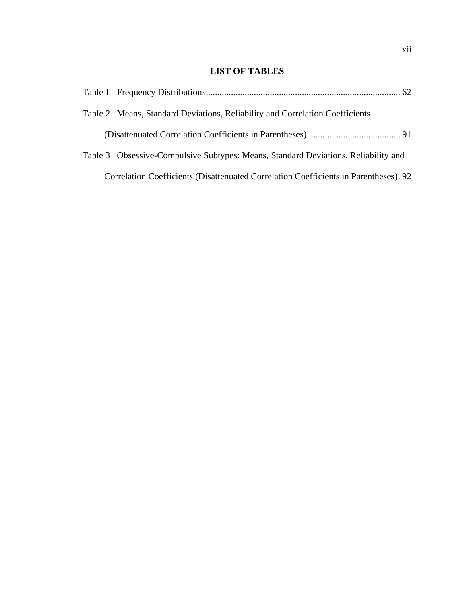# **LIST OF TABLES**

|  | Table 2 Means, Standard Deviations, Reliability and Correlation Coefficients         |
|--|--------------------------------------------------------------------------------------|
|  |                                                                                      |
|  | Table 3 Obsessive-Compulsive Subtypes: Means, Standard Deviations, Reliability and   |
|  | Correlation Coefficients (Disattenuated Correlation Coefficients in Parentheses). 92 |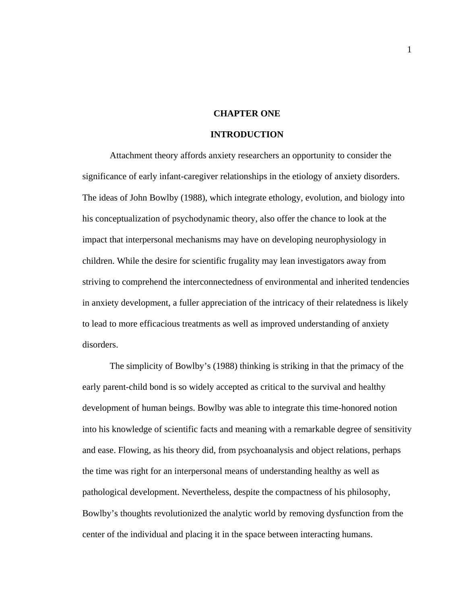## **CHAPTER ONE**

## **INTRODUCTION**

Attachment theory affords anxiety researchers an opportunity to consider the significance of early infant-caregiver relationships in the etiology of anxiety disorders. The ideas of John Bowlby (1988), which integrate ethology, evolution, and biology into his conceptualization of psychodynamic theory, also offer the chance to look at the impact that interpersonal mechanisms may have on developing neurophysiology in children. While the desire for scientific frugality may lean investigators away from striving to comprehend the interconnectedness of environmental and inherited tendencies in anxiety development, a fuller appreciation of the intricacy of their relatedness is likely to lead to more efficacious treatments as well as improved understanding of anxiety disorders.

 The simplicity of Bowlby's (1988) thinking is striking in that the primacy of the early parent-child bond is so widely accepted as critical to the survival and healthy development of human beings. Bowlby was able to integrate this time-honored notion into his knowledge of scientific facts and meaning with a remarkable degree of sensitivity and ease. Flowing, as his theory did, from psychoanalysis and object relations, perhaps the time was right for an interpersonal means of understanding healthy as well as pathological development. Nevertheless, despite the compactness of his philosophy, Bowlby's thoughts revolutionized the analytic world by removing dysfunction from the center of the individual and placing it in the space between interacting humans.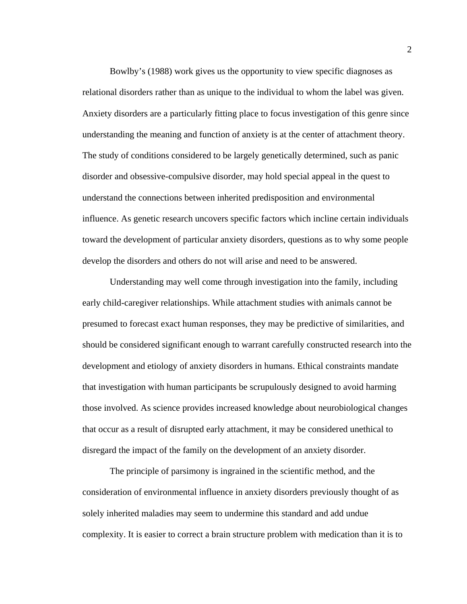Bowlby's (1988) work gives us the opportunity to view specific diagnoses as relational disorders rather than as unique to the individual to whom the label was given. Anxiety disorders are a particularly fitting place to focus investigation of this genre since understanding the meaning and function of anxiety is at the center of attachment theory. The study of conditions considered to be largely genetically determined, such as panic disorder and obsessive-compulsive disorder, may hold special appeal in the quest to understand the connections between inherited predisposition and environmental influence. As genetic research uncovers specific factors which incline certain individuals toward the development of particular anxiety disorders, questions as to why some people develop the disorders and others do not will arise and need to be answered.

Understanding may well come through investigation into the family, including early child-caregiver relationships. While attachment studies with animals cannot be presumed to forecast exact human responses, they may be predictive of similarities, and should be considered significant enough to warrant carefully constructed research into the development and etiology of anxiety disorders in humans. Ethical constraints mandate that investigation with human participants be scrupulously designed to avoid harming those involved. As science provides increased knowledge about neurobiological changes that occur as a result of disrupted early attachment, it may be considered unethical to disregard the impact of the family on the development of an anxiety disorder.

The principle of parsimony is ingrained in the scientific method, and the consideration of environmental influence in anxiety disorders previously thought of as solely inherited maladies may seem to undermine this standard and add undue complexity. It is easier to correct a brain structure problem with medication than it is to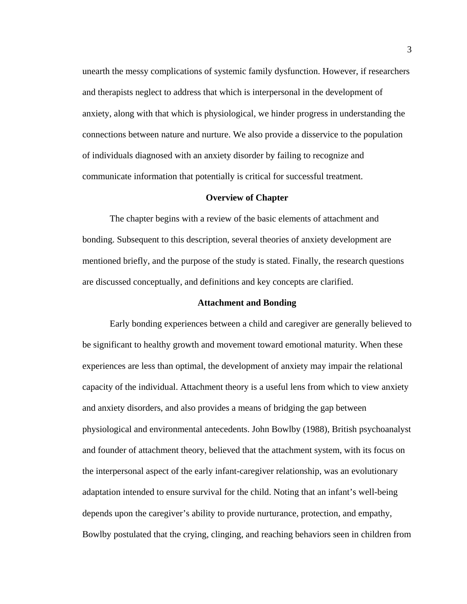unearth the messy complications of systemic family dysfunction. However, if researchers and therapists neglect to address that which is interpersonal in the development of anxiety, along with that which is physiological, we hinder progress in understanding the connections between nature and nurture. We also provide a disservice to the population of individuals diagnosed with an anxiety disorder by failing to recognize and communicate information that potentially is critical for successful treatment.

#### **Overview of Chapter**

 The chapter begins with a review of the basic elements of attachment and bonding. Subsequent to this description, several theories of anxiety development are mentioned briefly, and the purpose of the study is stated. Finally, the research questions are discussed conceptually, and definitions and key concepts are clarified.

#### **Attachment and Bonding**

 Early bonding experiences between a child and caregiver are generally believed to be significant to healthy growth and movement toward emotional maturity. When these experiences are less than optimal, the development of anxiety may impair the relational capacity of the individual. Attachment theory is a useful lens from which to view anxiety and anxiety disorders, and also provides a means of bridging the gap between physiological and environmental antecedents. John Bowlby (1988), British psychoanalyst and founder of attachment theory, believed that the attachment system, with its focus on the interpersonal aspect of the early infant-caregiver relationship, was an evolutionary adaptation intended to ensure survival for the child. Noting that an infant's well-being depends upon the caregiver's ability to provide nurturance, protection, and empathy, Bowlby postulated that the crying, clinging, and reaching behaviors seen in children from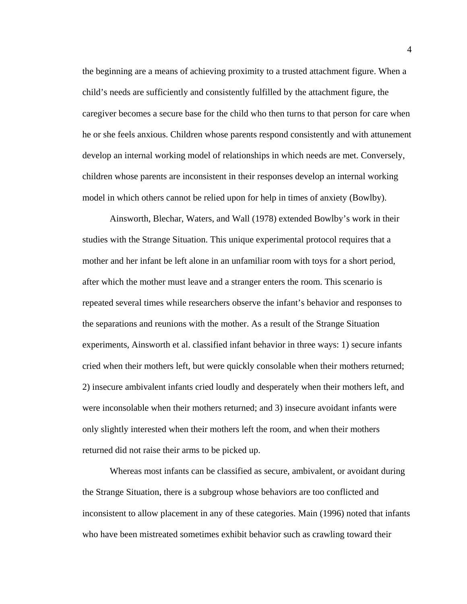the beginning are a means of achieving proximity to a trusted attachment figure. When a child's needs are sufficiently and consistently fulfilled by the attachment figure, the caregiver becomes a secure base for the child who then turns to that person for care when he or she feels anxious. Children whose parents respond consistently and with attunement develop an internal working model of relationships in which needs are met. Conversely, children whose parents are inconsistent in their responses develop an internal working model in which others cannot be relied upon for help in times of anxiety (Bowlby).

 Ainsworth, Blechar, Waters, and Wall (1978) extended Bowlby's work in their studies with the Strange Situation. This unique experimental protocol requires that a mother and her infant be left alone in an unfamiliar room with toys for a short period, after which the mother must leave and a stranger enters the room. This scenario is repeated several times while researchers observe the infant's behavior and responses to the separations and reunions with the mother. As a result of the Strange Situation experiments, Ainsworth et al. classified infant behavior in three ways: 1) secure infants cried when their mothers left, but were quickly consolable when their mothers returned; 2) insecure ambivalent infants cried loudly and desperately when their mothers left, and were inconsolable when their mothers returned; and 3) insecure avoidant infants were only slightly interested when their mothers left the room, and when their mothers returned did not raise their arms to be picked up.

 Whereas most infants can be classified as secure, ambivalent, or avoidant during the Strange Situation, there is a subgroup whose behaviors are too conflicted and inconsistent to allow placement in any of these categories. Main (1996) noted that infants who have been mistreated sometimes exhibit behavior such as crawling toward their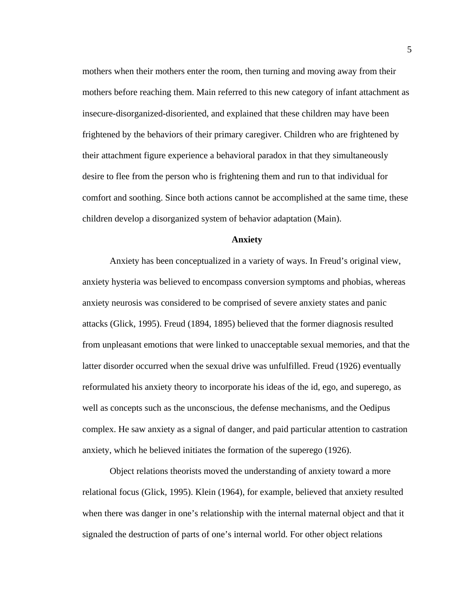mothers when their mothers enter the room, then turning and moving away from their mothers before reaching them. Main referred to this new category of infant attachment as insecure-disorganized-disoriented, and explained that these children may have been frightened by the behaviors of their primary caregiver. Children who are frightened by their attachment figure experience a behavioral paradox in that they simultaneously desire to flee from the person who is frightening them and run to that individual for comfort and soothing. Since both actions cannot be accomplished at the same time, these children develop a disorganized system of behavior adaptation (Main).

#### **Anxiety**

 Anxiety has been conceptualized in a variety of ways. In Freud's original view, anxiety hysteria was believed to encompass conversion symptoms and phobias, whereas anxiety neurosis was considered to be comprised of severe anxiety states and panic attacks (Glick, 1995). Freud (1894, 1895) believed that the former diagnosis resulted from unpleasant emotions that were linked to unacceptable sexual memories, and that the latter disorder occurred when the sexual drive was unfulfilled. Freud (1926) eventually reformulated his anxiety theory to incorporate his ideas of the id, ego, and superego, as well as concepts such as the unconscious, the defense mechanisms, and the Oedipus complex. He saw anxiety as a signal of danger, and paid particular attention to castration anxiety, which he believed initiates the formation of the superego (1926).

 Object relations theorists moved the understanding of anxiety toward a more relational focus (Glick, 1995). Klein (1964), for example, believed that anxiety resulted when there was danger in one's relationship with the internal maternal object and that it signaled the destruction of parts of one's internal world. For other object relations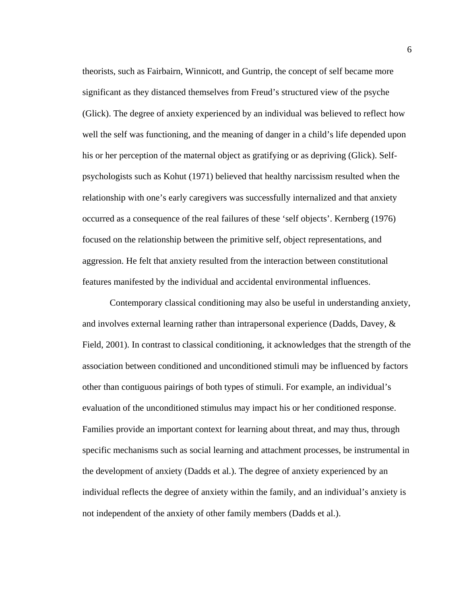theorists, such as Fairbairn, Winnicott, and Guntrip, the concept of self became more significant as they distanced themselves from Freud's structured view of the psyche (Glick). The degree of anxiety experienced by an individual was believed to reflect how well the self was functioning, and the meaning of danger in a child's life depended upon his or her perception of the maternal object as gratifying or as depriving (Glick). Selfpsychologists such as Kohut (1971) believed that healthy narcissism resulted when the relationship with one's early caregivers was successfully internalized and that anxiety occurred as a consequence of the real failures of these 'self objects'. Kernberg (1976) focused on the relationship between the primitive self, object representations, and aggression. He felt that anxiety resulted from the interaction between constitutional features manifested by the individual and accidental environmental influences.

Contemporary classical conditioning may also be useful in understanding anxiety, and involves external learning rather than intrapersonal experience (Dadds, Davey, & Field, 2001). In contrast to classical conditioning, it acknowledges that the strength of the association between conditioned and unconditioned stimuli may be influenced by factors other than contiguous pairings of both types of stimuli. For example, an individual's evaluation of the unconditioned stimulus may impact his or her conditioned response. Families provide an important context for learning about threat, and may thus, through specific mechanisms such as social learning and attachment processes, be instrumental in the development of anxiety (Dadds et al.). The degree of anxiety experienced by an individual reflects the degree of anxiety within the family, and an individual's anxiety is not independent of the anxiety of other family members (Dadds et al.).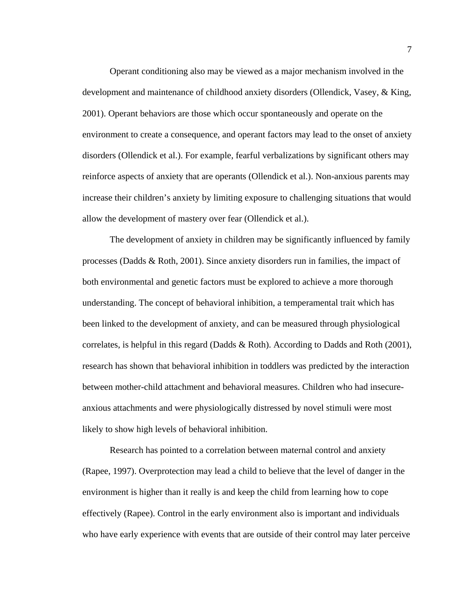Operant conditioning also may be viewed as a major mechanism involved in the development and maintenance of childhood anxiety disorders (Ollendick, Vasey, & King, 2001). Operant behaviors are those which occur spontaneously and operate on the environment to create a consequence, and operant factors may lead to the onset of anxiety disorders (Ollendick et al.). For example, fearful verbalizations by significant others may reinforce aspects of anxiety that are operants (Ollendick et al.). Non-anxious parents may increase their children's anxiety by limiting exposure to challenging situations that would allow the development of mastery over fear (Ollendick et al.).

The development of anxiety in children may be significantly influenced by family processes (Dadds & Roth, 2001). Since anxiety disorders run in families, the impact of both environmental and genetic factors must be explored to achieve a more thorough understanding. The concept of behavioral inhibition, a temperamental trait which has been linked to the development of anxiety, and can be measured through physiological correlates, is helpful in this regard (Dadds & Roth). According to Dadds and Roth (2001), research has shown that behavioral inhibition in toddlers was predicted by the interaction between mother-child attachment and behavioral measures. Children who had insecureanxious attachments and were physiologically distressed by novel stimuli were most likely to show high levels of behavioral inhibition.

Research has pointed to a correlation between maternal control and anxiety (Rapee, 1997). Overprotection may lead a child to believe that the level of danger in the environment is higher than it really is and keep the child from learning how to cope effectively (Rapee). Control in the early environment also is important and individuals who have early experience with events that are outside of their control may later perceive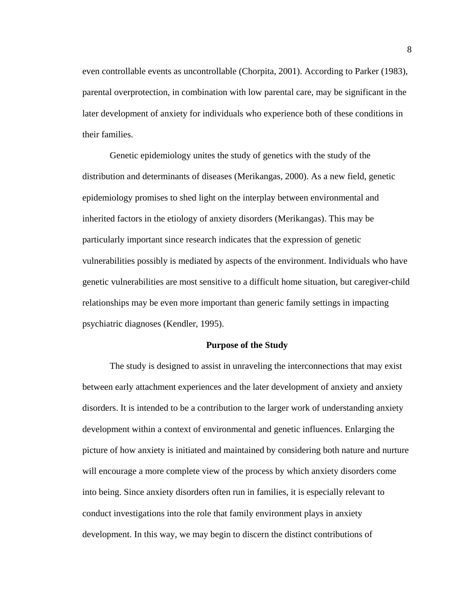even controllable events as uncontrollable (Chorpita, 2001). According to Parker (1983), parental overprotection, in combination with low parental care, may be significant in the later development of anxiety for individuals who experience both of these conditions in their families.

Genetic epidemiology unites the study of genetics with the study of the distribution and determinants of diseases (Merikangas, 2000). As a new field, genetic epidemiology promises to shed light on the interplay between environmental and inherited factors in the etiology of anxiety disorders (Merikangas). This may be particularly important since research indicates that the expression of genetic vulnerabilities possibly is mediated by aspects of the environment. Individuals who have genetic vulnerabilities are most sensitive to a difficult home situation, but caregiver-child relationships may be even more important than generic family settings in impacting psychiatric diagnoses (Kendler, 1995).

#### **Purpose of the Study**

 The study is designed to assist in unraveling the interconnections that may exist between early attachment experiences and the later development of anxiety and anxiety disorders. It is intended to be a contribution to the larger work of understanding anxiety development within a context of environmental and genetic influences. Enlarging the picture of how anxiety is initiated and maintained by considering both nature and nurture will encourage a more complete view of the process by which anxiety disorders come into being. Since anxiety disorders often run in families, it is especially relevant to conduct investigations into the role that family environment plays in anxiety development. In this way, we may begin to discern the distinct contributions of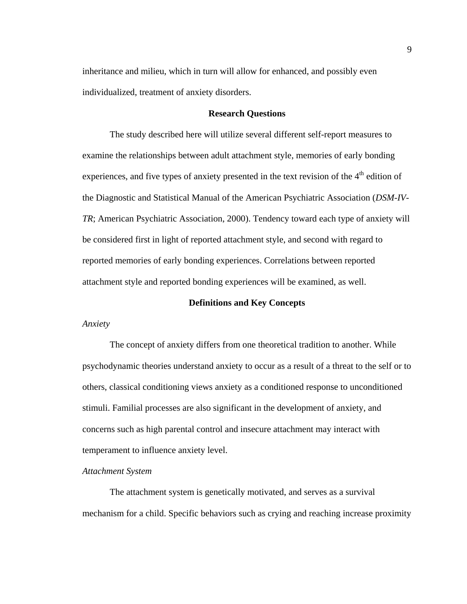inheritance and milieu, which in turn will allow for enhanced, and possibly even individualized, treatment of anxiety disorders.

#### **Research Questions**

 The study described here will utilize several different self-report measures to examine the relationships between adult attachment style, memories of early bonding experiences, and five types of anxiety presented in the text revision of the  $4<sup>th</sup>$  edition of the Diagnostic and Statistical Manual of the American Psychiatric Association (*DSM-IV-TR*; American Psychiatric Association, 2000). Tendency toward each type of anxiety will be considered first in light of reported attachment style, and second with regard to reported memories of early bonding experiences. Correlations between reported attachment style and reported bonding experiences will be examined, as well.

#### **Definitions and Key Concepts**

*Anxiety* 

The concept of anxiety differs from one theoretical tradition to another. While psychodynamic theories understand anxiety to occur as a result of a threat to the self or to others, classical conditioning views anxiety as a conditioned response to unconditioned stimuli. Familial processes are also significant in the development of anxiety, and concerns such as high parental control and insecure attachment may interact with temperament to influence anxiety level.

#### *Attachment System*

 The attachment system is genetically motivated, and serves as a survival mechanism for a child. Specific behaviors such as crying and reaching increase proximity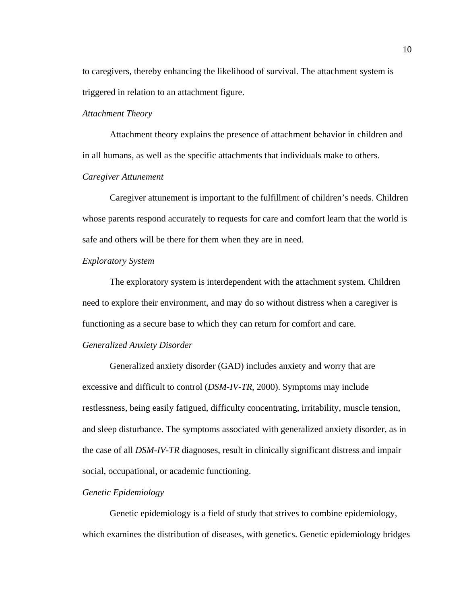to caregivers, thereby enhancing the likelihood of survival. The attachment system is triggered in relation to an attachment figure.

#### *Attachment Theory*

 Attachment theory explains the presence of attachment behavior in children and in all humans, as well as the specific attachments that individuals make to others. *Caregiver Attunement* 

 Caregiver attunement is important to the fulfillment of children's needs. Children whose parents respond accurately to requests for care and comfort learn that the world is safe and others will be there for them when they are in need.

#### *Exploratory System*

The exploratory system is interdependent with the attachment system. Children need to explore their environment, and may do so without distress when a caregiver is functioning as a secure base to which they can return for comfort and care.

#### *Generalized Anxiety Disorder*

 Generalized anxiety disorder (GAD) includes anxiety and worry that are excessive and difficult to control (*DSM-IV-TR*, 2000). Symptoms may include restlessness, being easily fatigued, difficulty concentrating, irritability, muscle tension, and sleep disturbance. The symptoms associated with generalized anxiety disorder, as in the case of all *DSM-IV-TR* diagnoses, result in clinically significant distress and impair social, occupational, or academic functioning.

#### *Genetic Epidemiology*

 Genetic epidemiology is a field of study that strives to combine epidemiology, which examines the distribution of diseases, with genetics. Genetic epidemiology bridges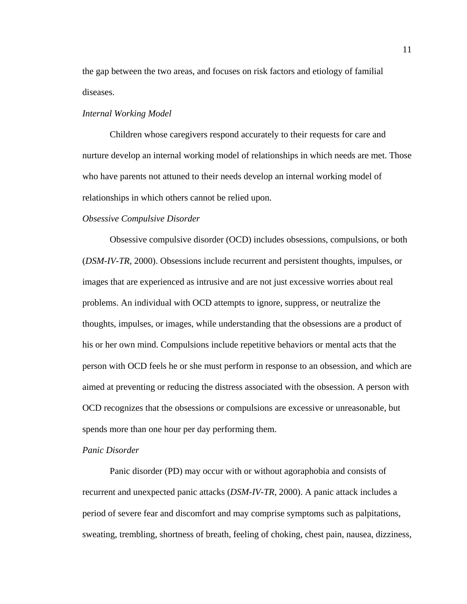the gap between the two areas, and focuses on risk factors and etiology of familial diseases.

#### *Internal Working Model*

 Children whose caregivers respond accurately to their requests for care and nurture develop an internal working model of relationships in which needs are met. Those who have parents not attuned to their needs develop an internal working model of relationships in which others cannot be relied upon.

#### *Obsessive Compulsive Disorder*

 Obsessive compulsive disorder (OCD) includes obsessions, compulsions, or both (*DSM-IV-TR*, 2000). Obsessions include recurrent and persistent thoughts, impulses, or images that are experienced as intrusive and are not just excessive worries about real problems. An individual with OCD attempts to ignore, suppress, or neutralize the thoughts, impulses, or images, while understanding that the obsessions are a product of his or her own mind. Compulsions include repetitive behaviors or mental acts that the person with OCD feels he or she must perform in response to an obsession, and which are aimed at preventing or reducing the distress associated with the obsession. A person with OCD recognizes that the obsessions or compulsions are excessive or unreasonable, but spends more than one hour per day performing them.

## *Panic Disorder*

 Panic disorder (PD) may occur with or without agoraphobia and consists of recurrent and unexpected panic attacks (*DSM-IV-TR*, 2000). A panic attack includes a period of severe fear and discomfort and may comprise symptoms such as palpitations, sweating, trembling, shortness of breath, feeling of choking, chest pain, nausea, dizziness,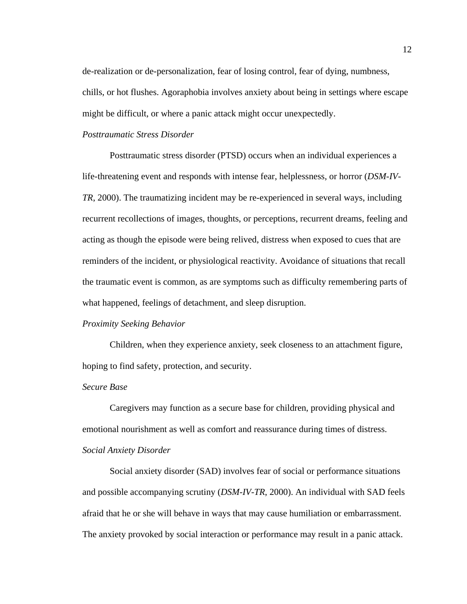de-realization or de-personalization, fear of losing control, fear of dying, numbness, chills, or hot flushes. Agoraphobia involves anxiety about being in settings where escape might be difficult, or where a panic attack might occur unexpectedly.

# *Posttraumatic Stress Disorder*

Posttraumatic stress disorder (PTSD) occurs when an individual experiences a life-threatening event and responds with intense fear, helplessness, or horror (*DSM-IV-TR*, 2000). The traumatizing incident may be re-experienced in several ways, including recurrent recollections of images, thoughts, or perceptions, recurrent dreams, feeling and acting as though the episode were being relived, distress when exposed to cues that are reminders of the incident, or physiological reactivity. Avoidance of situations that recall the traumatic event is common, as are symptoms such as difficulty remembering parts of what happened, feelings of detachment, and sleep disruption.

#### *Proximity Seeking Behavior*

 Children, when they experience anxiety, seek closeness to an attachment figure, hoping to find safety, protection, and security.

#### *Secure Base*

 Caregivers may function as a secure base for children, providing physical and emotional nourishment as well as comfort and reassurance during times of distress. *Social Anxiety Disorder* 

 Social anxiety disorder (SAD) involves fear of social or performance situations and possible accompanying scrutiny (*DSM-IV-TR*, 2000). An individual with SAD feels afraid that he or she will behave in ways that may cause humiliation or embarrassment. The anxiety provoked by social interaction or performance may result in a panic attack.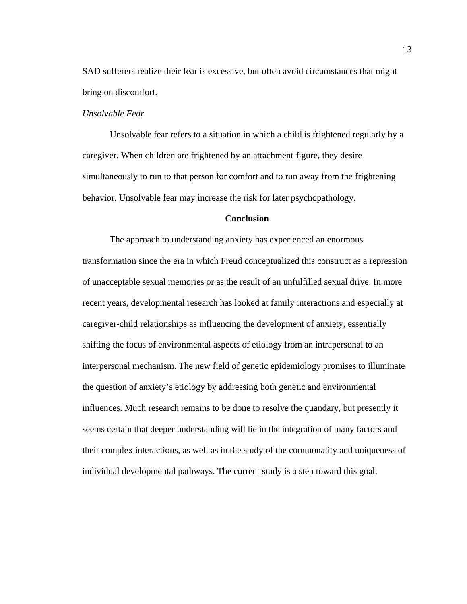SAD sufferers realize their fear is excessive, but often avoid circumstances that might bring on discomfort.

## *Unsolvable Fear*

 Unsolvable fear refers to a situation in which a child is frightened regularly by a caregiver. When children are frightened by an attachment figure, they desire simultaneously to run to that person for comfort and to run away from the frightening behavior. Unsolvable fear may increase the risk for later psychopathology.

## **Conclusion**

The approach to understanding anxiety has experienced an enormous transformation since the era in which Freud conceptualized this construct as a repression of unacceptable sexual memories or as the result of an unfulfilled sexual drive. In more recent years, developmental research has looked at family interactions and especially at caregiver-child relationships as influencing the development of anxiety, essentially shifting the focus of environmental aspects of etiology from an intrapersonal to an interpersonal mechanism. The new field of genetic epidemiology promises to illuminate the question of anxiety's etiology by addressing both genetic and environmental influences. Much research remains to be done to resolve the quandary, but presently it seems certain that deeper understanding will lie in the integration of many factors and their complex interactions, as well as in the study of the commonality and uniqueness of individual developmental pathways. The current study is a step toward this goal.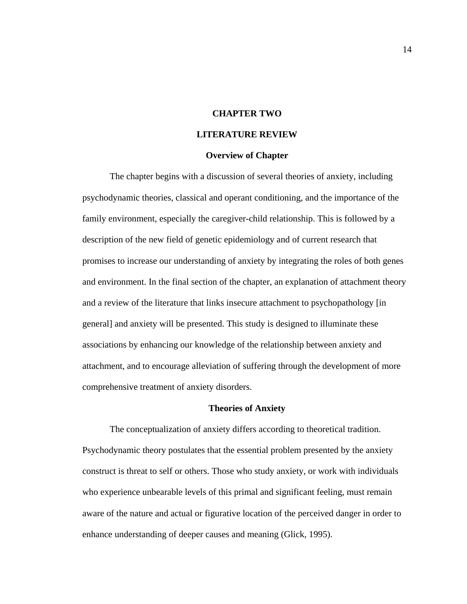### **CHAPTER TWO**

# **LITERATURE REVIEW**

#### **Overview of Chapter**

The chapter begins with a discussion of several theories of anxiety, including psychodynamic theories, classical and operant conditioning, and the importance of the family environment, especially the caregiver-child relationship. This is followed by a description of the new field of genetic epidemiology and of current research that promises to increase our understanding of anxiety by integrating the roles of both genes and environment. In the final section of the chapter, an explanation of attachment theory and a review of the literature that links insecure attachment to psychopathology [in general] and anxiety will be presented. This study is designed to illuminate these associations by enhancing our knowledge of the relationship between anxiety and attachment, and to encourage alleviation of suffering through the development of more comprehensive treatment of anxiety disorders.

#### **Theories of Anxiety**

The conceptualization of anxiety differs according to theoretical tradition. Psychodynamic theory postulates that the essential problem presented by the anxiety construct is threat to self or others. Those who study anxiety, or work with individuals who experience unbearable levels of this primal and significant feeling, must remain aware of the nature and actual or figurative location of the perceived danger in order to enhance understanding of deeper causes and meaning (Glick, 1995).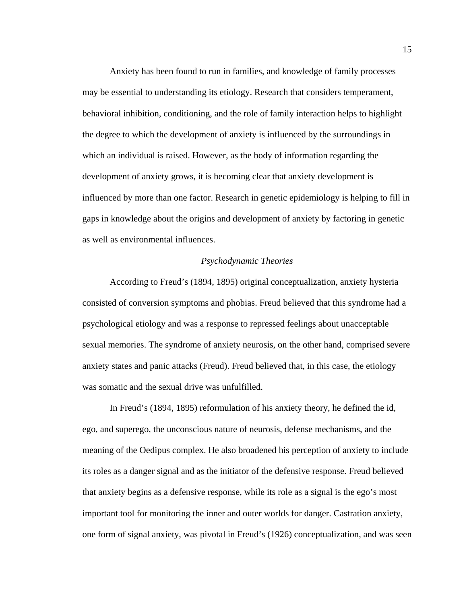Anxiety has been found to run in families, and knowledge of family processes may be essential to understanding its etiology. Research that considers temperament, behavioral inhibition, conditioning, and the role of family interaction helps to highlight the degree to which the development of anxiety is influenced by the surroundings in which an individual is raised. However, as the body of information regarding the development of anxiety grows, it is becoming clear that anxiety development is influenced by more than one factor. Research in genetic epidemiology is helping to fill in gaps in knowledge about the origins and development of anxiety by factoring in genetic as well as environmental influences.

### *Psychodynamic Theories*

 According to Freud's (1894, 1895) original conceptualization, anxiety hysteria consisted of conversion symptoms and phobias. Freud believed that this syndrome had a psychological etiology and was a response to repressed feelings about unacceptable sexual memories. The syndrome of anxiety neurosis, on the other hand, comprised severe anxiety states and panic attacks (Freud). Freud believed that, in this case, the etiology was somatic and the sexual drive was unfulfilled.

 In Freud's (1894, 1895) reformulation of his anxiety theory, he defined the id, ego, and superego, the unconscious nature of neurosis, defense mechanisms, and the meaning of the Oedipus complex. He also broadened his perception of anxiety to include its roles as a danger signal and as the initiator of the defensive response. Freud believed that anxiety begins as a defensive response, while its role as a signal is the ego's most important tool for monitoring the inner and outer worlds for danger. Castration anxiety, one form of signal anxiety, was pivotal in Freud's (1926) conceptualization, and was seen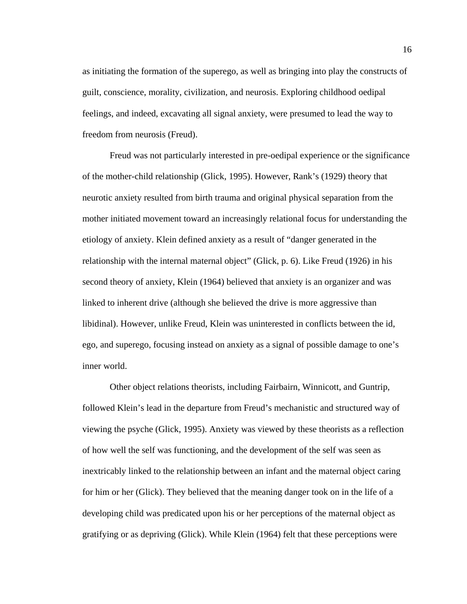as initiating the formation of the superego, as well as bringing into play the constructs of guilt, conscience, morality, civilization, and neurosis. Exploring childhood oedipal feelings, and indeed, excavating all signal anxiety, were presumed to lead the way to freedom from neurosis (Freud).

 Freud was not particularly interested in pre-oedipal experience or the significance of the mother-child relationship (Glick, 1995). However, Rank's (1929) theory that neurotic anxiety resulted from birth trauma and original physical separation from the mother initiated movement toward an increasingly relational focus for understanding the etiology of anxiety. Klein defined anxiety as a result of "danger generated in the relationship with the internal maternal object" (Glick, p. 6). Like Freud (1926) in his second theory of anxiety, Klein (1964) believed that anxiety is an organizer and was linked to inherent drive (although she believed the drive is more aggressive than libidinal). However, unlike Freud, Klein was uninterested in conflicts between the id, ego, and superego, focusing instead on anxiety as a signal of possible damage to one's inner world.

 Other object relations theorists, including Fairbairn, Winnicott, and Guntrip, followed Klein's lead in the departure from Freud's mechanistic and structured way of viewing the psyche (Glick, 1995). Anxiety was viewed by these theorists as a reflection of how well the self was functioning, and the development of the self was seen as inextricably linked to the relationship between an infant and the maternal object caring for him or her (Glick). They believed that the meaning danger took on in the life of a developing child was predicated upon his or her perceptions of the maternal object as gratifying or as depriving (Glick). While Klein (1964) felt that these perceptions were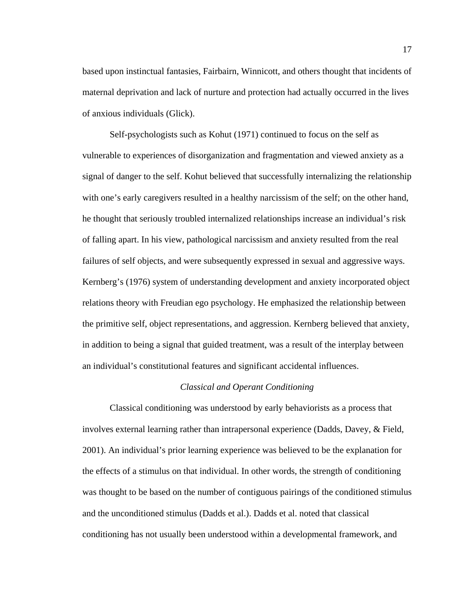based upon instinctual fantasies, Fairbairn, Winnicott, and others thought that incidents of maternal deprivation and lack of nurture and protection had actually occurred in the lives of anxious individuals (Glick).

 Self-psychologists such as Kohut (1971) continued to focus on the self as vulnerable to experiences of disorganization and fragmentation and viewed anxiety as a signal of danger to the self. Kohut believed that successfully internalizing the relationship with one's early caregivers resulted in a healthy narcissism of the self; on the other hand, he thought that seriously troubled internalized relationships increase an individual's risk of falling apart. In his view, pathological narcissism and anxiety resulted from the real failures of self objects, and were subsequently expressed in sexual and aggressive ways. Kernberg's (1976) system of understanding development and anxiety incorporated object relations theory with Freudian ego psychology. He emphasized the relationship between the primitive self, object representations, and aggression. Kernberg believed that anxiety, in addition to being a signal that guided treatment, was a result of the interplay between an individual's constitutional features and significant accidental influences.

#### *Classical and Operant Conditioning*

Classical conditioning was understood by early behaviorists as a process that involves external learning rather than intrapersonal experience (Dadds, Davey, & Field, 2001). An individual's prior learning experience was believed to be the explanation for the effects of a stimulus on that individual. In other words, the strength of conditioning was thought to be based on the number of contiguous pairings of the conditioned stimulus and the unconditioned stimulus (Dadds et al.). Dadds et al. noted that classical conditioning has not usually been understood within a developmental framework, and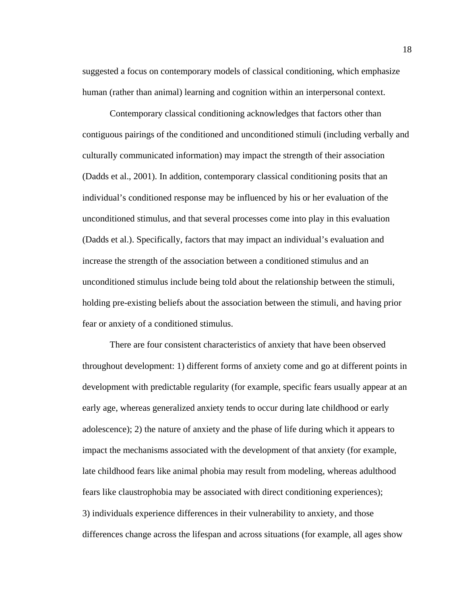suggested a focus on contemporary models of classical conditioning, which emphasize human (rather than animal) learning and cognition within an interpersonal context.

 Contemporary classical conditioning acknowledges that factors other than contiguous pairings of the conditioned and unconditioned stimuli (including verbally and culturally communicated information) may impact the strength of their association (Dadds et al., 2001). In addition, contemporary classical conditioning posits that an individual's conditioned response may be influenced by his or her evaluation of the unconditioned stimulus, and that several processes come into play in this evaluation (Dadds et al.). Specifically, factors that may impact an individual's evaluation and increase the strength of the association between a conditioned stimulus and an unconditioned stimulus include being told about the relationship between the stimuli, holding pre-existing beliefs about the association between the stimuli, and having prior fear or anxiety of a conditioned stimulus.

 There are four consistent characteristics of anxiety that have been observed throughout development: 1) different forms of anxiety come and go at different points in development with predictable regularity (for example, specific fears usually appear at an early age, whereas generalized anxiety tends to occur during late childhood or early adolescence); 2) the nature of anxiety and the phase of life during which it appears to impact the mechanisms associated with the development of that anxiety (for example, late childhood fears like animal phobia may result from modeling, whereas adulthood fears like claustrophobia may be associated with direct conditioning experiences); 3) individuals experience differences in their vulnerability to anxiety, and those differences change across the lifespan and across situations (for example, all ages show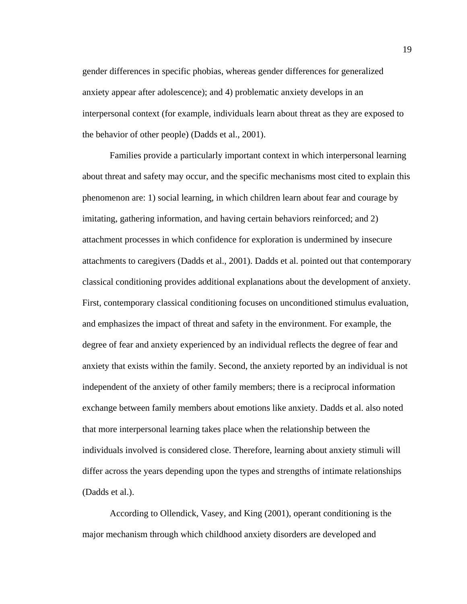gender differences in specific phobias, whereas gender differences for generalized anxiety appear after adolescence); and 4) problematic anxiety develops in an interpersonal context (for example, individuals learn about threat as they are exposed to the behavior of other people) (Dadds et al., 2001).

 Families provide a particularly important context in which interpersonal learning about threat and safety may occur, and the specific mechanisms most cited to explain this phenomenon are: 1) social learning, in which children learn about fear and courage by imitating, gathering information, and having certain behaviors reinforced; and 2) attachment processes in which confidence for exploration is undermined by insecure attachments to caregivers (Dadds et al., 2001). Dadds et al. pointed out that contemporary classical conditioning provides additional explanations about the development of anxiety. First, contemporary classical conditioning focuses on unconditioned stimulus evaluation, and emphasizes the impact of threat and safety in the environment. For example, the degree of fear and anxiety experienced by an individual reflects the degree of fear and anxiety that exists within the family. Second, the anxiety reported by an individual is not independent of the anxiety of other family members; there is a reciprocal information exchange between family members about emotions like anxiety. Dadds et al. also noted that more interpersonal learning takes place when the relationship between the individuals involved is considered close. Therefore, learning about anxiety stimuli will differ across the years depending upon the types and strengths of intimate relationships (Dadds et al.).

 According to Ollendick, Vasey, and King (2001), operant conditioning is the major mechanism through which childhood anxiety disorders are developed and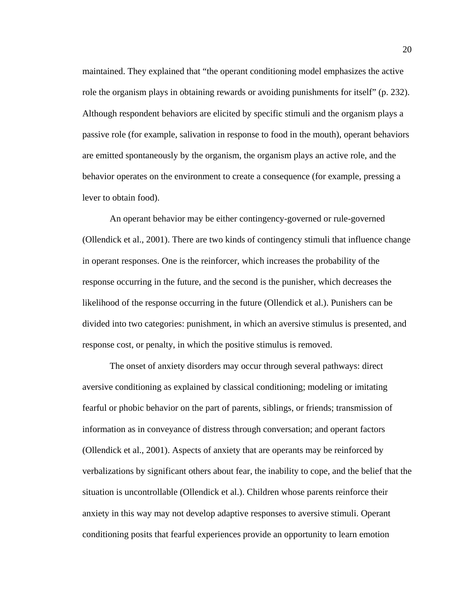maintained. They explained that "the operant conditioning model emphasizes the active role the organism plays in obtaining rewards or avoiding punishments for itself" (p. 232). Although respondent behaviors are elicited by specific stimuli and the organism plays a passive role (for example, salivation in response to food in the mouth), operant behaviors are emitted spontaneously by the organism, the organism plays an active role, and the behavior operates on the environment to create a consequence (for example, pressing a lever to obtain food).

An operant behavior may be either contingency-governed or rule-governed (Ollendick et al., 2001). There are two kinds of contingency stimuli that influence change in operant responses. One is the reinforcer, which increases the probability of the response occurring in the future, and the second is the punisher, which decreases the likelihood of the response occurring in the future (Ollendick et al.). Punishers can be divided into two categories: punishment, in which an aversive stimulus is presented, and response cost, or penalty, in which the positive stimulus is removed.

The onset of anxiety disorders may occur through several pathways: direct aversive conditioning as explained by classical conditioning; modeling or imitating fearful or phobic behavior on the part of parents, siblings, or friends; transmission of information as in conveyance of distress through conversation; and operant factors (Ollendick et al., 2001). Aspects of anxiety that are operants may be reinforced by verbalizations by significant others about fear, the inability to cope, and the belief that the situation is uncontrollable (Ollendick et al.). Children whose parents reinforce their anxiety in this way may not develop adaptive responses to aversive stimuli. Operant conditioning posits that fearful experiences provide an opportunity to learn emotion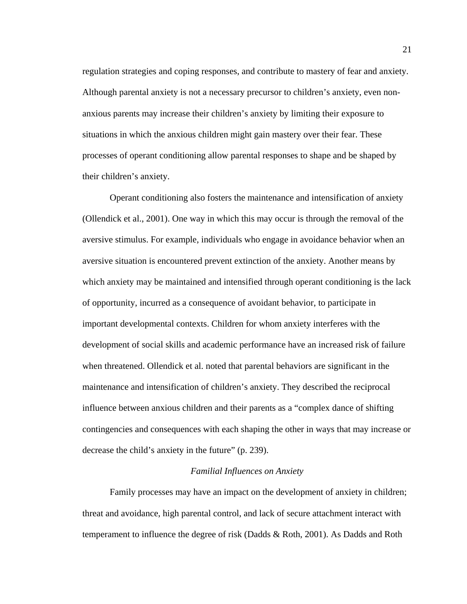regulation strategies and coping responses, and contribute to mastery of fear and anxiety. Although parental anxiety is not a necessary precursor to children's anxiety, even nonanxious parents may increase their children's anxiety by limiting their exposure to situations in which the anxious children might gain mastery over their fear. These processes of operant conditioning allow parental responses to shape and be shaped by their children's anxiety.

Operant conditioning also fosters the maintenance and intensification of anxiety (Ollendick et al., 2001). One way in which this may occur is through the removal of the aversive stimulus. For example, individuals who engage in avoidance behavior when an aversive situation is encountered prevent extinction of the anxiety. Another means by which anxiety may be maintained and intensified through operant conditioning is the lack of opportunity, incurred as a consequence of avoidant behavior, to participate in important developmental contexts. Children for whom anxiety interferes with the development of social skills and academic performance have an increased risk of failure when threatened. Ollendick et al. noted that parental behaviors are significant in the maintenance and intensification of children's anxiety. They described the reciprocal influence between anxious children and their parents as a "complex dance of shifting contingencies and consequences with each shaping the other in ways that may increase or decrease the child's anxiety in the future" (p. 239).

## *Familial Influences on Anxiety*

 Family processes may have an impact on the development of anxiety in children; threat and avoidance, high parental control, and lack of secure attachment interact with temperament to influence the degree of risk (Dadds & Roth, 2001). As Dadds and Roth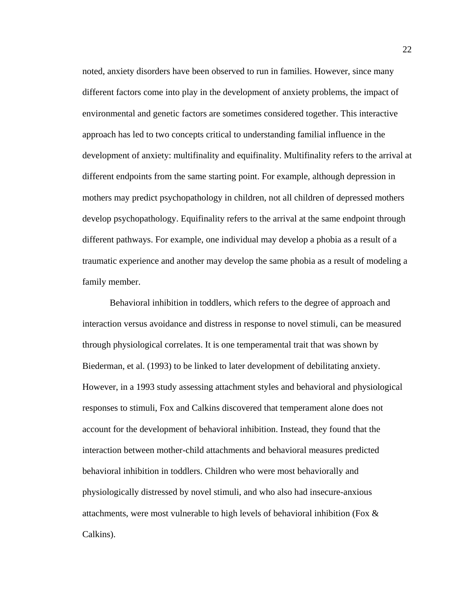noted, anxiety disorders have been observed to run in families. However, since many different factors come into play in the development of anxiety problems, the impact of environmental and genetic factors are sometimes considered together. This interactive approach has led to two concepts critical to understanding familial influence in the development of anxiety: multifinality and equifinality. Multifinality refers to the arrival at different endpoints from the same starting point. For example, although depression in mothers may predict psychopathology in children, not all children of depressed mothers develop psychopathology. Equifinality refers to the arrival at the same endpoint through different pathways. For example, one individual may develop a phobia as a result of a traumatic experience and another may develop the same phobia as a result of modeling a family member.

 Behavioral inhibition in toddlers, which refers to the degree of approach and interaction versus avoidance and distress in response to novel stimuli, can be measured through physiological correlates. It is one temperamental trait that was shown by Biederman, et al. (1993) to be linked to later development of debilitating anxiety. However, in a 1993 study assessing attachment styles and behavioral and physiological responses to stimuli, Fox and Calkins discovered that temperament alone does not account for the development of behavioral inhibition. Instead, they found that the interaction between mother-child attachments and behavioral measures predicted behavioral inhibition in toddlers. Children who were most behaviorally and physiologically distressed by novel stimuli, and who also had insecure-anxious attachments, were most vulnerable to high levels of behavioral inhibition (Fox & Calkins).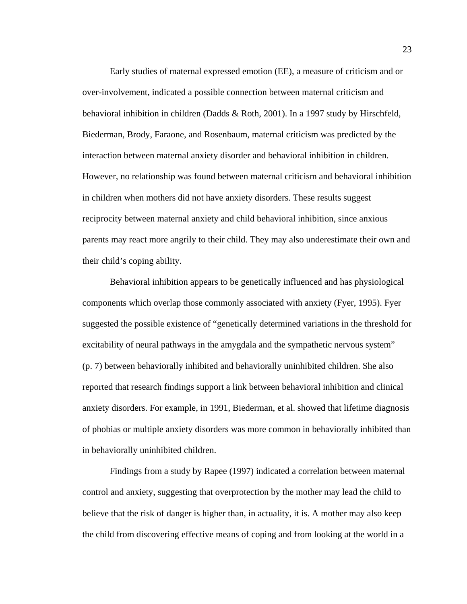Early studies of maternal expressed emotion (EE), a measure of criticism and or over-involvement, indicated a possible connection between maternal criticism and behavioral inhibition in children (Dadds & Roth, 2001). In a 1997 study by Hirschfeld, Biederman, Brody, Faraone, and Rosenbaum, maternal criticism was predicted by the interaction between maternal anxiety disorder and behavioral inhibition in children. However, no relationship was found between maternal criticism and behavioral inhibition in children when mothers did not have anxiety disorders. These results suggest reciprocity between maternal anxiety and child behavioral inhibition, since anxious parents may react more angrily to their child. They may also underestimate their own and their child's coping ability.

 Behavioral inhibition appears to be genetically influenced and has physiological components which overlap those commonly associated with anxiety (Fyer, 1995). Fyer suggested the possible existence of "genetically determined variations in the threshold for excitability of neural pathways in the amygdala and the sympathetic nervous system" (p. 7) between behaviorally inhibited and behaviorally uninhibited children. She also reported that research findings support a link between behavioral inhibition and clinical anxiety disorders. For example, in 1991, Biederman, et al. showed that lifetime diagnosis of phobias or multiple anxiety disorders was more common in behaviorally inhibited than in behaviorally uninhibited children.

 Findings from a study by Rapee (1997) indicated a correlation between maternal control and anxiety, suggesting that overprotection by the mother may lead the child to believe that the risk of danger is higher than, in actuality, it is. A mother may also keep the child from discovering effective means of coping and from looking at the world in a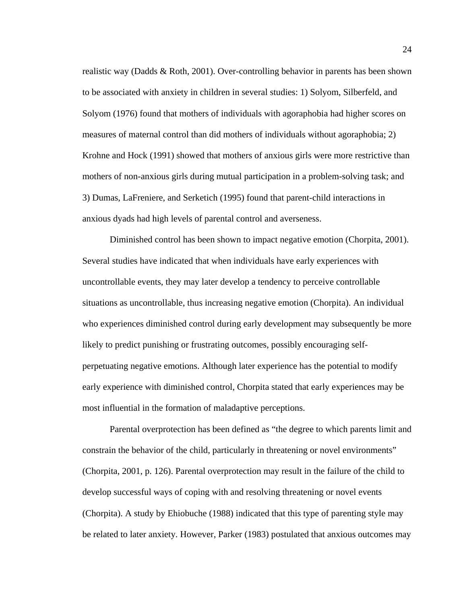realistic way (Dadds & Roth, 2001). Over-controlling behavior in parents has been shown to be associated with anxiety in children in several studies: 1) Solyom, Silberfeld, and Solyom (1976) found that mothers of individuals with agoraphobia had higher scores on measures of maternal control than did mothers of individuals without agoraphobia; 2) Krohne and Hock (1991) showed that mothers of anxious girls were more restrictive than mothers of non-anxious girls during mutual participation in a problem-solving task; and 3) Dumas, LaFreniere, and Serketich (1995) found that parent-child interactions in anxious dyads had high levels of parental control and averseness.

 Diminished control has been shown to impact negative emotion (Chorpita, 2001). Several studies have indicated that when individuals have early experiences with uncontrollable events, they may later develop a tendency to perceive controllable situations as uncontrollable, thus increasing negative emotion (Chorpita). An individual who experiences diminished control during early development may subsequently be more likely to predict punishing or frustrating outcomes, possibly encouraging selfperpetuating negative emotions. Although later experience has the potential to modify early experience with diminished control, Chorpita stated that early experiences may be most influential in the formation of maladaptive perceptions.

 Parental overprotection has been defined as "the degree to which parents limit and constrain the behavior of the child, particularly in threatening or novel environments" (Chorpita, 2001, p. 126). Parental overprotection may result in the failure of the child to develop successful ways of coping with and resolving threatening or novel events (Chorpita). A study by Ehiobuche (1988) indicated that this type of parenting style may be related to later anxiety. However, Parker (1983) postulated that anxious outcomes may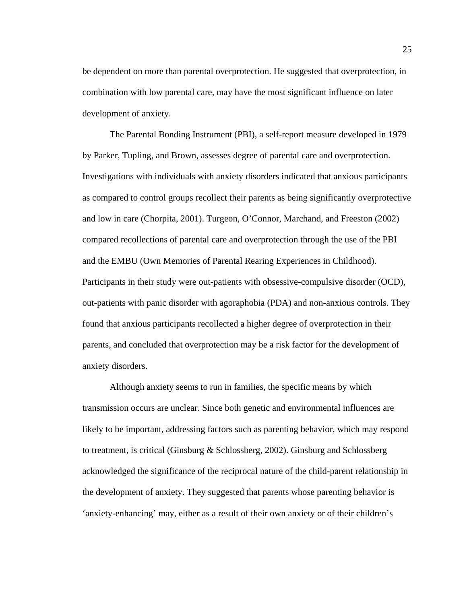be dependent on more than parental overprotection. He suggested that overprotection, in combination with low parental care, may have the most significant influence on later development of anxiety.

The Parental Bonding Instrument (PBI), a self-report measure developed in 1979 by Parker, Tupling, and Brown, assesses degree of parental care and overprotection. Investigations with individuals with anxiety disorders indicated that anxious participants as compared to control groups recollect their parents as being significantly overprotective and low in care (Chorpita, 2001). Turgeon, O'Connor, Marchand, and Freeston (2002) compared recollections of parental care and overprotection through the use of the PBI and the EMBU (Own Memories of Parental Rearing Experiences in Childhood). Participants in their study were out-patients with obsessive-compulsive disorder (OCD), out-patients with panic disorder with agoraphobia (PDA) and non-anxious controls. They found that anxious participants recollected a higher degree of overprotection in their parents, and concluded that overprotection may be a risk factor for the development of anxiety disorders.

 Although anxiety seems to run in families, the specific means by which transmission occurs are unclear. Since both genetic and environmental influences are likely to be important, addressing factors such as parenting behavior, which may respond to treatment, is critical (Ginsburg & Schlossberg, 2002). Ginsburg and Schlossberg acknowledged the significance of the reciprocal nature of the child-parent relationship in the development of anxiety. They suggested that parents whose parenting behavior is 'anxiety-enhancing' may, either as a result of their own anxiety or of their children's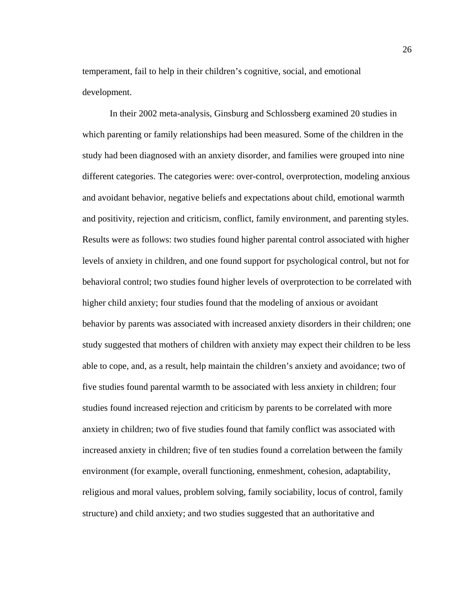temperament, fail to help in their children's cognitive, social, and emotional development.

In their 2002 meta-analysis, Ginsburg and Schlossberg examined 20 studies in which parenting or family relationships had been measured. Some of the children in the study had been diagnosed with an anxiety disorder, and families were grouped into nine different categories. The categories were: over-control, overprotection, modeling anxious and avoidant behavior, negative beliefs and expectations about child, emotional warmth and positivity, rejection and criticism, conflict, family environment, and parenting styles. Results were as follows: two studies found higher parental control associated with higher levels of anxiety in children, and one found support for psychological control, but not for behavioral control; two studies found higher levels of overprotection to be correlated with higher child anxiety; four studies found that the modeling of anxious or avoidant behavior by parents was associated with increased anxiety disorders in their children; one study suggested that mothers of children with anxiety may expect their children to be less able to cope, and, as a result, help maintain the children's anxiety and avoidance; two of five studies found parental warmth to be associated with less anxiety in children; four studies found increased rejection and criticism by parents to be correlated with more anxiety in children; two of five studies found that family conflict was associated with increased anxiety in children; five of ten studies found a correlation between the family environment (for example, overall functioning, enmeshment, cohesion, adaptability, religious and moral values, problem solving, family sociability, locus of control, family structure) and child anxiety; and two studies suggested that an authoritative and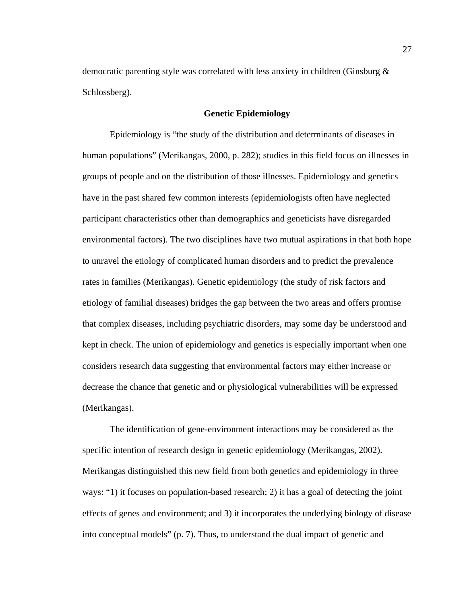democratic parenting style was correlated with less anxiety in children (Ginsburg & Schlossberg).

## **Genetic Epidemiology**

 Epidemiology is "the study of the distribution and determinants of diseases in human populations" (Merikangas, 2000, p. 282); studies in this field focus on illnesses in groups of people and on the distribution of those illnesses. Epidemiology and genetics have in the past shared few common interests (epidemiologists often have neglected participant characteristics other than demographics and geneticists have disregarded environmental factors). The two disciplines have two mutual aspirations in that both hope to unravel the etiology of complicated human disorders and to predict the prevalence rates in families (Merikangas). Genetic epidemiology (the study of risk factors and etiology of familial diseases) bridges the gap between the two areas and offers promise that complex diseases, including psychiatric disorders, may some day be understood and kept in check. The union of epidemiology and genetics is especially important when one considers research data suggesting that environmental factors may either increase or decrease the chance that genetic and or physiological vulnerabilities will be expressed (Merikangas).

 The identification of gene-environment interactions may be considered as the specific intention of research design in genetic epidemiology (Merikangas, 2002). Merikangas distinguished this new field from both genetics and epidemiology in three ways: "1) it focuses on population-based research; 2) it has a goal of detecting the joint effects of genes and environment; and 3) it incorporates the underlying biology of disease into conceptual models" (p. 7). Thus, to understand the dual impact of genetic and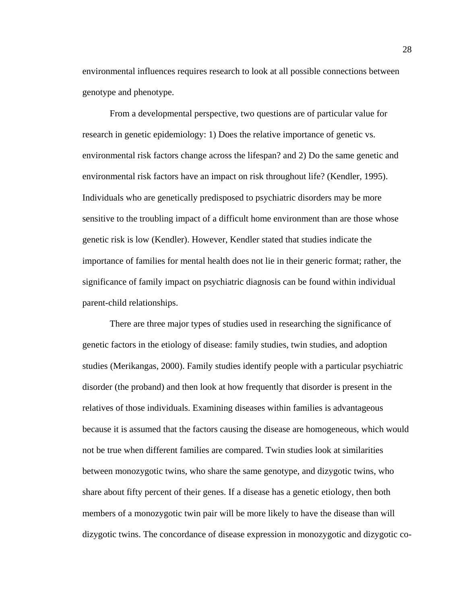environmental influences requires research to look at all possible connections between genotype and phenotype.

From a developmental perspective, two questions are of particular value for research in genetic epidemiology: 1) Does the relative importance of genetic vs. environmental risk factors change across the lifespan? and 2) Do the same genetic and environmental risk factors have an impact on risk throughout life? (Kendler, 1995). Individuals who are genetically predisposed to psychiatric disorders may be more sensitive to the troubling impact of a difficult home environment than are those whose genetic risk is low (Kendler). However, Kendler stated that studies indicate the importance of families for mental health does not lie in their generic format; rather, the significance of family impact on psychiatric diagnosis can be found within individual parent-child relationships.

 There are three major types of studies used in researching the significance of genetic factors in the etiology of disease: family studies, twin studies, and adoption studies (Merikangas, 2000). Family studies identify people with a particular psychiatric disorder (the proband) and then look at how frequently that disorder is present in the relatives of those individuals. Examining diseases within families is advantageous because it is assumed that the factors causing the disease are homogeneous, which would not be true when different families are compared. Twin studies look at similarities between monozygotic twins, who share the same genotype, and dizygotic twins, who share about fifty percent of their genes. If a disease has a genetic etiology, then both members of a monozygotic twin pair will be more likely to have the disease than will dizygotic twins. The concordance of disease expression in monozygotic and dizygotic co-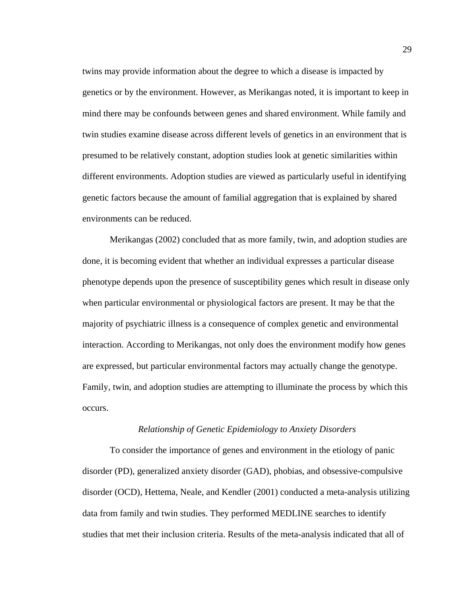twins may provide information about the degree to which a disease is impacted by genetics or by the environment. However, as Merikangas noted, it is important to keep in mind there may be confounds between genes and shared environment. While family and twin studies examine disease across different levels of genetics in an environment that is presumed to be relatively constant, adoption studies look at genetic similarities within different environments. Adoption studies are viewed as particularly useful in identifying genetic factors because the amount of familial aggregation that is explained by shared environments can be reduced.

Merikangas (2002) concluded that as more family, twin, and adoption studies are done, it is becoming evident that whether an individual expresses a particular disease phenotype depends upon the presence of susceptibility genes which result in disease only when particular environmental or physiological factors are present. It may be that the majority of psychiatric illness is a consequence of complex genetic and environmental interaction. According to Merikangas, not only does the environment modify how genes are expressed, but particular environmental factors may actually change the genotype. Family, twin, and adoption studies are attempting to illuminate the process by which this occurs.

### *Relationship of Genetic Epidemiology to Anxiety Disorders*

To consider the importance of genes and environment in the etiology of panic disorder (PD), generalized anxiety disorder (GAD), phobias, and obsessive-compulsive disorder (OCD), Hettema, Neale, and Kendler (2001) conducted a meta-analysis utilizing data from family and twin studies. They performed MEDLINE searches to identify studies that met their inclusion criteria. Results of the meta-analysis indicated that all of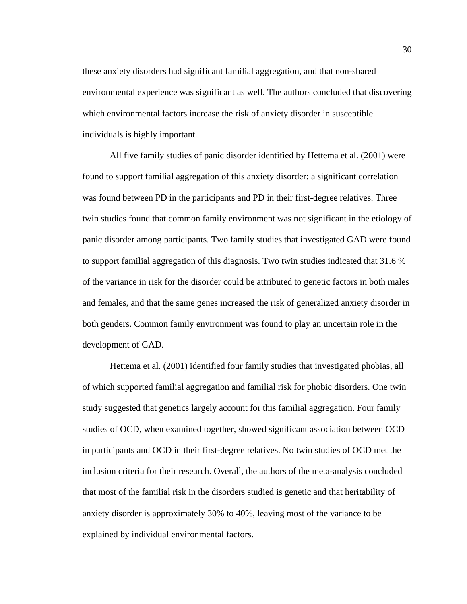these anxiety disorders had significant familial aggregation, and that non-shared environmental experience was significant as well. The authors concluded that discovering which environmental factors increase the risk of anxiety disorder in susceptible individuals is highly important.

All five family studies of panic disorder identified by Hettema et al. (2001) were found to support familial aggregation of this anxiety disorder: a significant correlation was found between PD in the participants and PD in their first-degree relatives. Three twin studies found that common family environment was not significant in the etiology of panic disorder among participants. Two family studies that investigated GAD were found to support familial aggregation of this diagnosis. Two twin studies indicated that 31.6 % of the variance in risk for the disorder could be attributed to genetic factors in both males and females, and that the same genes increased the risk of generalized anxiety disorder in both genders. Common family environment was found to play an uncertain role in the development of GAD.

Hettema et al. (2001) identified four family studies that investigated phobias, all of which supported familial aggregation and familial risk for phobic disorders. One twin study suggested that genetics largely account for this familial aggregation. Four family studies of OCD, when examined together, showed significant association between OCD in participants and OCD in their first-degree relatives. No twin studies of OCD met the inclusion criteria for their research. Overall, the authors of the meta-analysis concluded that most of the familial risk in the disorders studied is genetic and that heritability of anxiety disorder is approximately 30% to 40%, leaving most of the variance to be explained by individual environmental factors.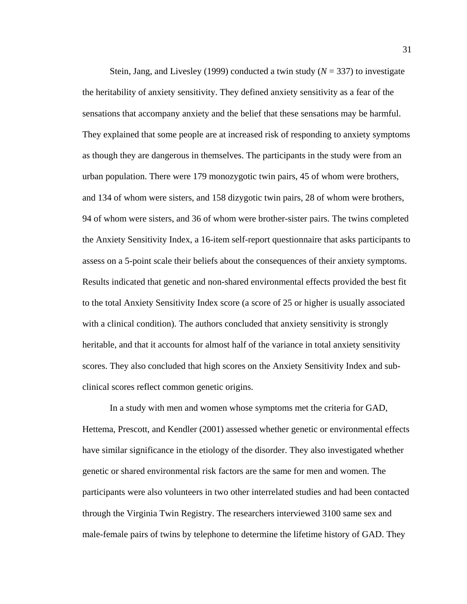Stein, Jang, and Livesley (1999) conducted a twin study (*N* = 337) to investigate the heritability of anxiety sensitivity. They defined anxiety sensitivity as a fear of the sensations that accompany anxiety and the belief that these sensations may be harmful. They explained that some people are at increased risk of responding to anxiety symptoms as though they are dangerous in themselves. The participants in the study were from an urban population. There were 179 monozygotic twin pairs, 45 of whom were brothers, and 134 of whom were sisters, and 158 dizygotic twin pairs, 28 of whom were brothers, 94 of whom were sisters, and 36 of whom were brother-sister pairs. The twins completed the Anxiety Sensitivity Index, a 16-item self-report questionnaire that asks participants to assess on a 5-point scale their beliefs about the consequences of their anxiety symptoms. Results indicated that genetic and non-shared environmental effects provided the best fit to the total Anxiety Sensitivity Index score (a score of 25 or higher is usually associated with a clinical condition). The authors concluded that anxiety sensitivity is strongly heritable, and that it accounts for almost half of the variance in total anxiety sensitivity scores. They also concluded that high scores on the Anxiety Sensitivity Index and subclinical scores reflect common genetic origins.

 In a study with men and women whose symptoms met the criteria for GAD, Hettema, Prescott, and Kendler (2001) assessed whether genetic or environmental effects have similar significance in the etiology of the disorder. They also investigated whether genetic or shared environmental risk factors are the same for men and women. The participants were also volunteers in two other interrelated studies and had been contacted through the Virginia Twin Registry. The researchers interviewed 3100 same sex and male-female pairs of twins by telephone to determine the lifetime history of GAD. They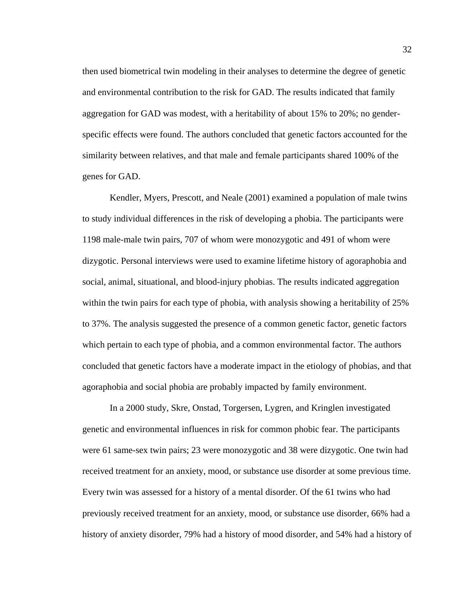then used biometrical twin modeling in their analyses to determine the degree of genetic and environmental contribution to the risk for GAD. The results indicated that family aggregation for GAD was modest, with a heritability of about 15% to 20%; no genderspecific effects were found. The authors concluded that genetic factors accounted for the similarity between relatives, and that male and female participants shared 100% of the genes for GAD.

 Kendler, Myers, Prescott, and Neale (2001) examined a population of male twins to study individual differences in the risk of developing a phobia. The participants were 1198 male-male twin pairs, 707 of whom were monozygotic and 491 of whom were dizygotic. Personal interviews were used to examine lifetime history of agoraphobia and social, animal, situational, and blood-injury phobias. The results indicated aggregation within the twin pairs for each type of phobia, with analysis showing a heritability of 25% to 37%. The analysis suggested the presence of a common genetic factor, genetic factors which pertain to each type of phobia, and a common environmental factor. The authors concluded that genetic factors have a moderate impact in the etiology of phobias, and that agoraphobia and social phobia are probably impacted by family environment.

 In a 2000 study, Skre, Onstad, Torgersen, Lygren, and Kringlen investigated genetic and environmental influences in risk for common phobic fear. The participants were 61 same-sex twin pairs; 23 were monozygotic and 38 were dizygotic. One twin had received treatment for an anxiety, mood, or substance use disorder at some previous time. Every twin was assessed for a history of a mental disorder. Of the 61 twins who had previously received treatment for an anxiety, mood, or substance use disorder, 66% had a history of anxiety disorder, 79% had a history of mood disorder, and 54% had a history of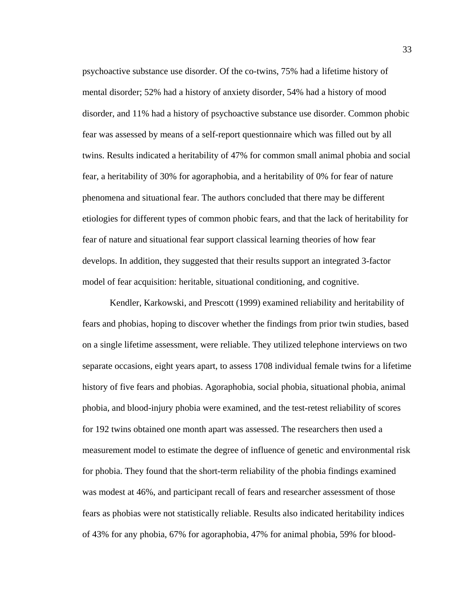psychoactive substance use disorder. Of the co-twins, 75% had a lifetime history of mental disorder; 52% had a history of anxiety disorder, 54% had a history of mood disorder, and 11% had a history of psychoactive substance use disorder. Common phobic fear was assessed by means of a self-report questionnaire which was filled out by all twins. Results indicated a heritability of 47% for common small animal phobia and social fear, a heritability of 30% for agoraphobia, and a heritability of 0% for fear of nature phenomena and situational fear. The authors concluded that there may be different etiologies for different types of common phobic fears, and that the lack of heritability for fear of nature and situational fear support classical learning theories of how fear develops. In addition, they suggested that their results support an integrated 3-factor model of fear acquisition: heritable, situational conditioning, and cognitive.

 Kendler, Karkowski, and Prescott (1999) examined reliability and heritability of fears and phobias, hoping to discover whether the findings from prior twin studies, based on a single lifetime assessment, were reliable. They utilized telephone interviews on two separate occasions, eight years apart, to assess 1708 individual female twins for a lifetime history of five fears and phobias. Agoraphobia, social phobia, situational phobia, animal phobia, and blood-injury phobia were examined, and the test-retest reliability of scores for 192 twins obtained one month apart was assessed. The researchers then used a measurement model to estimate the degree of influence of genetic and environmental risk for phobia. They found that the short-term reliability of the phobia findings examined was modest at 46%, and participant recall of fears and researcher assessment of those fears as phobias were not statistically reliable. Results also indicated heritability indices of 43% for any phobia, 67% for agoraphobia, 47% for animal phobia, 59% for blood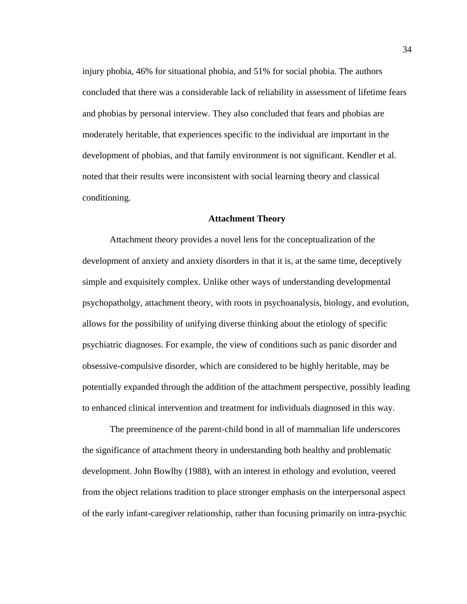injury phobia, 46% for situational phobia, and 51% for social phobia. The authors concluded that there was a considerable lack of reliability in assessment of lifetime fears and phobias by personal interview. They also concluded that fears and phobias are moderately heritable, that experiences specific to the individual are important in the development of phobias, and that family environment is not significant. Kendler et al. noted that their results were inconsistent with social learning theory and classical conditioning.

#### **Attachment Theory**

Attachment theory provides a novel lens for the conceptualization of the development of anxiety and anxiety disorders in that it is, at the same time, deceptively simple and exquisitely complex. Unlike other ways of understanding developmental psychopatholgy, attachment theory, with roots in psychoanalysis, biology, and evolution, allows for the possibility of unifying diverse thinking about the etiology of specific psychiatric diagnoses. For example, the view of conditions such as panic disorder and obsessive-compulsive disorder, which are considered to be highly heritable, may be potentially expanded through the addition of the attachment perspective, possibly leading to enhanced clinical intervention and treatment for individuals diagnosed in this way.

 The preeminence of the parent-child bond in all of mammalian life underscores the significance of attachment theory in understanding both healthy and problematic development. John Bowlby (1988), with an interest in ethology and evolution, veered from the object relations tradition to place stronger emphasis on the interpersonal aspect of the early infant-caregiver relationship, rather than focusing primarily on intra-psychic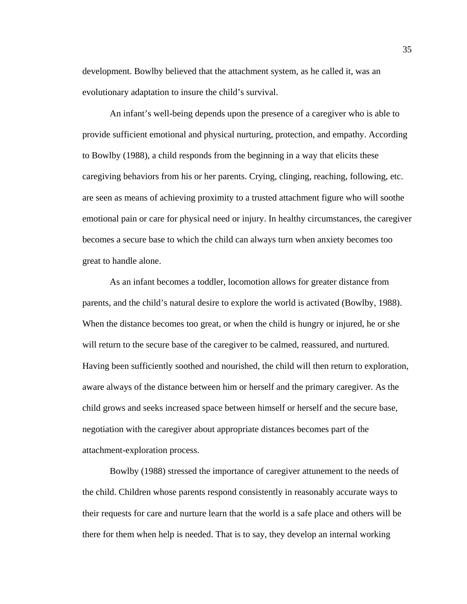development. Bowlby believed that the attachment system, as he called it, was an evolutionary adaptation to insure the child's survival.

 An infant's well-being depends upon the presence of a caregiver who is able to provide sufficient emotional and physical nurturing, protection, and empathy. According to Bowlby (1988), a child responds from the beginning in a way that elicits these caregiving behaviors from his or her parents. Crying, clinging, reaching, following, etc. are seen as means of achieving proximity to a trusted attachment figure who will soothe emotional pain or care for physical need or injury. In healthy circumstances, the caregiver becomes a secure base to which the child can always turn when anxiety becomes too great to handle alone.

 As an infant becomes a toddler, locomotion allows for greater distance from parents, and the child's natural desire to explore the world is activated (Bowlby, 1988). When the distance becomes too great, or when the child is hungry or injured, he or she will return to the secure base of the caregiver to be calmed, reassured, and nurtured. Having been sufficiently soothed and nourished, the child will then return to exploration, aware always of the distance between him or herself and the primary caregiver. As the child grows and seeks increased space between himself or herself and the secure base, negotiation with the caregiver about appropriate distances becomes part of the attachment-exploration process.

 Bowlby (1988) stressed the importance of caregiver attunement to the needs of the child. Children whose parents respond consistently in reasonably accurate ways to their requests for care and nurture learn that the world is a safe place and others will be there for them when help is needed. That is to say, they develop an internal working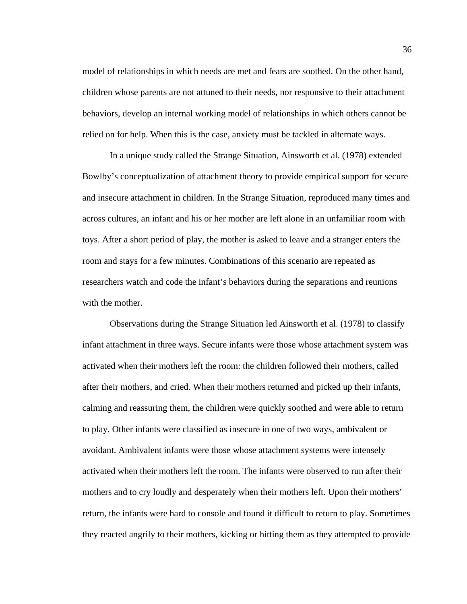model of relationships in which needs are met and fears are soothed. On the other hand, children whose parents are not attuned to their needs, nor responsive to their attachment behaviors, develop an internal working model of relationships in which others cannot be relied on for help. When this is the case, anxiety must be tackled in alternate ways.

In a unique study called the Strange Situation, Ainsworth et al. (1978) extended Bowlby's conceptualization of attachment theory to provide empirical support for secure and insecure attachment in children. In the Strange Situation, reproduced many times and across cultures, an infant and his or her mother are left alone in an unfamiliar room with toys. After a short period of play, the mother is asked to leave and a stranger enters the room and stays for a few minutes. Combinations of this scenario are repeated as researchers watch and code the infant's behaviors during the separations and reunions with the mother.

 Observations during the Strange Situation led Ainsworth et al. (1978) to classify infant attachment in three ways. Secure infants were those whose attachment system was activated when their mothers left the room: the children followed their mothers, called after their mothers, and cried. When their mothers returned and picked up their infants, calming and reassuring them, the children were quickly soothed and were able to return to play. Other infants were classified as insecure in one of two ways, ambivalent or avoidant. Ambivalent infants were those whose attachment systems were intensely activated when their mothers left the room. The infants were observed to run after their mothers and to cry loudly and desperately when their mothers left. Upon their mothers' return, the infants were hard to console and found it difficult to return to play. Sometimes they reacted angrily to their mothers, kicking or hitting them as they attempted to provide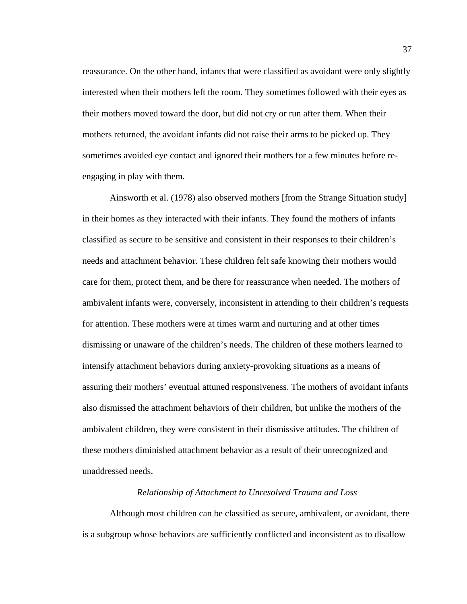reassurance. On the other hand, infants that were classified as avoidant were only slightly interested when their mothers left the room. They sometimes followed with their eyes as their mothers moved toward the door, but did not cry or run after them. When their mothers returned, the avoidant infants did not raise their arms to be picked up. They sometimes avoided eye contact and ignored their mothers for a few minutes before reengaging in play with them.

 Ainsworth et al. (1978) also observed mothers [from the Strange Situation study] in their homes as they interacted with their infants. They found the mothers of infants classified as secure to be sensitive and consistent in their responses to their children's needs and attachment behavior. These children felt safe knowing their mothers would care for them, protect them, and be there for reassurance when needed. The mothers of ambivalent infants were, conversely, inconsistent in attending to their children's requests for attention. These mothers were at times warm and nurturing and at other times dismissing or unaware of the children's needs. The children of these mothers learned to intensify attachment behaviors during anxiety-provoking situations as a means of assuring their mothers' eventual attuned responsiveness. The mothers of avoidant infants also dismissed the attachment behaviors of their children, but unlike the mothers of the ambivalent children, they were consistent in their dismissive attitudes. The children of these mothers diminished attachment behavior as a result of their unrecognized and unaddressed needs.

## *Relationship of Attachment to Unresolved Trauma and Loss*

 Although most children can be classified as secure, ambivalent, or avoidant, there is a subgroup whose behaviors are sufficiently conflicted and inconsistent as to disallow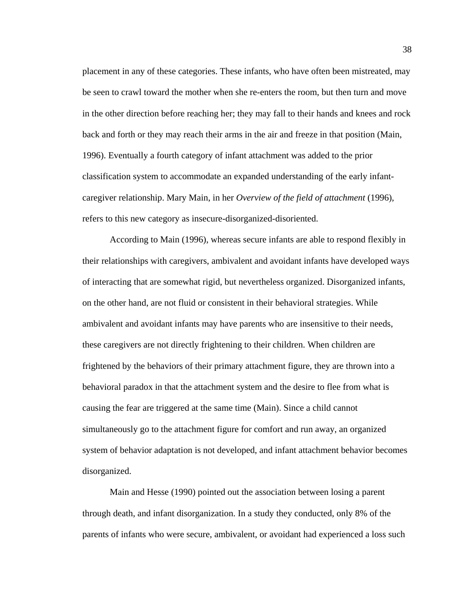placement in any of these categories. These infants, who have often been mistreated, may be seen to crawl toward the mother when she re-enters the room, but then turn and move in the other direction before reaching her; they may fall to their hands and knees and rock back and forth or they may reach their arms in the air and freeze in that position (Main, 1996). Eventually a fourth category of infant attachment was added to the prior classification system to accommodate an expanded understanding of the early infantcaregiver relationship. Mary Main, in her *Overview of the field of attachment* (1996), refers to this new category as insecure-disorganized-disoriented.

 According to Main (1996), whereas secure infants are able to respond flexibly in their relationships with caregivers, ambivalent and avoidant infants have developed ways of interacting that are somewhat rigid, but nevertheless organized. Disorganized infants, on the other hand, are not fluid or consistent in their behavioral strategies. While ambivalent and avoidant infants may have parents who are insensitive to their needs, these caregivers are not directly frightening to their children. When children are frightened by the behaviors of their primary attachment figure, they are thrown into a behavioral paradox in that the attachment system and the desire to flee from what is causing the fear are triggered at the same time (Main). Since a child cannot simultaneously go to the attachment figure for comfort and run away, an organized system of behavior adaptation is not developed, and infant attachment behavior becomes disorganized.

 Main and Hesse (1990) pointed out the association between losing a parent through death, and infant disorganization. In a study they conducted, only 8% of the parents of infants who were secure, ambivalent, or avoidant had experienced a loss such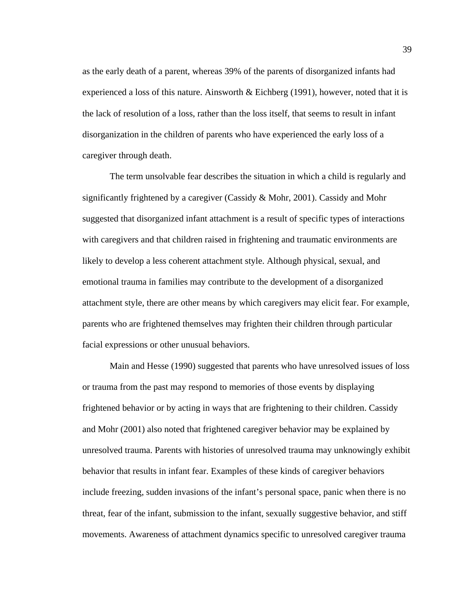as the early death of a parent, whereas 39% of the parents of disorganized infants had experienced a loss of this nature. Ainsworth  $&$  Eichberg (1991), however, noted that it is the lack of resolution of a loss, rather than the loss itself, that seems to result in infant disorganization in the children of parents who have experienced the early loss of a caregiver through death.

 The term unsolvable fear describes the situation in which a child is regularly and significantly frightened by a caregiver (Cassidy & Mohr, 2001). Cassidy and Mohr suggested that disorganized infant attachment is a result of specific types of interactions with caregivers and that children raised in frightening and traumatic environments are likely to develop a less coherent attachment style. Although physical, sexual, and emotional trauma in families may contribute to the development of a disorganized attachment style, there are other means by which caregivers may elicit fear. For example, parents who are frightened themselves may frighten their children through particular facial expressions or other unusual behaviors.

Main and Hesse (1990) suggested that parents who have unresolved issues of loss or trauma from the past may respond to memories of those events by displaying frightened behavior or by acting in ways that are frightening to their children. Cassidy and Mohr (2001) also noted that frightened caregiver behavior may be explained by unresolved trauma. Parents with histories of unresolved trauma may unknowingly exhibit behavior that results in infant fear. Examples of these kinds of caregiver behaviors include freezing, sudden invasions of the infant's personal space, panic when there is no threat, fear of the infant, submission to the infant, sexually suggestive behavior, and stiff movements. Awareness of attachment dynamics specific to unresolved caregiver trauma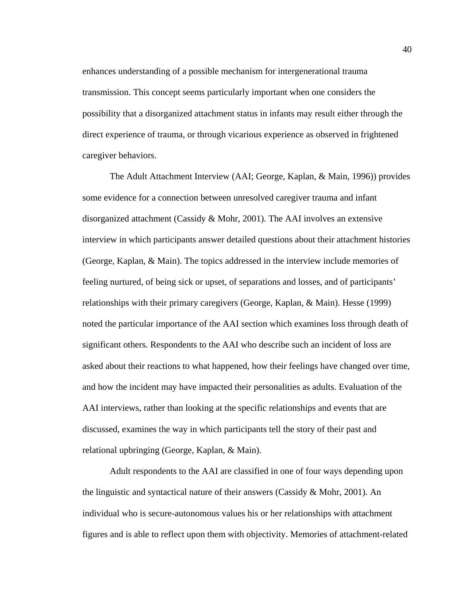enhances understanding of a possible mechanism for intergenerational trauma transmission. This concept seems particularly important when one considers the possibility that a disorganized attachment status in infants may result either through the direct experience of trauma, or through vicarious experience as observed in frightened caregiver behaviors.

The Adult Attachment Interview (AAI; George, Kaplan, & Main, 1996)) provides some evidence for a connection between unresolved caregiver trauma and infant disorganized attachment (Cassidy & Mohr, 2001). The AAI involves an extensive interview in which participants answer detailed questions about their attachment histories (George, Kaplan, & Main). The topics addressed in the interview include memories of feeling nurtured, of being sick or upset, of separations and losses, and of participants' relationships with their primary caregivers (George, Kaplan, & Main). Hesse (1999) noted the particular importance of the AAI section which examines loss through death of significant others. Respondents to the AAI who describe such an incident of loss are asked about their reactions to what happened, how their feelings have changed over time, and how the incident may have impacted their personalities as adults. Evaluation of the AAI interviews, rather than looking at the specific relationships and events that are discussed, examines the way in which participants tell the story of their past and relational upbringing (George, Kaplan, & Main).

Adult respondents to the AAI are classified in one of four ways depending upon the linguistic and syntactical nature of their answers (Cassidy & Mohr, 2001). An individual who is secure-autonomous values his or her relationships with attachment figures and is able to reflect upon them with objectivity. Memories of attachment-related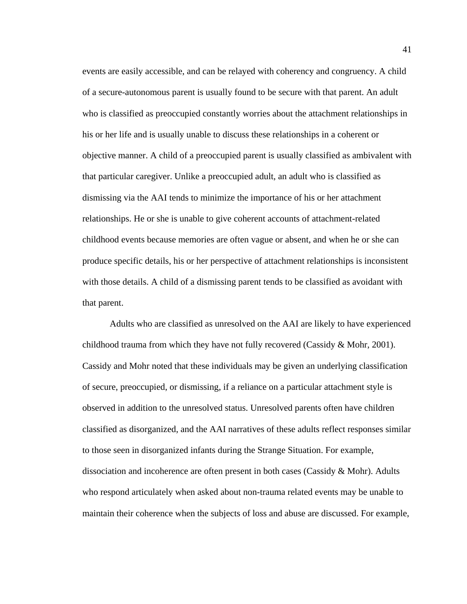events are easily accessible, and can be relayed with coherency and congruency. A child of a secure-autonomous parent is usually found to be secure with that parent. An adult who is classified as preoccupied constantly worries about the attachment relationships in his or her life and is usually unable to discuss these relationships in a coherent or objective manner. A child of a preoccupied parent is usually classified as ambivalent with that particular caregiver. Unlike a preoccupied adult, an adult who is classified as dismissing via the AAI tends to minimize the importance of his or her attachment relationships. He or she is unable to give coherent accounts of attachment-related childhood events because memories are often vague or absent, and when he or she can produce specific details, his or her perspective of attachment relationships is inconsistent with those details. A child of a dismissing parent tends to be classified as avoidant with that parent.

Adults who are classified as unresolved on the AAI are likely to have experienced childhood trauma from which they have not fully recovered (Cassidy & Mohr, 2001). Cassidy and Mohr noted that these individuals may be given an underlying classification of secure, preoccupied, or dismissing, if a reliance on a particular attachment style is observed in addition to the unresolved status. Unresolved parents often have children classified as disorganized, and the AAI narratives of these adults reflect responses similar to those seen in disorganized infants during the Strange Situation. For example, dissociation and incoherence are often present in both cases (Cassidy & Mohr). Adults who respond articulately when asked about non-trauma related events may be unable to maintain their coherence when the subjects of loss and abuse are discussed. For example,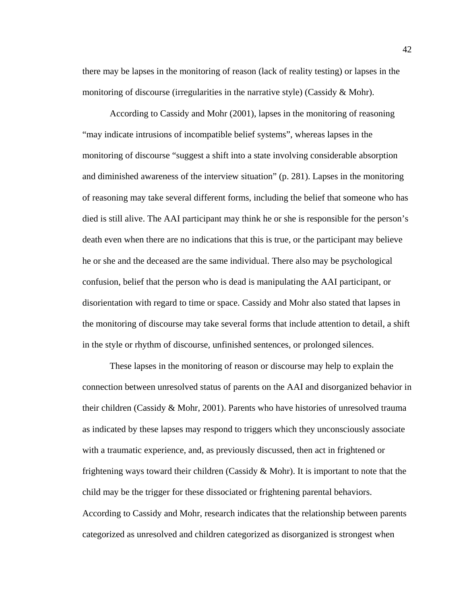there may be lapses in the monitoring of reason (lack of reality testing) or lapses in the monitoring of discourse (irregularities in the narrative style) (Cassidy  $\&$  Mohr).

According to Cassidy and Mohr (2001), lapses in the monitoring of reasoning "may indicate intrusions of incompatible belief systems", whereas lapses in the monitoring of discourse "suggest a shift into a state involving considerable absorption and diminished awareness of the interview situation" (p. 281). Lapses in the monitoring of reasoning may take several different forms, including the belief that someone who has died is still alive. The AAI participant may think he or she is responsible for the person's death even when there are no indications that this is true, or the participant may believe he or she and the deceased are the same individual. There also may be psychological confusion, belief that the person who is dead is manipulating the AAI participant, or disorientation with regard to time or space. Cassidy and Mohr also stated that lapses in the monitoring of discourse may take several forms that include attention to detail, a shift in the style or rhythm of discourse, unfinished sentences, or prolonged silences.

These lapses in the monitoring of reason or discourse may help to explain the connection between unresolved status of parents on the AAI and disorganized behavior in their children (Cassidy & Mohr, 2001). Parents who have histories of unresolved trauma as indicated by these lapses may respond to triggers which they unconsciously associate with a traumatic experience, and, as previously discussed, then act in frightened or frightening ways toward their children (Cassidy  $& Mohr$ ). It is important to note that the child may be the trigger for these dissociated or frightening parental behaviors. According to Cassidy and Mohr, research indicates that the relationship between parents categorized as unresolved and children categorized as disorganized is strongest when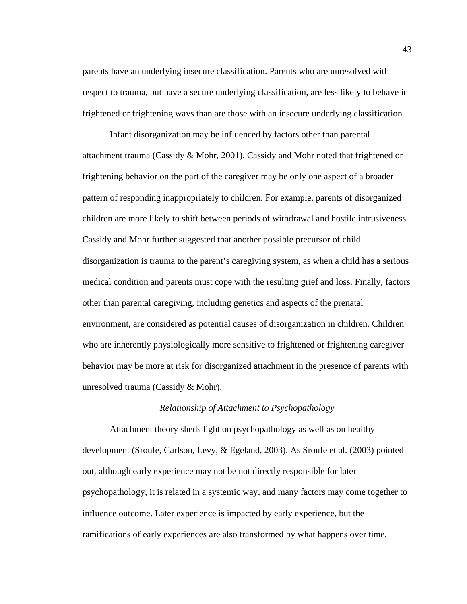parents have an underlying insecure classification. Parents who are unresolved with respect to trauma, but have a secure underlying classification, are less likely to behave in frightened or frightening ways than are those with an insecure underlying classification.

Infant disorganization may be influenced by factors other than parental attachment trauma (Cassidy & Mohr, 2001). Cassidy and Mohr noted that frightened or frightening behavior on the part of the caregiver may be only one aspect of a broader pattern of responding inappropriately to children. For example, parents of disorganized children are more likely to shift between periods of withdrawal and hostile intrusiveness. Cassidy and Mohr further suggested that another possible precursor of child disorganization is trauma to the parent's caregiving system, as when a child has a serious medical condition and parents must cope with the resulting grief and loss. Finally, factors other than parental caregiving, including genetics and aspects of the prenatal environment, are considered as potential causes of disorganization in children. Children who are inherently physiologically more sensitive to frightened or frightening caregiver behavior may be more at risk for disorganized attachment in the presence of parents with unresolved trauma (Cassidy & Mohr).

## *Relationship of Attachment to Psychopathology*

 Attachment theory sheds light on psychopathology as well as on healthy development (Sroufe, Carlson, Levy, & Egeland, 2003). As Sroufe et al. (2003) pointed out, although early experience may not be not directly responsible for later psychopathology, it is related in a systemic way, and many factors may come together to influence outcome. Later experience is impacted by early experience, but the ramifications of early experiences are also transformed by what happens over time.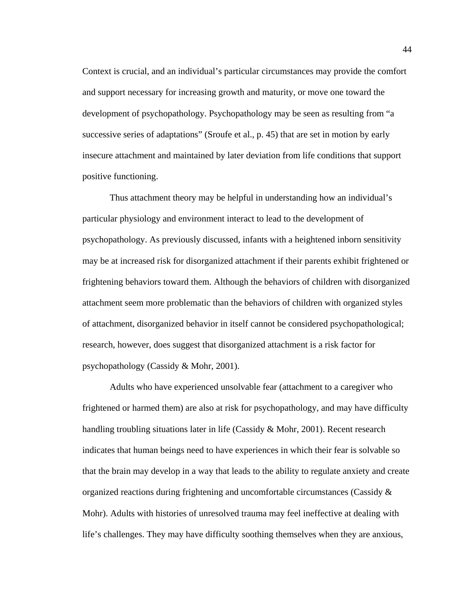Context is crucial, and an individual's particular circumstances may provide the comfort and support necessary for increasing growth and maturity, or move one toward the development of psychopathology. Psychopathology may be seen as resulting from "a successive series of adaptations" (Sroufe et al., p. 45) that are set in motion by early insecure attachment and maintained by later deviation from life conditions that support positive functioning.

 Thus attachment theory may be helpful in understanding how an individual's particular physiology and environment interact to lead to the development of psychopathology. As previously discussed, infants with a heightened inborn sensitivity may be at increased risk for disorganized attachment if their parents exhibit frightened or frightening behaviors toward them. Although the behaviors of children with disorganized attachment seem more problematic than the behaviors of children with organized styles of attachment, disorganized behavior in itself cannot be considered psychopathological; research, however, does suggest that disorganized attachment is a risk factor for psychopathology (Cassidy & Mohr, 2001).

Adults who have experienced unsolvable fear (attachment to a caregiver who frightened or harmed them) are also at risk for psychopathology, and may have difficulty handling troubling situations later in life (Cassidy & Mohr, 2001). Recent research indicates that human beings need to have experiences in which their fear is solvable so that the brain may develop in a way that leads to the ability to regulate anxiety and create organized reactions during frightening and uncomfortable circumstances (Cassidy  $\&$ Mohr). Adults with histories of unresolved trauma may feel ineffective at dealing with life's challenges. They may have difficulty soothing themselves when they are anxious,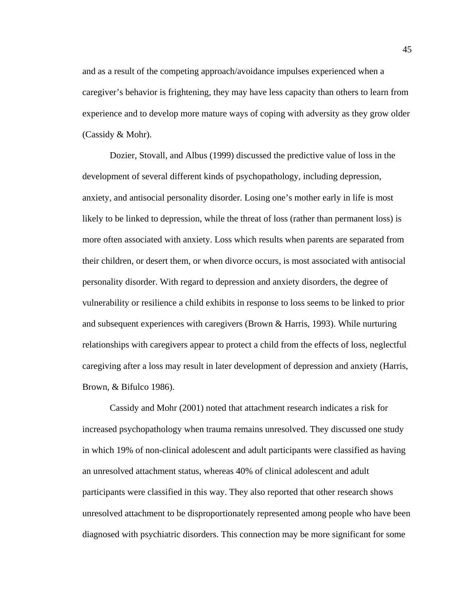and as a result of the competing approach/avoidance impulses experienced when a caregiver's behavior is frightening, they may have less capacity than others to learn from experience and to develop more mature ways of coping with adversity as they grow older (Cassidy & Mohr).

Dozier, Stovall, and Albus (1999) discussed the predictive value of loss in the development of several different kinds of psychopathology, including depression, anxiety, and antisocial personality disorder. Losing one's mother early in life is most likely to be linked to depression, while the threat of loss (rather than permanent loss) is more often associated with anxiety. Loss which results when parents are separated from their children, or desert them, or when divorce occurs, is most associated with antisocial personality disorder. With regard to depression and anxiety disorders, the degree of vulnerability or resilience a child exhibits in response to loss seems to be linked to prior and subsequent experiences with caregivers (Brown & Harris, 1993). While nurturing relationships with caregivers appear to protect a child from the effects of loss, neglectful caregiving after a loss may result in later development of depression and anxiety (Harris, Brown, & Bifulco 1986).

Cassidy and Mohr (2001) noted that attachment research indicates a risk for increased psychopathology when trauma remains unresolved. They discussed one study in which 19% of non-clinical adolescent and adult participants were classified as having an unresolved attachment status, whereas 40% of clinical adolescent and adult participants were classified in this way. They also reported that other research shows unresolved attachment to be disproportionately represented among people who have been diagnosed with psychiatric disorders. This connection may be more significant for some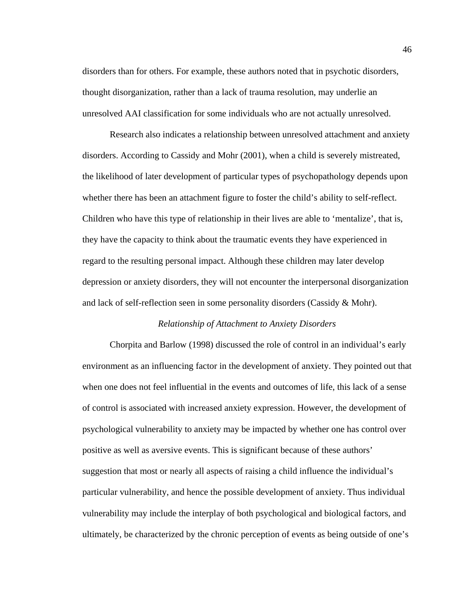disorders than for others. For example, these authors noted that in psychotic disorders, thought disorganization, rather than a lack of trauma resolution, may underlie an unresolved AAI classification for some individuals who are not actually unresolved.

Research also indicates a relationship between unresolved attachment and anxiety disorders. According to Cassidy and Mohr (2001), when a child is severely mistreated, the likelihood of later development of particular types of psychopathology depends upon whether there has been an attachment figure to foster the child's ability to self-reflect. Children who have this type of relationship in their lives are able to 'mentalize', that is, they have the capacity to think about the traumatic events they have experienced in regard to the resulting personal impact. Although these children may later develop depression or anxiety disorders, they will not encounter the interpersonal disorganization and lack of self-reflection seen in some personality disorders (Cassidy & Mohr).

### *Relationship of Attachment to Anxiety Disorders*

 Chorpita and Barlow (1998) discussed the role of control in an individual's early environment as an influencing factor in the development of anxiety. They pointed out that when one does not feel influential in the events and outcomes of life, this lack of a sense of control is associated with increased anxiety expression. However, the development of psychological vulnerability to anxiety may be impacted by whether one has control over positive as well as aversive events. This is significant because of these authors' suggestion that most or nearly all aspects of raising a child influence the individual's particular vulnerability, and hence the possible development of anxiety. Thus individual vulnerability may include the interplay of both psychological and biological factors, and ultimately, be characterized by the chronic perception of events as being outside of one's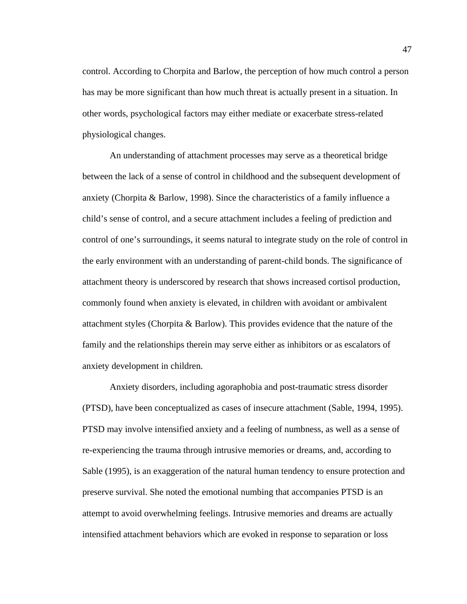control. According to Chorpita and Barlow, the perception of how much control a person has may be more significant than how much threat is actually present in a situation. In other words, psychological factors may either mediate or exacerbate stress-related physiological changes.

 An understanding of attachment processes may serve as a theoretical bridge between the lack of a sense of control in childhood and the subsequent development of anxiety (Chorpita & Barlow, 1998). Since the characteristics of a family influence a child's sense of control, and a secure attachment includes a feeling of prediction and control of one's surroundings, it seems natural to integrate study on the role of control in the early environment with an understanding of parent-child bonds. The significance of attachment theory is underscored by research that shows increased cortisol production, commonly found when anxiety is elevated, in children with avoidant or ambivalent attachment styles (Chorpita & Barlow). This provides evidence that the nature of the family and the relationships therein may serve either as inhibitors or as escalators of anxiety development in children.

 Anxiety disorders, including agoraphobia and post-traumatic stress disorder (PTSD), have been conceptualized as cases of insecure attachment (Sable, 1994, 1995). PTSD may involve intensified anxiety and a feeling of numbness, as well as a sense of re-experiencing the trauma through intrusive memories or dreams, and, according to Sable (1995), is an exaggeration of the natural human tendency to ensure protection and preserve survival. She noted the emotional numbing that accompanies PTSD is an attempt to avoid overwhelming feelings. Intrusive memories and dreams are actually intensified attachment behaviors which are evoked in response to separation or loss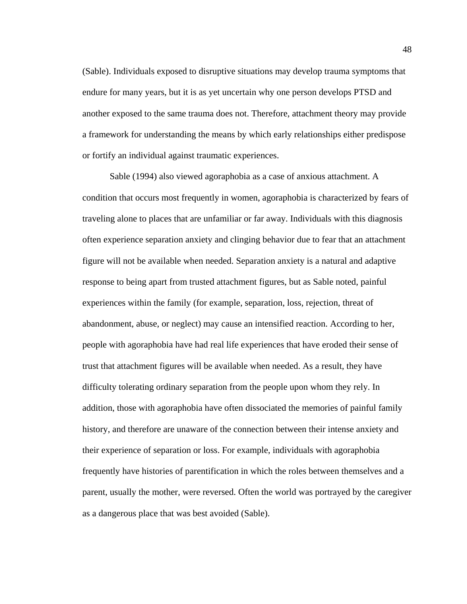(Sable). Individuals exposed to disruptive situations may develop trauma symptoms that endure for many years, but it is as yet uncertain why one person develops PTSD and another exposed to the same trauma does not. Therefore, attachment theory may provide a framework for understanding the means by which early relationships either predispose or fortify an individual against traumatic experiences.

 Sable (1994) also viewed agoraphobia as a case of anxious attachment. A condition that occurs most frequently in women, agoraphobia is characterized by fears of traveling alone to places that are unfamiliar or far away. Individuals with this diagnosis often experience separation anxiety and clinging behavior due to fear that an attachment figure will not be available when needed. Separation anxiety is a natural and adaptive response to being apart from trusted attachment figures, but as Sable noted, painful experiences within the family (for example, separation, loss, rejection, threat of abandonment, abuse, or neglect) may cause an intensified reaction. According to her, people with agoraphobia have had real life experiences that have eroded their sense of trust that attachment figures will be available when needed. As a result, they have difficulty tolerating ordinary separation from the people upon whom they rely. In addition, those with agoraphobia have often dissociated the memories of painful family history, and therefore are unaware of the connection between their intense anxiety and their experience of separation or loss. For example, individuals with agoraphobia frequently have histories of parentification in which the roles between themselves and a parent, usually the mother, were reversed. Often the world was portrayed by the caregiver as a dangerous place that was best avoided (Sable).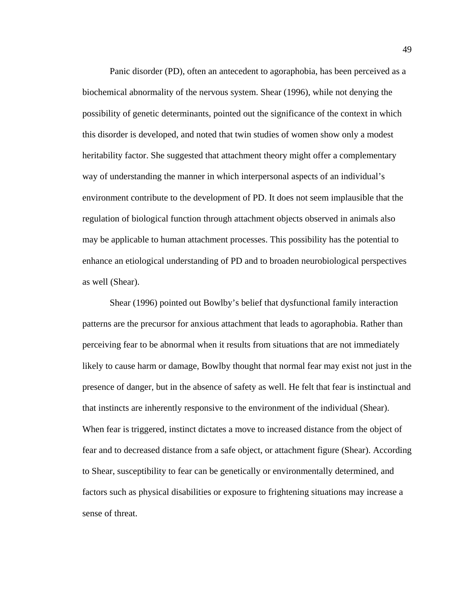Panic disorder (PD), often an antecedent to agoraphobia, has been perceived as a biochemical abnormality of the nervous system. Shear (1996), while not denying the possibility of genetic determinants, pointed out the significance of the context in which this disorder is developed, and noted that twin studies of women show only a modest heritability factor. She suggested that attachment theory might offer a complementary way of understanding the manner in which interpersonal aspects of an individual's environment contribute to the development of PD. It does not seem implausible that the regulation of biological function through attachment objects observed in animals also may be applicable to human attachment processes. This possibility has the potential to enhance an etiological understanding of PD and to broaden neurobiological perspectives as well (Shear).

 Shear (1996) pointed out Bowlby's belief that dysfunctional family interaction patterns are the precursor for anxious attachment that leads to agoraphobia. Rather than perceiving fear to be abnormal when it results from situations that are not immediately likely to cause harm or damage, Bowlby thought that normal fear may exist not just in the presence of danger, but in the absence of safety as well. He felt that fear is instinctual and that instincts are inherently responsive to the environment of the individual (Shear). When fear is triggered, instinct dictates a move to increased distance from the object of fear and to decreased distance from a safe object, or attachment figure (Shear). According to Shear, susceptibility to fear can be genetically or environmentally determined, and factors such as physical disabilities or exposure to frightening situations may increase a sense of threat.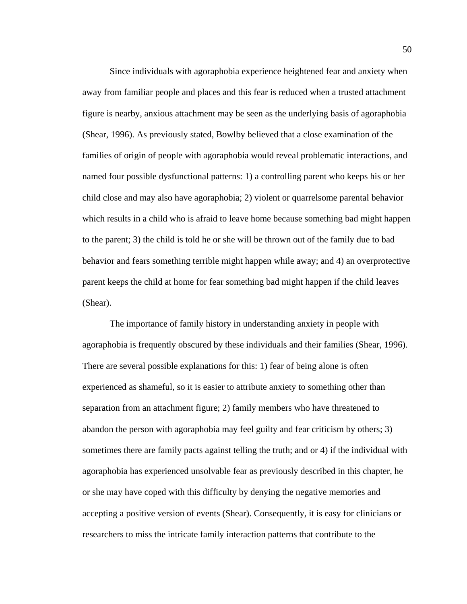Since individuals with agoraphobia experience heightened fear and anxiety when away from familiar people and places and this fear is reduced when a trusted attachment figure is nearby, anxious attachment may be seen as the underlying basis of agoraphobia (Shear, 1996). As previously stated, Bowlby believed that a close examination of the families of origin of people with agoraphobia would reveal problematic interactions, and named four possible dysfunctional patterns: 1) a controlling parent who keeps his or her child close and may also have agoraphobia; 2) violent or quarrelsome parental behavior which results in a child who is afraid to leave home because something bad might happen to the parent; 3) the child is told he or she will be thrown out of the family due to bad behavior and fears something terrible might happen while away; and 4) an overprotective parent keeps the child at home for fear something bad might happen if the child leaves (Shear).

 The importance of family history in understanding anxiety in people with agoraphobia is frequently obscured by these individuals and their families (Shear, 1996). There are several possible explanations for this: 1) fear of being alone is often experienced as shameful, so it is easier to attribute anxiety to something other than separation from an attachment figure; 2) family members who have threatened to abandon the person with agoraphobia may feel guilty and fear criticism by others; 3) sometimes there are family pacts against telling the truth; and or 4) if the individual with agoraphobia has experienced unsolvable fear as previously described in this chapter, he or she may have coped with this difficulty by denying the negative memories and accepting a positive version of events (Shear). Consequently, it is easy for clinicians or researchers to miss the intricate family interaction patterns that contribute to the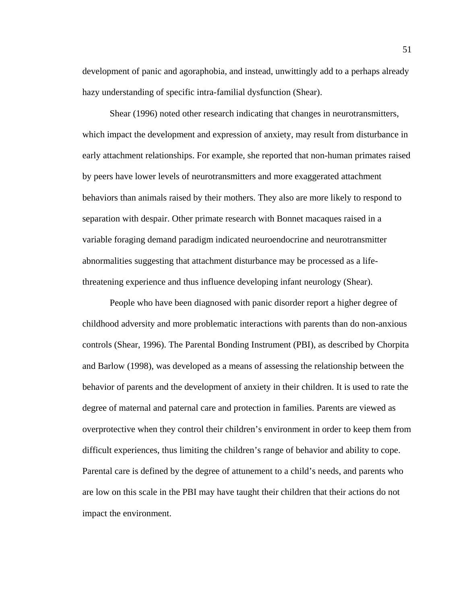development of panic and agoraphobia, and instead, unwittingly add to a perhaps already hazy understanding of specific intra-familial dysfunction (Shear).

 Shear (1996) noted other research indicating that changes in neurotransmitters, which impact the development and expression of anxiety, may result from disturbance in early attachment relationships. For example, she reported that non-human primates raised by peers have lower levels of neurotransmitters and more exaggerated attachment behaviors than animals raised by their mothers. They also are more likely to respond to separation with despair. Other primate research with Bonnet macaques raised in a variable foraging demand paradigm indicated neuroendocrine and neurotransmitter abnormalities suggesting that attachment disturbance may be processed as a lifethreatening experience and thus influence developing infant neurology (Shear).

 People who have been diagnosed with panic disorder report a higher degree of childhood adversity and more problematic interactions with parents than do non-anxious controls (Shear, 1996). The Parental Bonding Instrument (PBI), as described by Chorpita and Barlow (1998), was developed as a means of assessing the relationship between the behavior of parents and the development of anxiety in their children. It is used to rate the degree of maternal and paternal care and protection in families. Parents are viewed as overprotective when they control their children's environment in order to keep them from difficult experiences, thus limiting the children's range of behavior and ability to cope. Parental care is defined by the degree of attunement to a child's needs, and parents who are low on this scale in the PBI may have taught their children that their actions do not impact the environment.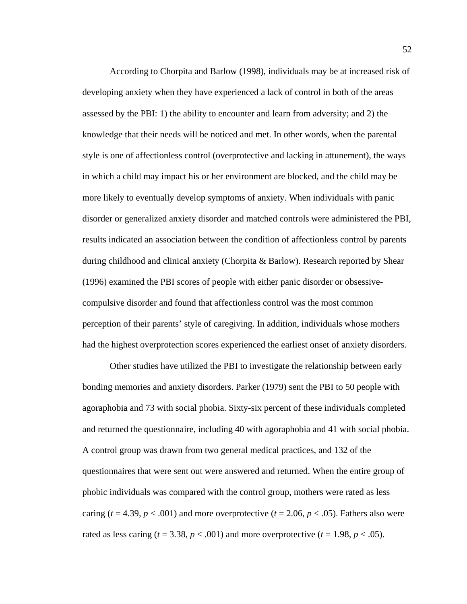According to Chorpita and Barlow (1998), individuals may be at increased risk of developing anxiety when they have experienced a lack of control in both of the areas assessed by the PBI: 1) the ability to encounter and learn from adversity; and 2) the knowledge that their needs will be noticed and met. In other words, when the parental style is one of affectionless control (overprotective and lacking in attunement), the ways in which a child may impact his or her environment are blocked, and the child may be more likely to eventually develop symptoms of anxiety. When individuals with panic disorder or generalized anxiety disorder and matched controls were administered the PBI, results indicated an association between the condition of affectionless control by parents during childhood and clinical anxiety (Chorpita & Barlow). Research reported by Shear (1996) examined the PBI scores of people with either panic disorder or obsessivecompulsive disorder and found that affectionless control was the most common perception of their parents' style of caregiving. In addition, individuals whose mothers had the highest overprotection scores experienced the earliest onset of anxiety disorders.

 Other studies have utilized the PBI to investigate the relationship between early bonding memories and anxiety disorders. Parker (1979) sent the PBI to 50 people with agoraphobia and 73 with social phobia. Sixty-six percent of these individuals completed and returned the questionnaire, including 40 with agoraphobia and 41 with social phobia. A control group was drawn from two general medical practices, and 132 of the questionnaires that were sent out were answered and returned. When the entire group of phobic individuals was compared with the control group, mothers were rated as less caring  $(t = 4.39, p < .001)$  and more overprotective  $(t = 2.06, p < .05)$ . Fathers also were rated as less caring  $(t = 3.38, p < .001)$  and more overprotective  $(t = 1.98, p < .05)$ .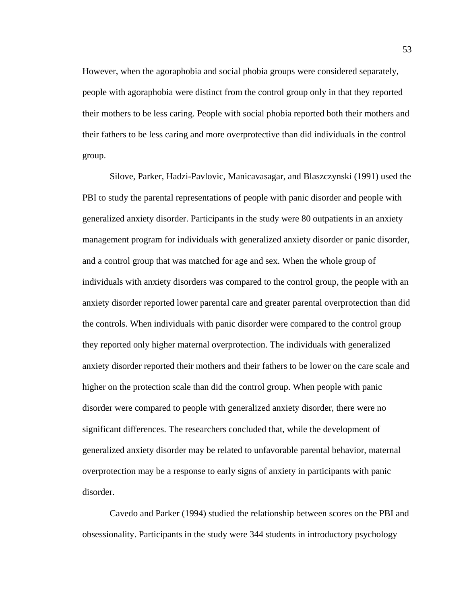However, when the agoraphobia and social phobia groups were considered separately, people with agoraphobia were distinct from the control group only in that they reported their mothers to be less caring. People with social phobia reported both their mothers and their fathers to be less caring and more overprotective than did individuals in the control group.

 Silove, Parker, Hadzi-Pavlovic, Manicavasagar, and Blaszczynski (1991) used the PBI to study the parental representations of people with panic disorder and people with generalized anxiety disorder. Participants in the study were 80 outpatients in an anxiety management program for individuals with generalized anxiety disorder or panic disorder, and a control group that was matched for age and sex. When the whole group of individuals with anxiety disorders was compared to the control group, the people with an anxiety disorder reported lower parental care and greater parental overprotection than did the controls. When individuals with panic disorder were compared to the control group they reported only higher maternal overprotection. The individuals with generalized anxiety disorder reported their mothers and their fathers to be lower on the care scale and higher on the protection scale than did the control group. When people with panic disorder were compared to people with generalized anxiety disorder, there were no significant differences. The researchers concluded that, while the development of generalized anxiety disorder may be related to unfavorable parental behavior, maternal overprotection may be a response to early signs of anxiety in participants with panic disorder.

 Cavedo and Parker (1994) studied the relationship between scores on the PBI and obsessionality. Participants in the study were 344 students in introductory psychology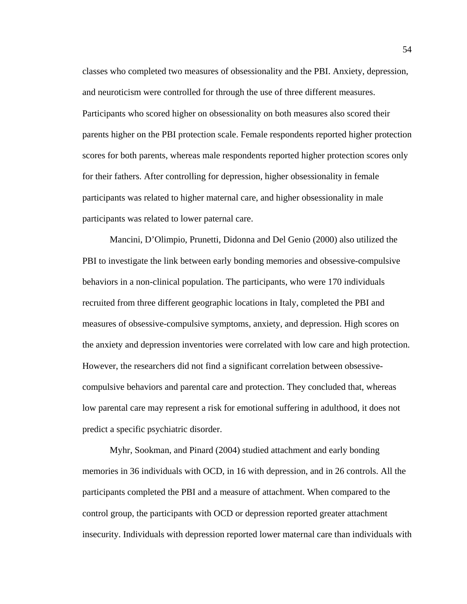classes who completed two measures of obsessionality and the PBI. Anxiety, depression, and neuroticism were controlled for through the use of three different measures. Participants who scored higher on obsessionality on both measures also scored their parents higher on the PBI protection scale. Female respondents reported higher protection scores for both parents, whereas male respondents reported higher protection scores only for their fathers. After controlling for depression, higher obsessionality in female participants was related to higher maternal care, and higher obsessionality in male participants was related to lower paternal care.

 Mancini, D'Olimpio, Prunetti, Didonna and Del Genio (2000) also utilized the PBI to investigate the link between early bonding memories and obsessive-compulsive behaviors in a non-clinical population. The participants, who were 170 individuals recruited from three different geographic locations in Italy, completed the PBI and measures of obsessive-compulsive symptoms, anxiety, and depression. High scores on the anxiety and depression inventories were correlated with low care and high protection. However, the researchers did not find a significant correlation between obsessivecompulsive behaviors and parental care and protection. They concluded that, whereas low parental care may represent a risk for emotional suffering in adulthood, it does not predict a specific psychiatric disorder.

 Myhr, Sookman, and Pinard (2004) studied attachment and early bonding memories in 36 individuals with OCD, in 16 with depression, and in 26 controls. All the participants completed the PBI and a measure of attachment. When compared to the control group, the participants with OCD or depression reported greater attachment insecurity. Individuals with depression reported lower maternal care than individuals with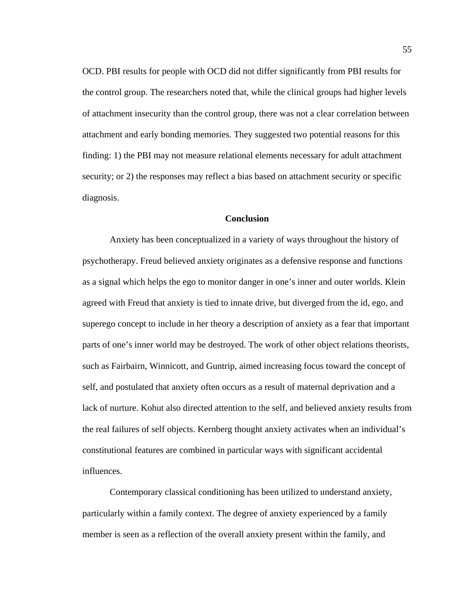OCD. PBI results for people with OCD did not differ significantly from PBI results for the control group. The researchers noted that, while the clinical groups had higher levels of attachment insecurity than the control group, there was not a clear correlation between attachment and early bonding memories. They suggested two potential reasons for this finding: 1) the PBI may not measure relational elements necessary for adult attachment security; or 2) the responses may reflect a bias based on attachment security or specific diagnosis.

#### **Conclusion**

 Anxiety has been conceptualized in a variety of ways throughout the history of psychotherapy. Freud believed anxiety originates as a defensive response and functions as a signal which helps the ego to monitor danger in one's inner and outer worlds. Klein agreed with Freud that anxiety is tied to innate drive, but diverged from the id, ego, and superego concept to include in her theory a description of anxiety as a fear that important parts of one's inner world may be destroyed. The work of other object relations theorists, such as Fairbairn, Winnicott, and Guntrip, aimed increasing focus toward the concept of self, and postulated that anxiety often occurs as a result of maternal deprivation and a lack of nurture. Kohut also directed attention to the self, and believed anxiety results from the real failures of self objects. Kernberg thought anxiety activates when an individual's constitutional features are combined in particular ways with significant accidental influences.

 Contemporary classical conditioning has been utilized to understand anxiety, particularly within a family context. The degree of anxiety experienced by a family member is seen as a reflection of the overall anxiety present within the family, and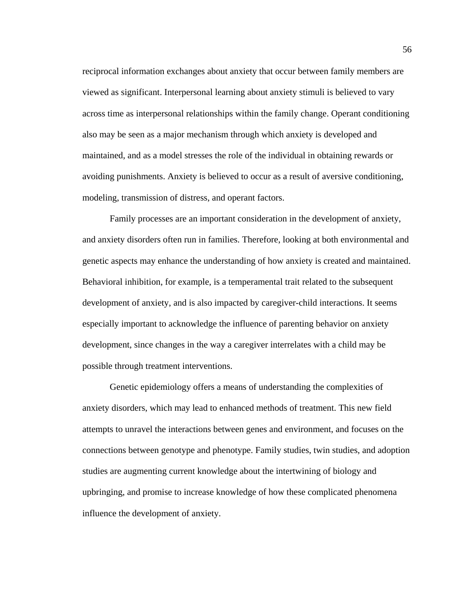reciprocal information exchanges about anxiety that occur between family members are viewed as significant. Interpersonal learning about anxiety stimuli is believed to vary across time as interpersonal relationships within the family change. Operant conditioning also may be seen as a major mechanism through which anxiety is developed and maintained, and as a model stresses the role of the individual in obtaining rewards or avoiding punishments. Anxiety is believed to occur as a result of aversive conditioning, modeling, transmission of distress, and operant factors.

 Family processes are an important consideration in the development of anxiety, and anxiety disorders often run in families. Therefore, looking at both environmental and genetic aspects may enhance the understanding of how anxiety is created and maintained. Behavioral inhibition, for example, is a temperamental trait related to the subsequent development of anxiety, and is also impacted by caregiver-child interactions. It seems especially important to acknowledge the influence of parenting behavior on anxiety development, since changes in the way a caregiver interrelates with a child may be possible through treatment interventions.

 Genetic epidemiology offers a means of understanding the complexities of anxiety disorders, which may lead to enhanced methods of treatment. This new field attempts to unravel the interactions between genes and environment, and focuses on the connections between genotype and phenotype. Family studies, twin studies, and adoption studies are augmenting current knowledge about the intertwining of biology and upbringing, and promise to increase knowledge of how these complicated phenomena influence the development of anxiety.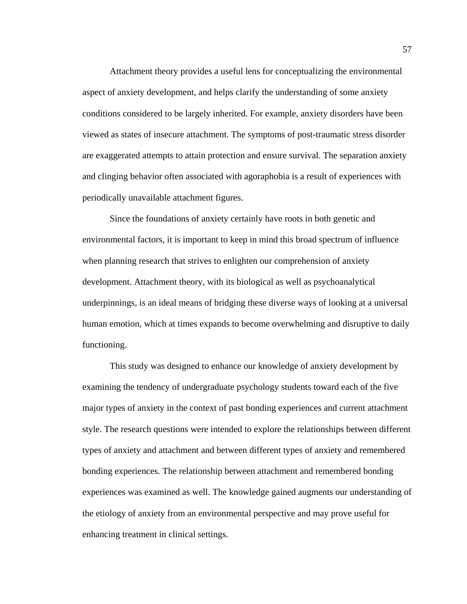Attachment theory provides a useful lens for conceptualizing the environmental aspect of anxiety development, and helps clarify the understanding of some anxiety conditions considered to be largely inherited. For example, anxiety disorders have been viewed as states of insecure attachment. The symptoms of post-traumatic stress disorder are exaggerated attempts to attain protection and ensure survival. The separation anxiety and clinging behavior often associated with agoraphobia is a result of experiences with periodically unavailable attachment figures.

 Since the foundations of anxiety certainly have roots in both genetic and environmental factors, it is important to keep in mind this broad spectrum of influence when planning research that strives to enlighten our comprehension of anxiety development. Attachment theory, with its biological as well as psychoanalytical underpinnings, is an ideal means of bridging these diverse ways of looking at a universal human emotion, which at times expands to become overwhelming and disruptive to daily functioning.

 This study was designed to enhance our knowledge of anxiety development by examining the tendency of undergraduate psychology students toward each of the five major types of anxiety in the context of past bonding experiences and current attachment style. The research questions were intended to explore the relationships between different types of anxiety and attachment and between different types of anxiety and remembered bonding experiences. The relationship between attachment and remembered bonding experiences was examined as well. The knowledge gained augments our understanding of the etiology of anxiety from an environmental perspective and may prove useful for enhancing treatment in clinical settings.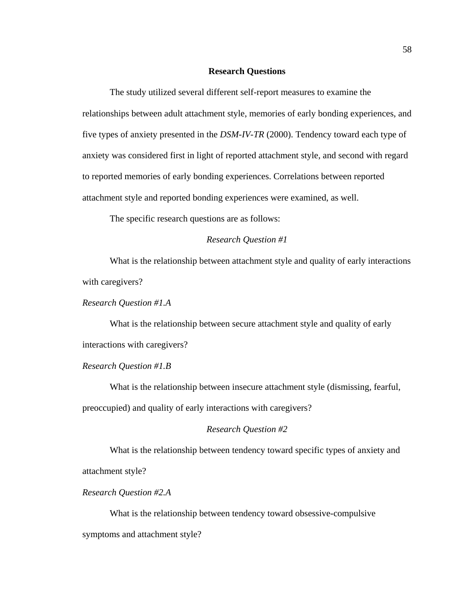#### **Research Questions**

 The study utilized several different self-report measures to examine the relationships between adult attachment style, memories of early bonding experiences, and five types of anxiety presented in the *DSM-IV-TR* (2000). Tendency toward each type of anxiety was considered first in light of reported attachment style, and second with regard to reported memories of early bonding experiences. Correlations between reported attachment style and reported bonding experiences were examined, as well.

The specific research questions are as follows:

### *Research Question #1*

What is the relationship between attachment style and quality of early interactions with caregivers?

*Research Question #1.A* 

 What is the relationship between secure attachment style and quality of early interactions with caregivers?

#### *Research Question #1.B*

 What is the relationship between insecure attachment style (dismissing, fearful, preoccupied) and quality of early interactions with caregivers?

## *Research Question #2*

What is the relationship between tendency toward specific types of anxiety and attachment style?

## *Research Question #2.A*

What is the relationship between tendency toward obsessive-compulsive symptoms and attachment style?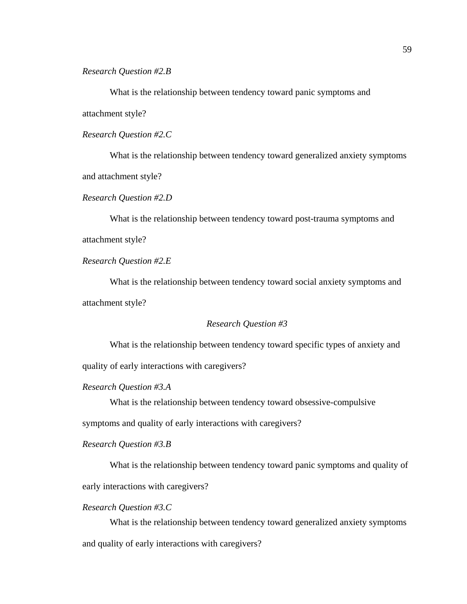*Research Question #2.B* 

 What is the relationship between tendency toward panic symptoms and attachment style?

*Research Question #2.C* 

 What is the relationship between tendency toward generalized anxiety symptoms and attachment style?

*Research Question #2.D* 

 What is the relationship between tendency toward post-trauma symptoms and attachment style?

*Research Question #2.E* 

 What is the relationship between tendency toward social anxiety symptoms and attachment style?

## *Research Question #3*

What is the relationship between tendency toward specific types of anxiety and quality of early interactions with caregivers?

*Research Question #3.A* 

What is the relationship between tendency toward obsessive-compulsive

symptoms and quality of early interactions with caregivers?

*Research Question #3.B* 

What is the relationship between tendency toward panic symptoms and quality of early interactions with caregivers?

*Research Question #3.C* 

What is the relationship between tendency toward generalized anxiety symptoms and quality of early interactions with caregivers?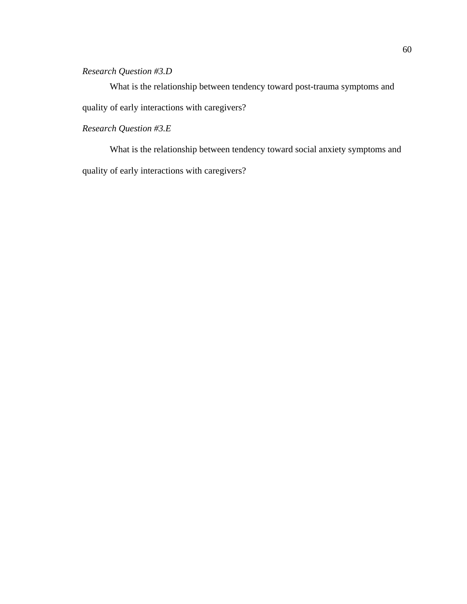## *Research Question #3.D*

 What is the relationship between tendency toward post-trauma symptoms and quality of early interactions with caregivers?

# *Research Question #3.E*

 What is the relationship between tendency toward social anxiety symptoms and quality of early interactions with caregivers?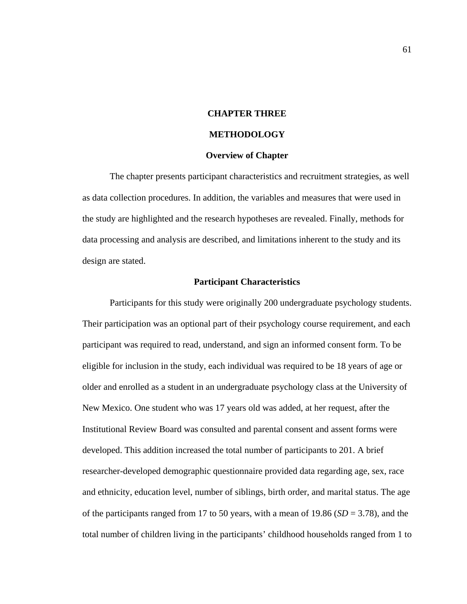# **CHAPTER THREE**

# **METHODOLOGY**

#### **Overview of Chapter**

The chapter presents participant characteristics and recruitment strategies, as well as data collection procedures. In addition, the variables and measures that were used in the study are highlighted and the research hypotheses are revealed. Finally, methods for data processing and analysis are described, and limitations inherent to the study and its design are stated.

#### **Participant Characteristics**

 Participants for this study were originally 200 undergraduate psychology students. Their participation was an optional part of their psychology course requirement, and each participant was required to read, understand, and sign an informed consent form. To be eligible for inclusion in the study, each individual was required to be 18 years of age or older and enrolled as a student in an undergraduate psychology class at the University of New Mexico. One student who was 17 years old was added, at her request, after the Institutional Review Board was consulted and parental consent and assent forms were developed. This addition increased the total number of participants to 201. A brief researcher-developed demographic questionnaire provided data regarding age, sex, race and ethnicity, education level, number of siblings, birth order, and marital status. The age of the participants ranged from 17 to 50 years, with a mean of  $19.86$  ( $SD = 3.78$ ), and the total number of children living in the participants' childhood households ranged from 1 to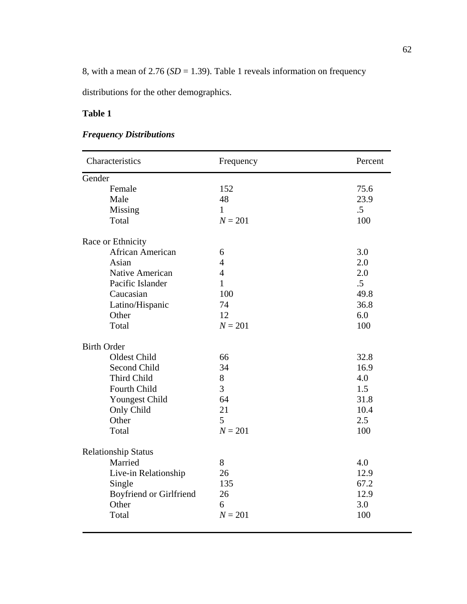8, with a mean of 2.76 (*SD* = 1.39). Table 1 reveals information on frequency

distributions for the other demographics.

# **Table 1**

# *Frequency Distributions*

| Characteristics                | Frequency      | Percent |
|--------------------------------|----------------|---------|
| Gender                         |                |         |
| Female                         | 152            | 75.6    |
| Male                           | 48             | 23.9    |
| Missing                        | $\mathbf{1}$   | $.5\,$  |
| Total                          | $N = 201$      | 100     |
| Race or Ethnicity              |                |         |
| African American               | 6              | 3.0     |
| Asian                          | $\overline{4}$ | 2.0     |
| Native American                | $\overline{4}$ | 2.0     |
| Pacific Islander               | $\mathbf{1}$   | $.5\,$  |
| Caucasian                      | 100            | 49.8    |
| Latino/Hispanic                | 74             | 36.8    |
| Other                          | 12             | 6.0     |
| Total                          | $N = 201$      | 100     |
| <b>Birth Order</b>             |                |         |
| Oldest Child                   | 66             | 32.8    |
| Second Child                   | 34             | 16.9    |
| Third Child                    | 8              | 4.0     |
| <b>Fourth Child</b>            | 3              | 1.5     |
| Youngest Child                 | 64             | 31.8    |
| Only Child                     | 21             | 10.4    |
| Other                          | 5              | 2.5     |
| Total                          | $N = 201$      | 100     |
| <b>Relationship Status</b>     |                |         |
| Married                        | 8              | 4.0     |
| Live-in Relationship           | 26             | 12.9    |
| Single                         | 135            | 67.2    |
| <b>Boyfriend or Girlfriend</b> | 26             | 12.9    |
| Other                          | 6              | 3.0     |
| Total                          | $N = 201$      | 100     |
|                                |                |         |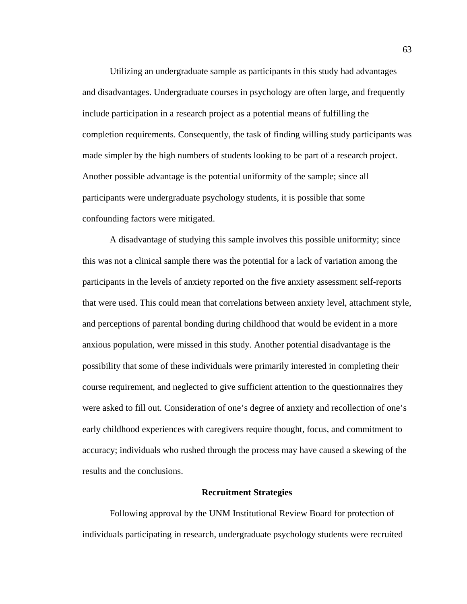Utilizing an undergraduate sample as participants in this study had advantages and disadvantages. Undergraduate courses in psychology are often large, and frequently include participation in a research project as a potential means of fulfilling the completion requirements. Consequently, the task of finding willing study participants was made simpler by the high numbers of students looking to be part of a research project. Another possible advantage is the potential uniformity of the sample; since all participants were undergraduate psychology students, it is possible that some confounding factors were mitigated.

 A disadvantage of studying this sample involves this possible uniformity; since this was not a clinical sample there was the potential for a lack of variation among the participants in the levels of anxiety reported on the five anxiety assessment self-reports that were used. This could mean that correlations between anxiety level, attachment style, and perceptions of parental bonding during childhood that would be evident in a more anxious population, were missed in this study. Another potential disadvantage is the possibility that some of these individuals were primarily interested in completing their course requirement, and neglected to give sufficient attention to the questionnaires they were asked to fill out. Consideration of one's degree of anxiety and recollection of one's early childhood experiences with caregivers require thought, focus, and commitment to accuracy; individuals who rushed through the process may have caused a skewing of the results and the conclusions.

## **Recruitment Strategies**

 Following approval by the UNM Institutional Review Board for protection of individuals participating in research, undergraduate psychology students were recruited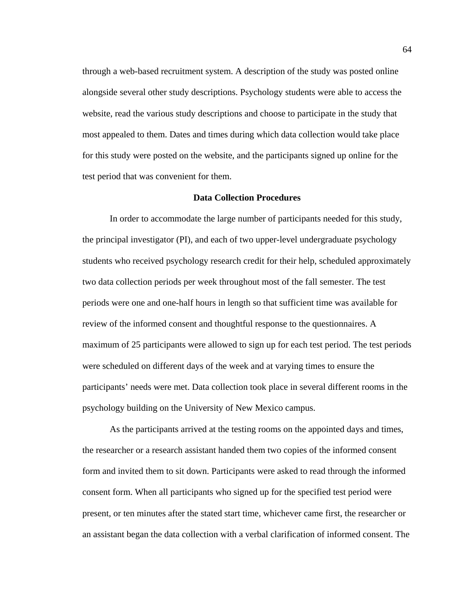through a web-based recruitment system. A description of the study was posted online alongside several other study descriptions. Psychology students were able to access the website, read the various study descriptions and choose to participate in the study that most appealed to them. Dates and times during which data collection would take place for this study were posted on the website, and the participants signed up online for the test period that was convenient for them.

#### **Data Collection Procedures**

 In order to accommodate the large number of participants needed for this study, the principal investigator (PI), and each of two upper-level undergraduate psychology students who received psychology research credit for their help, scheduled approximately two data collection periods per week throughout most of the fall semester. The test periods were one and one-half hours in length so that sufficient time was available for review of the informed consent and thoughtful response to the questionnaires. A maximum of 25 participants were allowed to sign up for each test period. The test periods were scheduled on different days of the week and at varying times to ensure the participants' needs were met. Data collection took place in several different rooms in the psychology building on the University of New Mexico campus.

 As the participants arrived at the testing rooms on the appointed days and times, the researcher or a research assistant handed them two copies of the informed consent form and invited them to sit down. Participants were asked to read through the informed consent form. When all participants who signed up for the specified test period were present, or ten minutes after the stated start time, whichever came first, the researcher or an assistant began the data collection with a verbal clarification of informed consent. The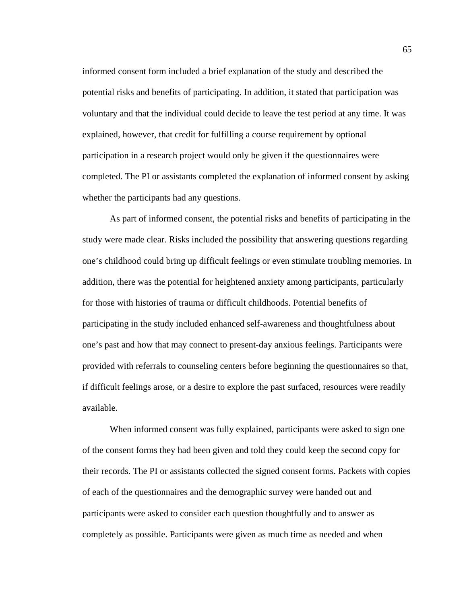informed consent form included a brief explanation of the study and described the potential risks and benefits of participating. In addition, it stated that participation was voluntary and that the individual could decide to leave the test period at any time. It was explained, however, that credit for fulfilling a course requirement by optional participation in a research project would only be given if the questionnaires were completed. The PI or assistants completed the explanation of informed consent by asking whether the participants had any questions.

 As part of informed consent, the potential risks and benefits of participating in the study were made clear. Risks included the possibility that answering questions regarding one's childhood could bring up difficult feelings or even stimulate troubling memories. In addition, there was the potential for heightened anxiety among participants, particularly for those with histories of trauma or difficult childhoods. Potential benefits of participating in the study included enhanced self-awareness and thoughtfulness about one's past and how that may connect to present-day anxious feelings. Participants were provided with referrals to counseling centers before beginning the questionnaires so that, if difficult feelings arose, or a desire to explore the past surfaced, resources were readily available.

 When informed consent was fully explained, participants were asked to sign one of the consent forms they had been given and told they could keep the second copy for their records. The PI or assistants collected the signed consent forms. Packets with copies of each of the questionnaires and the demographic survey were handed out and participants were asked to consider each question thoughtfully and to answer as completely as possible. Participants were given as much time as needed and when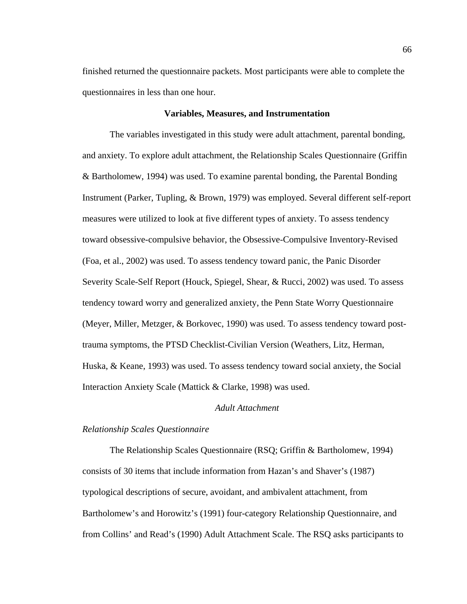finished returned the questionnaire packets. Most participants were able to complete the questionnaires in less than one hour.

#### **Variables, Measures, and Instrumentation**

 The variables investigated in this study were adult attachment, parental bonding, and anxiety. To explore adult attachment, the Relationship Scales Questionnaire (Griffin & Bartholomew, 1994) was used. To examine parental bonding, the Parental Bonding Instrument (Parker, Tupling, & Brown, 1979) was employed. Several different self-report measures were utilized to look at five different types of anxiety. To assess tendency toward obsessive-compulsive behavior, the Obsessive-Compulsive Inventory-Revised (Foa, et al., 2002) was used. To assess tendency toward panic, the Panic Disorder Severity Scale-Self Report (Houck, Spiegel, Shear, & Rucci, 2002) was used. To assess tendency toward worry and generalized anxiety, the Penn State Worry Questionnaire (Meyer, Miller, Metzger, & Borkovec, 1990) was used. To assess tendency toward posttrauma symptoms, the PTSD Checklist-Civilian Version (Weathers, Litz, Herman, Huska, & Keane, 1993) was used. To assess tendency toward social anxiety, the Social Interaction Anxiety Scale (Mattick & Clarke, 1998) was used.

# *Adult Attachment*

# *Relationship Scales Questionnaire*

The Relationship Scales Questionnaire (RSQ; Griffin & Bartholomew, 1994) consists of 30 items that include information from Hazan's and Shaver's (1987) typological descriptions of secure, avoidant, and ambivalent attachment, from Bartholomew's and Horowitz's (1991) four-category Relationship Questionnaire, and from Collins' and Read's (1990) Adult Attachment Scale. The RSQ asks participants to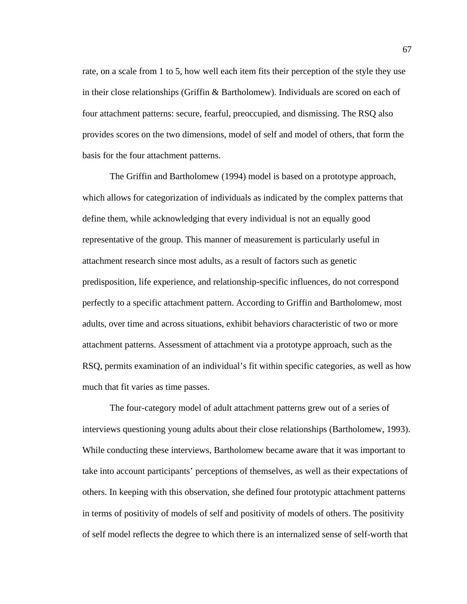rate, on a scale from 1 to 5, how well each item fits their perception of the style they use in their close relationships (Griffin & Bartholomew). Individuals are scored on each of four attachment patterns: secure, fearful, preoccupied, and dismissing. The RSQ also provides scores on the two dimensions, model of self and model of others, that form the basis for the four attachment patterns.

 The Griffin and Bartholomew (1994) model is based on a prototype approach, which allows for categorization of individuals as indicated by the complex patterns that define them, while acknowledging that every individual is not an equally good representative of the group. This manner of measurement is particularly useful in attachment research since most adults, as a result of factors such as genetic predisposition, life experience, and relationship-specific influences, do not correspond perfectly to a specific attachment pattern. According to Griffin and Bartholomew, most adults, over time and across situations, exhibit behaviors characteristic of two or more attachment patterns. Assessment of attachment via a prototype approach, such as the RSQ, permits examination of an individual's fit within specific categories, as well as how much that fit varies as time passes.

 The four-category model of adult attachment patterns grew out of a series of interviews questioning young adults about their close relationships (Bartholomew, 1993). While conducting these interviews, Bartholomew became aware that it was important to take into account participants' perceptions of themselves, as well as their expectations of others. In keeping with this observation, she defined four prototypic attachment patterns in terms of positivity of models of self and positivity of models of others. The positivity of self model reflects the degree to which there is an internalized sense of self-worth that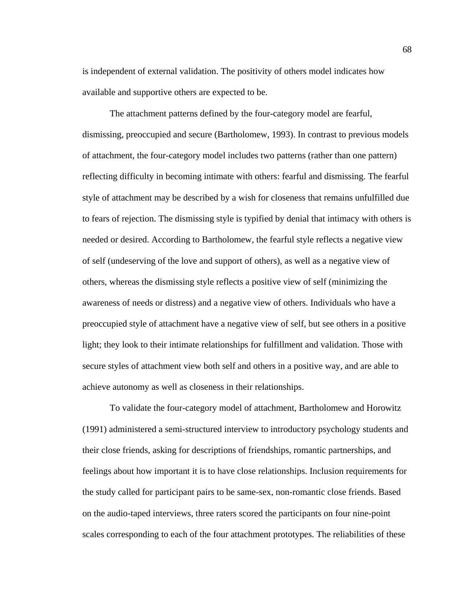is independent of external validation. The positivity of others model indicates how available and supportive others are expected to be.

 The attachment patterns defined by the four-category model are fearful, dismissing, preoccupied and secure (Bartholomew, 1993). In contrast to previous models of attachment, the four-category model includes two patterns (rather than one pattern) reflecting difficulty in becoming intimate with others: fearful and dismissing. The fearful style of attachment may be described by a wish for closeness that remains unfulfilled due to fears of rejection. The dismissing style is typified by denial that intimacy with others is needed or desired. According to Bartholomew, the fearful style reflects a negative view of self (undeserving of the love and support of others), as well as a negative view of others, whereas the dismissing style reflects a positive view of self (minimizing the awareness of needs or distress) and a negative view of others. Individuals who have a preoccupied style of attachment have a negative view of self, but see others in a positive light; they look to their intimate relationships for fulfillment and validation. Those with secure styles of attachment view both self and others in a positive way, and are able to achieve autonomy as well as closeness in their relationships.

 To validate the four-category model of attachment, Bartholomew and Horowitz (1991) administered a semi-structured interview to introductory psychology students and their close friends, asking for descriptions of friendships, romantic partnerships, and feelings about how important it is to have close relationships. Inclusion requirements for the study called for participant pairs to be same-sex, non-romantic close friends. Based on the audio-taped interviews, three raters scored the participants on four nine-point scales corresponding to each of the four attachment prototypes. The reliabilities of these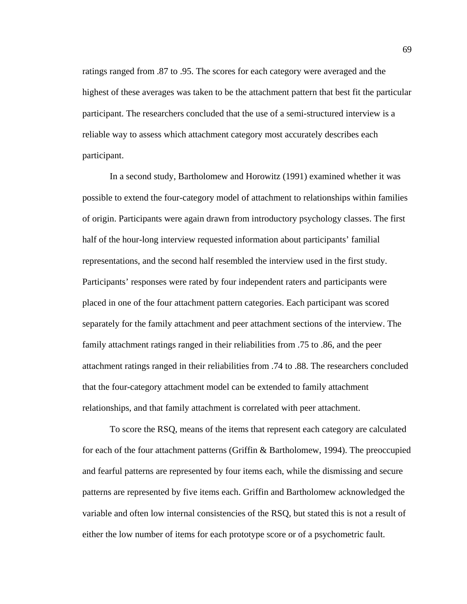ratings ranged from .87 to .95. The scores for each category were averaged and the highest of these averages was taken to be the attachment pattern that best fit the particular participant. The researchers concluded that the use of a semi-structured interview is a reliable way to assess which attachment category most accurately describes each participant.

 In a second study, Bartholomew and Horowitz (1991) examined whether it was possible to extend the four-category model of attachment to relationships within families of origin. Participants were again drawn from introductory psychology classes. The first half of the hour-long interview requested information about participants' familial representations, and the second half resembled the interview used in the first study. Participants' responses were rated by four independent raters and participants were placed in one of the four attachment pattern categories. Each participant was scored separately for the family attachment and peer attachment sections of the interview. The family attachment ratings ranged in their reliabilities from .75 to .86, and the peer attachment ratings ranged in their reliabilities from .74 to .88. The researchers concluded that the four-category attachment model can be extended to family attachment relationships, and that family attachment is correlated with peer attachment.

 To score the RSQ, means of the items that represent each category are calculated for each of the four attachment patterns (Griffin & Bartholomew, 1994). The preoccupied and fearful patterns are represented by four items each, while the dismissing and secure patterns are represented by five items each. Griffin and Bartholomew acknowledged the variable and often low internal consistencies of the RSQ, but stated this is not a result of either the low number of items for each prototype score or of a psychometric fault.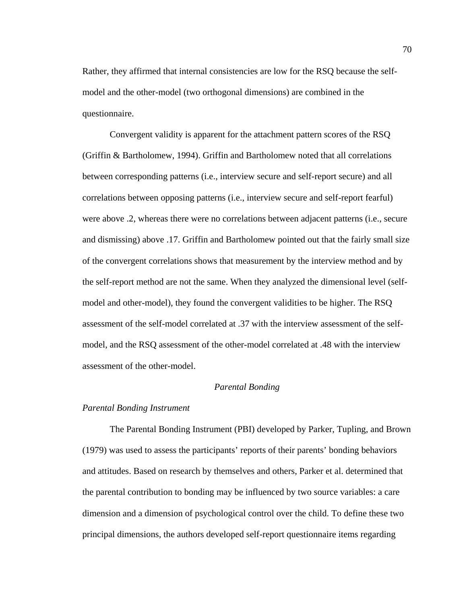Rather, they affirmed that internal consistencies are low for the RSQ because the selfmodel and the other-model (two orthogonal dimensions) are combined in the questionnaire.

 Convergent validity is apparent for the attachment pattern scores of the RSQ (Griffin & Bartholomew, 1994). Griffin and Bartholomew noted that all correlations between corresponding patterns (i.e., interview secure and self-report secure) and all correlations between opposing patterns (i.e., interview secure and self-report fearful) were above .2, whereas there were no correlations between adjacent patterns (i.e., secure and dismissing) above .17. Griffin and Bartholomew pointed out that the fairly small size of the convergent correlations shows that measurement by the interview method and by the self-report method are not the same. When they analyzed the dimensional level (selfmodel and other-model), they found the convergent validities to be higher. The RSQ assessment of the self-model correlated at .37 with the interview assessment of the selfmodel, and the RSQ assessment of the other-model correlated at .48 with the interview assessment of the other-model.

#### *Parental Bonding*

# *Parental Bonding Instrument*

The Parental Bonding Instrument (PBI) developed by Parker, Tupling, and Brown (1979) was used to assess the participants' reports of their parents' bonding behaviors and attitudes. Based on research by themselves and others, Parker et al. determined that the parental contribution to bonding may be influenced by two source variables: a care dimension and a dimension of psychological control over the child. To define these two principal dimensions, the authors developed self-report questionnaire items regarding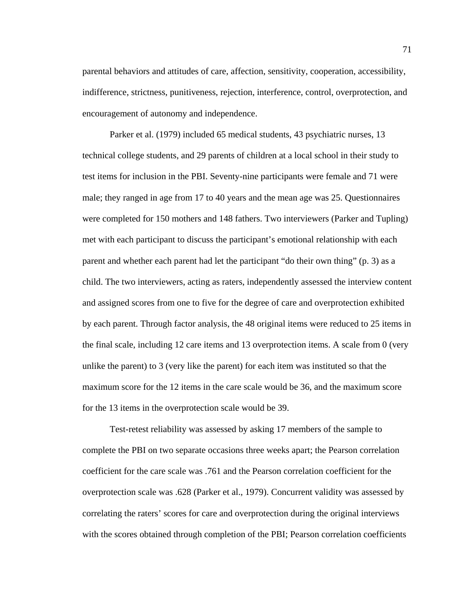parental behaviors and attitudes of care, affection, sensitivity, cooperation, accessibility, indifference, strictness, punitiveness, rejection, interference, control, overprotection, and encouragement of autonomy and independence.

Parker et al. (1979) included 65 medical students, 43 psychiatric nurses, 13 technical college students, and 29 parents of children at a local school in their study to test items for inclusion in the PBI. Seventy-nine participants were female and 71 were male; they ranged in age from 17 to 40 years and the mean age was 25. Questionnaires were completed for 150 mothers and 148 fathers. Two interviewers (Parker and Tupling) met with each participant to discuss the participant's emotional relationship with each parent and whether each parent had let the participant "do their own thing" (p. 3) as a child. The two interviewers, acting as raters, independently assessed the interview content and assigned scores from one to five for the degree of care and overprotection exhibited by each parent. Through factor analysis, the 48 original items were reduced to 25 items in the final scale, including 12 care items and 13 overprotection items. A scale from 0 (very unlike the parent) to 3 (very like the parent) for each item was instituted so that the maximum score for the 12 items in the care scale would be 36, and the maximum score for the 13 items in the overprotection scale would be 39.

Test-retest reliability was assessed by asking 17 members of the sample to complete the PBI on two separate occasions three weeks apart; the Pearson correlation coefficient for the care scale was .761 and the Pearson correlation coefficient for the overprotection scale was .628 (Parker et al., 1979). Concurrent validity was assessed by correlating the raters' scores for care and overprotection during the original interviews with the scores obtained through completion of the PBI; Pearson correlation coefficients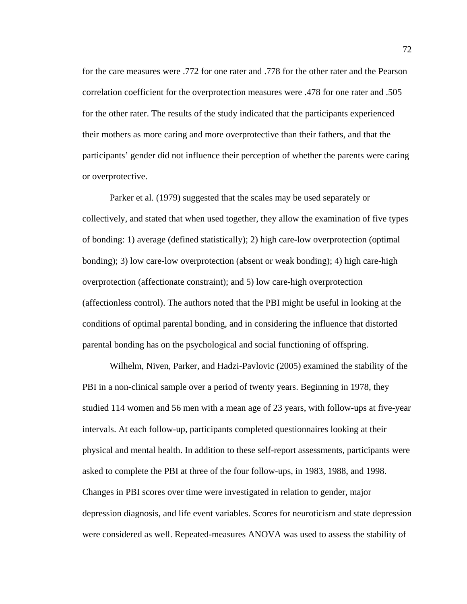for the care measures were .772 for one rater and .778 for the other rater and the Pearson correlation coefficient for the overprotection measures were .478 for one rater and .505 for the other rater. The results of the study indicated that the participants experienced their mothers as more caring and more overprotective than their fathers, and that the participants' gender did not influence their perception of whether the parents were caring or overprotective.

Parker et al. (1979) suggested that the scales may be used separately or collectively, and stated that when used together, they allow the examination of five types of bonding: 1) average (defined statistically); 2) high care-low overprotection (optimal bonding); 3) low care-low overprotection (absent or weak bonding); 4) high care-high overprotection (affectionate constraint); and 5) low care-high overprotection (affectionless control). The authors noted that the PBI might be useful in looking at the conditions of optimal parental bonding, and in considering the influence that distorted parental bonding has on the psychological and social functioning of offspring.

 Wilhelm, Niven, Parker, and Hadzi-Pavlovic (2005) examined the stability of the PBI in a non-clinical sample over a period of twenty years. Beginning in 1978, they studied 114 women and 56 men with a mean age of 23 years, with follow-ups at five-year intervals. At each follow-up, participants completed questionnaires looking at their physical and mental health. In addition to these self-report assessments, participants were asked to complete the PBI at three of the four follow-ups, in 1983, 1988, and 1998. Changes in PBI scores over time were investigated in relation to gender, major depression diagnosis, and life event variables. Scores for neuroticism and state depression were considered as well. Repeated-measures ANOVA was used to assess the stability of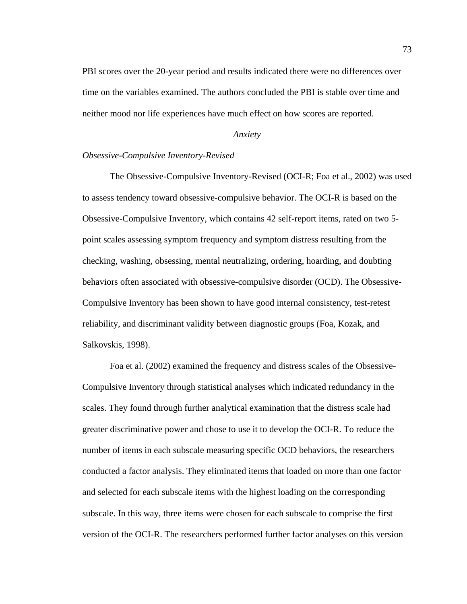PBI scores over the 20-year period and results indicated there were no differences over time on the variables examined. The authors concluded the PBI is stable over time and neither mood nor life experiences have much effect on how scores are reported.

#### *Anxiety*

### *Obsessive-Compulsive Inventory-Revised*

The Obsessive-Compulsive Inventory-Revised (OCI-R; Foa et al., 2002) was used to assess tendency toward obsessive-compulsive behavior. The OCI-R is based on the Obsessive-Compulsive Inventory, which contains 42 self-report items, rated on two 5 point scales assessing symptom frequency and symptom distress resulting from the checking, washing, obsessing, mental neutralizing, ordering, hoarding, and doubting behaviors often associated with obsessive-compulsive disorder (OCD). The Obsessive-Compulsive Inventory has been shown to have good internal consistency, test-retest reliability, and discriminant validity between diagnostic groups (Foa, Kozak, and Salkovskis, 1998).

 Foa et al. (2002) examined the frequency and distress scales of the Obsessive-Compulsive Inventory through statistical analyses which indicated redundancy in the scales. They found through further analytical examination that the distress scale had greater discriminative power and chose to use it to develop the OCI-R. To reduce the number of items in each subscale measuring specific OCD behaviors, the researchers conducted a factor analysis. They eliminated items that loaded on more than one factor and selected for each subscale items with the highest loading on the corresponding subscale. In this way, three items were chosen for each subscale to comprise the first version of the OCI-R. The researchers performed further factor analyses on this version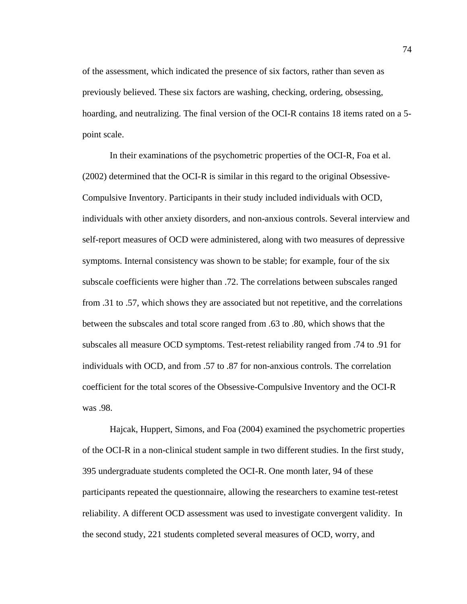of the assessment, which indicated the presence of six factors, rather than seven as previously believed. These six factors are washing, checking, ordering, obsessing, hoarding, and neutralizing. The final version of the OCI-R contains 18 items rated on a 5 point scale.

 In their examinations of the psychometric properties of the OCI-R, Foa et al. (2002) determined that the OCI-R is similar in this regard to the original Obsessive-Compulsive Inventory. Participants in their study included individuals with OCD, individuals with other anxiety disorders, and non-anxious controls. Several interview and self-report measures of OCD were administered, along with two measures of depressive symptoms. Internal consistency was shown to be stable; for example, four of the six subscale coefficients were higher than .72. The correlations between subscales ranged from .31 to .57, which shows they are associated but not repetitive, and the correlations between the subscales and total score ranged from .63 to .80, which shows that the subscales all measure OCD symptoms. Test-retest reliability ranged from .74 to .91 for individuals with OCD, and from .57 to .87 for non-anxious controls. The correlation coefficient for the total scores of the Obsessive-Compulsive Inventory and the OCI-R was .98.

Hajcak, Huppert, Simons, and Foa (2004) examined the psychometric properties of the OCI-R in a non-clinical student sample in two different studies. In the first study, 395 undergraduate students completed the OCI-R. One month later, 94 of these participants repeated the questionnaire, allowing the researchers to examine test-retest reliability. A different OCD assessment was used to investigate convergent validity. In the second study, 221 students completed several measures of OCD, worry, and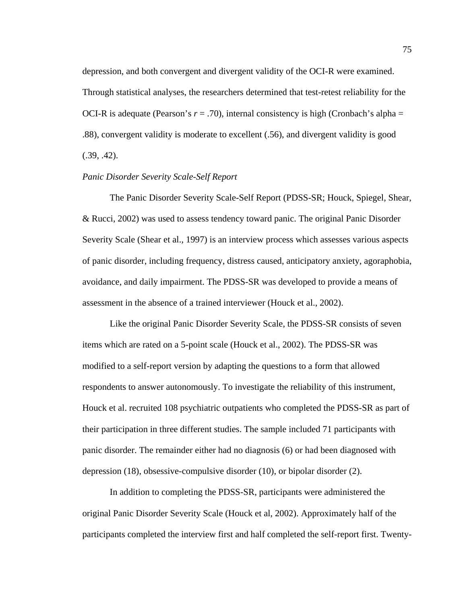depression, and both convergent and divergent validity of the OCI-R were examined. Through statistical analyses, the researchers determined that test-retest reliability for the OCI-R is adequate (Pearson's  $r = .70$ ), internal consistency is high (Cronbach's alpha = .88), convergent validity is moderate to excellent (.56), and divergent validity is good  $(.39, .42).$ 

## *Panic Disorder Severity Scale-Self Report*

The Panic Disorder Severity Scale-Self Report (PDSS-SR; Houck, Spiegel, Shear, & Rucci, 2002) was used to assess tendency toward panic. The original Panic Disorder Severity Scale (Shear et al., 1997) is an interview process which assesses various aspects of panic disorder, including frequency, distress caused, anticipatory anxiety, agoraphobia, avoidance, and daily impairment. The PDSS-SR was developed to provide a means of assessment in the absence of a trained interviewer (Houck et al., 2002).

 Like the original Panic Disorder Severity Scale, the PDSS-SR consists of seven items which are rated on a 5-point scale (Houck et al., 2002). The PDSS-SR was modified to a self-report version by adapting the questions to a form that allowed respondents to answer autonomously. To investigate the reliability of this instrument, Houck et al. recruited 108 psychiatric outpatients who completed the PDSS-SR as part of their participation in three different studies. The sample included 71 participants with panic disorder. The remainder either had no diagnosis (6) or had been diagnosed with depression (18), obsessive-compulsive disorder (10), or bipolar disorder (2).

 In addition to completing the PDSS-SR, participants were administered the original Panic Disorder Severity Scale (Houck et al, 2002). Approximately half of the participants completed the interview first and half completed the self-report first. Twenty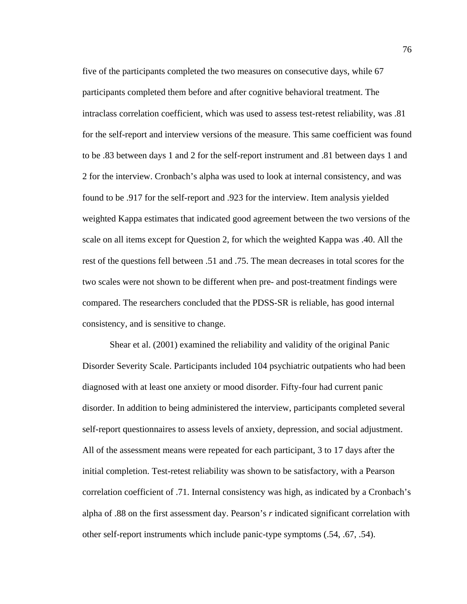five of the participants completed the two measures on consecutive days, while 67 participants completed them before and after cognitive behavioral treatment. The intraclass correlation coefficient, which was used to assess test-retest reliability, was .81 for the self-report and interview versions of the measure. This same coefficient was found to be .83 between days 1 and 2 for the self-report instrument and .81 between days 1 and 2 for the interview. Cronbach's alpha was used to look at internal consistency, and was found to be .917 for the self-report and .923 for the interview. Item analysis yielded weighted Kappa estimates that indicated good agreement between the two versions of the scale on all items except for Question 2, for which the weighted Kappa was .40. All the rest of the questions fell between .51 and .75. The mean decreases in total scores for the two scales were not shown to be different when pre- and post-treatment findings were compared. The researchers concluded that the PDSS-SR is reliable, has good internal consistency, and is sensitive to change.

 Shear et al. (2001) examined the reliability and validity of the original Panic Disorder Severity Scale. Participants included 104 psychiatric outpatients who had been diagnosed with at least one anxiety or mood disorder. Fifty-four had current panic disorder. In addition to being administered the interview, participants completed several self-report questionnaires to assess levels of anxiety, depression, and social adjustment. All of the assessment means were repeated for each participant, 3 to 17 days after the initial completion. Test-retest reliability was shown to be satisfactory, with a Pearson correlation coefficient of .71. Internal consistency was high, as indicated by a Cronbach's alpha of .88 on the first assessment day. Pearson's *r* indicated significant correlation with other self-report instruments which include panic-type symptoms (.54, .67, .54).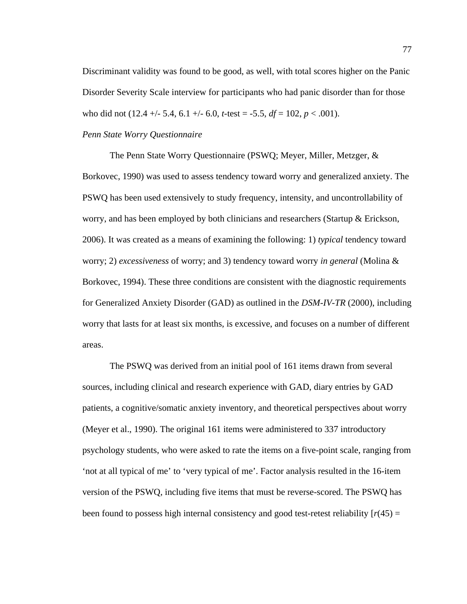Discriminant validity was found to be good, as well, with total scores higher on the Panic Disorder Severity Scale interview for participants who had panic disorder than for those who did not  $(12.4 +/- 5.4, 6.1 +/- 6.0, t-test = -5.5, df = 102, p < .001)$ .

# *Penn State Worry Questionnaire*

The Penn State Worry Questionnaire (PSWQ; Meyer, Miller, Metzger, & Borkovec, 1990) was used to assess tendency toward worry and generalized anxiety. The PSWQ has been used extensively to study frequency, intensity, and uncontrollability of worry, and has been employed by both clinicians and researchers (Startup & Erickson, 2006). It was created as a means of examining the following: 1) *typical* tendency toward worry; 2) *excessiveness* of worry; and 3) tendency toward worry *in general* (Molina & Borkovec, 1994). These three conditions are consistent with the diagnostic requirements for Generalized Anxiety Disorder (GAD) as outlined in the *DSM-IV-TR* (2000), including worry that lasts for at least six months, is excessive, and focuses on a number of different areas.

 The PSWQ was derived from an initial pool of 161 items drawn from several sources, including clinical and research experience with GAD, diary entries by GAD patients, a cognitive/somatic anxiety inventory, and theoretical perspectives about worry (Meyer et al., 1990). The original 161 items were administered to 337 introductory psychology students, who were asked to rate the items on a five-point scale, ranging from 'not at all typical of me' to 'very typical of me'. Factor analysis resulted in the 16-item version of the PSWQ, including five items that must be reverse-scored. The PSWQ has been found to possess high internal consistency and good test-retest reliability  $[r(45) =$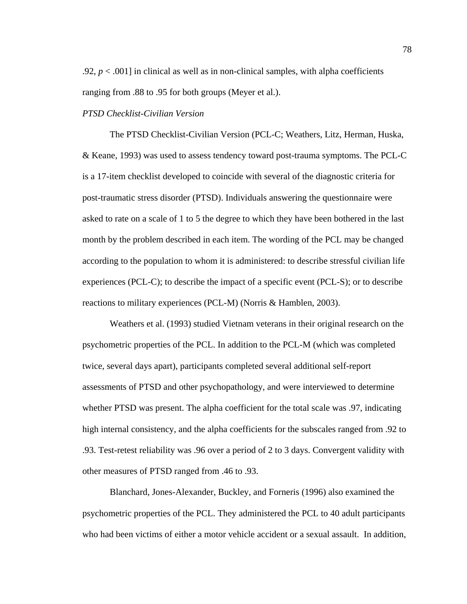.92,  $p < .001$ ] in clinical as well as in non-clinical samples, with alpha coefficients ranging from .88 to .95 for both groups (Meyer et al.).

#### *PTSD Checklist-Civilian Version*

The PTSD Checklist-Civilian Version (PCL-C; Weathers, Litz, Herman, Huska, & Keane, 1993) was used to assess tendency toward post-trauma symptoms. The PCL-C is a 17-item checklist developed to coincide with several of the diagnostic criteria for post-traumatic stress disorder (PTSD). Individuals answering the questionnaire were asked to rate on a scale of 1 to 5 the degree to which they have been bothered in the last month by the problem described in each item. The wording of the PCL may be changed according to the population to whom it is administered: to describe stressful civilian life experiences (PCL-C); to describe the impact of a specific event (PCL-S); or to describe reactions to military experiences (PCL-M) (Norris & Hamblen, 2003).

 Weathers et al. (1993) studied Vietnam veterans in their original research on the psychometric properties of the PCL. In addition to the PCL-M (which was completed twice, several days apart), participants completed several additional self-report assessments of PTSD and other psychopathology, and were interviewed to determine whether PTSD was present. The alpha coefficient for the total scale was .97, indicating high internal consistency, and the alpha coefficients for the subscales ranged from .92 to .93. Test-retest reliability was .96 over a period of 2 to 3 days. Convergent validity with other measures of PTSD ranged from .46 to .93.

 Blanchard, Jones-Alexander, Buckley, and Forneris (1996) also examined the psychometric properties of the PCL. They administered the PCL to 40 adult participants who had been victims of either a motor vehicle accident or a sexual assault. In addition,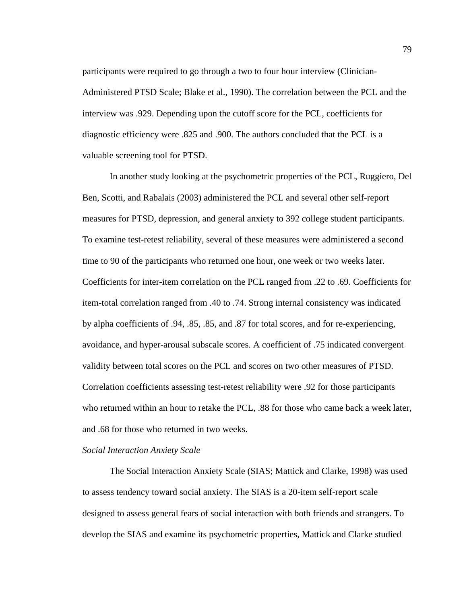participants were required to go through a two to four hour interview (Clinician-Administered PTSD Scale; Blake et al., 1990). The correlation between the PCL and the interview was .929. Depending upon the cutoff score for the PCL, coefficients for diagnostic efficiency were .825 and .900. The authors concluded that the PCL is a valuable screening tool for PTSD.

 In another study looking at the psychometric properties of the PCL, Ruggiero, Del Ben, Scotti, and Rabalais (2003) administered the PCL and several other self-report measures for PTSD, depression, and general anxiety to 392 college student participants. To examine test-retest reliability, several of these measures were administered a second time to 90 of the participants who returned one hour, one week or two weeks later. Coefficients for inter-item correlation on the PCL ranged from .22 to .69. Coefficients for item-total correlation ranged from .40 to .74. Strong internal consistency was indicated by alpha coefficients of .94, .85, .85, and .87 for total scores, and for re-experiencing, avoidance, and hyper-arousal subscale scores. A coefficient of .75 indicated convergent validity between total scores on the PCL and scores on two other measures of PTSD. Correlation coefficients assessing test-retest reliability were .92 for those participants who returned within an hour to retake the PCL, .88 for those who came back a week later, and .68 for those who returned in two weeks.

#### *Social Interaction Anxiety Scale*

The Social Interaction Anxiety Scale (SIAS; Mattick and Clarke, 1998) was used to assess tendency toward social anxiety. The SIAS is a 20-item self-report scale designed to assess general fears of social interaction with both friends and strangers. To develop the SIAS and examine its psychometric properties, Mattick and Clarke studied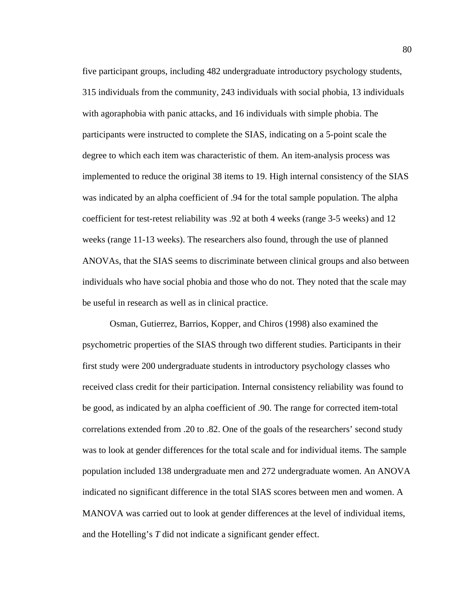five participant groups, including 482 undergraduate introductory psychology students, 315 individuals from the community, 243 individuals with social phobia, 13 individuals with agoraphobia with panic attacks, and 16 individuals with simple phobia. The participants were instructed to complete the SIAS, indicating on a 5-point scale the degree to which each item was characteristic of them. An item-analysis process was implemented to reduce the original 38 items to 19. High internal consistency of the SIAS was indicated by an alpha coefficient of .94 for the total sample population. The alpha coefficient for test-retest reliability was .92 at both 4 weeks (range 3-5 weeks) and 12 weeks (range 11-13 weeks). The researchers also found, through the use of planned ANOVAs, that the SIAS seems to discriminate between clinical groups and also between individuals who have social phobia and those who do not. They noted that the scale may be useful in research as well as in clinical practice.

 Osman, Gutierrez, Barrios, Kopper, and Chiros (1998) also examined the psychometric properties of the SIAS through two different studies. Participants in their first study were 200 undergraduate students in introductory psychology classes who received class credit for their participation. Internal consistency reliability was found to be good, as indicated by an alpha coefficient of .90. The range for corrected item-total correlations extended from .20 to .82. One of the goals of the researchers' second study was to look at gender differences for the total scale and for individual items. The sample population included 138 undergraduate men and 272 undergraduate women. An ANOVA indicated no significant difference in the total SIAS scores between men and women. A MANOVA was carried out to look at gender differences at the level of individual items, and the Hotelling's *T* did not indicate a significant gender effect.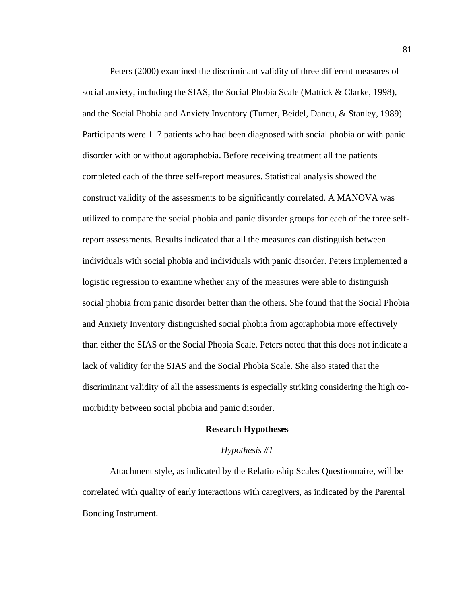Peters (2000) examined the discriminant validity of three different measures of social anxiety, including the SIAS, the Social Phobia Scale (Mattick & Clarke, 1998), and the Social Phobia and Anxiety Inventory (Turner, Beidel, Dancu, & Stanley, 1989). Participants were 117 patients who had been diagnosed with social phobia or with panic disorder with or without agoraphobia. Before receiving treatment all the patients completed each of the three self-report measures. Statistical analysis showed the construct validity of the assessments to be significantly correlated. A MANOVA was utilized to compare the social phobia and panic disorder groups for each of the three selfreport assessments. Results indicated that all the measures can distinguish between individuals with social phobia and individuals with panic disorder. Peters implemented a logistic regression to examine whether any of the measures were able to distinguish social phobia from panic disorder better than the others. She found that the Social Phobia and Anxiety Inventory distinguished social phobia from agoraphobia more effectively than either the SIAS or the Social Phobia Scale. Peters noted that this does not indicate a lack of validity for the SIAS and the Social Phobia Scale. She also stated that the discriminant validity of all the assessments is especially striking considering the high comorbidity between social phobia and panic disorder.

# **Research Hypotheses**

## *Hypothesis #1*

 Attachment style, as indicated by the Relationship Scales Questionnaire, will be correlated with quality of early interactions with caregivers, as indicated by the Parental Bonding Instrument.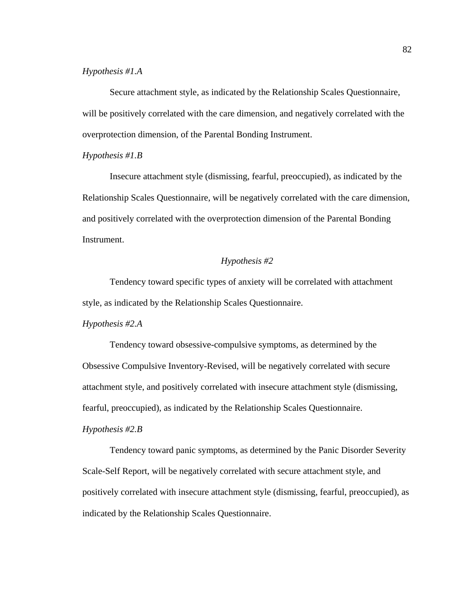# *Hypothesis #1.A*

 Secure attachment style, as indicated by the Relationship Scales Questionnaire, will be positively correlated with the care dimension, and negatively correlated with the overprotection dimension, of the Parental Bonding Instrument.

# *Hypothesis #1.B*

 Insecure attachment style (dismissing, fearful, preoccupied), as indicated by the Relationship Scales Questionnaire, will be negatively correlated with the care dimension, and positively correlated with the overprotection dimension of the Parental Bonding Instrument.

# *Hypothesis #2*

 Tendency toward specific types of anxiety will be correlated with attachment style, as indicated by the Relationship Scales Questionnaire.

# *Hypothesis #2.A*

 Tendency toward obsessive-compulsive symptoms, as determined by the Obsessive Compulsive Inventory-Revised, will be negatively correlated with secure attachment style, and positively correlated with insecure attachment style (dismissing, fearful, preoccupied), as indicated by the Relationship Scales Questionnaire.

# *Hypothesis #2.B*

 Tendency toward panic symptoms, as determined by the Panic Disorder Severity Scale-Self Report, will be negatively correlated with secure attachment style, and positively correlated with insecure attachment style (dismissing, fearful, preoccupied), as indicated by the Relationship Scales Questionnaire.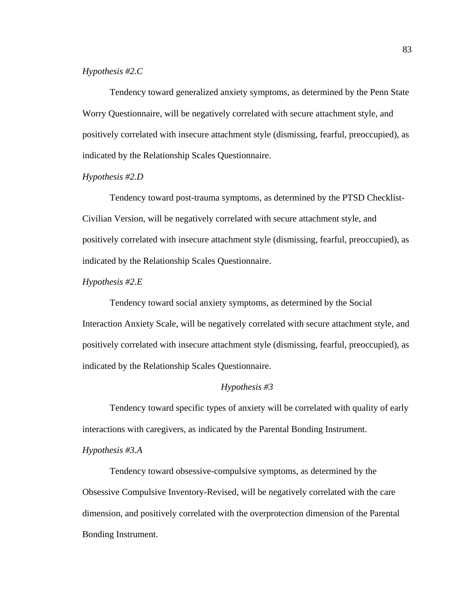# *Hypothesis #2.C*

 Tendency toward generalized anxiety symptoms, as determined by the Penn State Worry Questionnaire, will be negatively correlated with secure attachment style, and positively correlated with insecure attachment style (dismissing, fearful, preoccupied), as indicated by the Relationship Scales Questionnaire.

## *Hypothesis #2.D*

 Tendency toward post-trauma symptoms, as determined by the PTSD Checklist-Civilian Version, will be negatively correlated with secure attachment style, and positively correlated with insecure attachment style (dismissing, fearful, preoccupied), as indicated by the Relationship Scales Questionnaire.

## *Hypothesis #2.E*

 Tendency toward social anxiety symptoms, as determined by the Social Interaction Anxiety Scale, will be negatively correlated with secure attachment style, and positively correlated with insecure attachment style (dismissing, fearful, preoccupied), as indicated by the Relationship Scales Questionnaire.

# *Hypothesis #3*

 Tendency toward specific types of anxiety will be correlated with quality of early interactions with caregivers, as indicated by the Parental Bonding Instrument.

# *Hypothesis #3.A*

 Tendency toward obsessive-compulsive symptoms, as determined by the Obsessive Compulsive Inventory-Revised, will be negatively correlated with the care dimension, and positively correlated with the overprotection dimension of the Parental Bonding Instrument.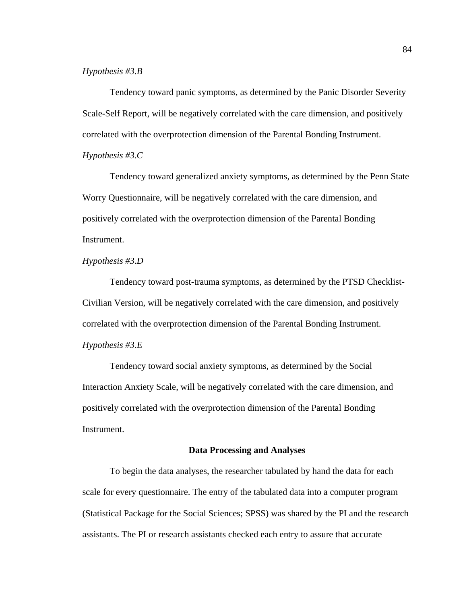# *Hypothesis #3.B*

 Tendency toward panic symptoms, as determined by the Panic Disorder Severity Scale-Self Report, will be negatively correlated with the care dimension, and positively correlated with the overprotection dimension of the Parental Bonding Instrument. *Hypothesis #3.C* 

 Tendency toward generalized anxiety symptoms, as determined by the Penn State Worry Questionnaire, will be negatively correlated with the care dimension, and positively correlated with the overprotection dimension of the Parental Bonding Instrument.

# *Hypothesis #3.D*

 Tendency toward post-trauma symptoms, as determined by the PTSD Checklist-Civilian Version, will be negatively correlated with the care dimension, and positively correlated with the overprotection dimension of the Parental Bonding Instrument. *Hypothesis #3.E* 

 Tendency toward social anxiety symptoms, as determined by the Social Interaction Anxiety Scale, will be negatively correlated with the care dimension, and positively correlated with the overprotection dimension of the Parental Bonding Instrument.

## **Data Processing and Analyses**

 To begin the data analyses, the researcher tabulated by hand the data for each scale for every questionnaire. The entry of the tabulated data into a computer program (Statistical Package for the Social Sciences; SPSS) was shared by the PI and the research assistants. The PI or research assistants checked each entry to assure that accurate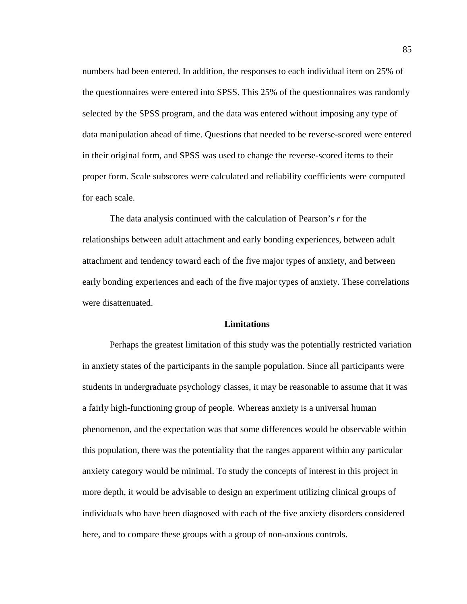numbers had been entered. In addition, the responses to each individual item on 25% of the questionnaires were entered into SPSS. This 25% of the questionnaires was randomly selected by the SPSS program, and the data was entered without imposing any type of data manipulation ahead of time. Questions that needed to be reverse-scored were entered in their original form, and SPSS was used to change the reverse-scored items to their proper form. Scale subscores were calculated and reliability coefficients were computed for each scale.

 The data analysis continued with the calculation of Pearson's *r* for the relationships between adult attachment and early bonding experiences, between adult attachment and tendency toward each of the five major types of anxiety, and between early bonding experiences and each of the five major types of anxiety. These correlations were disattenuated.

#### **Limitations**

 Perhaps the greatest limitation of this study was the potentially restricted variation in anxiety states of the participants in the sample population. Since all participants were students in undergraduate psychology classes, it may be reasonable to assume that it was a fairly high-functioning group of people. Whereas anxiety is a universal human phenomenon, and the expectation was that some differences would be observable within this population, there was the potentiality that the ranges apparent within any particular anxiety category would be minimal. To study the concepts of interest in this project in more depth, it would be advisable to design an experiment utilizing clinical groups of individuals who have been diagnosed with each of the five anxiety disorders considered here, and to compare these groups with a group of non-anxious controls.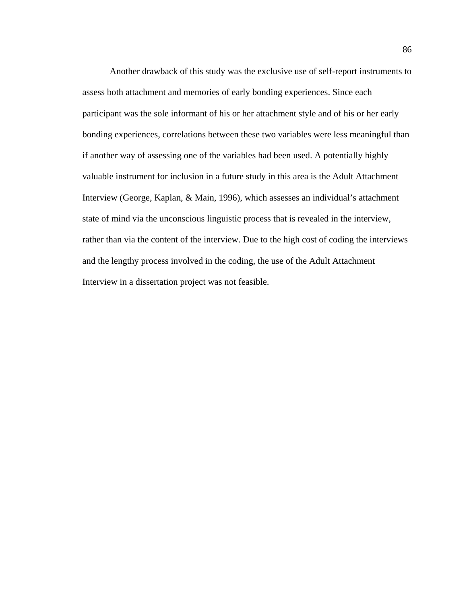Another drawback of this study was the exclusive use of self-report instruments to assess both attachment and memories of early bonding experiences. Since each participant was the sole informant of his or her attachment style and of his or her early bonding experiences, correlations between these two variables were less meaningful than if another way of assessing one of the variables had been used. A potentially highly valuable instrument for inclusion in a future study in this area is the Adult Attachment Interview (George, Kaplan, & Main, 1996), which assesses an individual's attachment state of mind via the unconscious linguistic process that is revealed in the interview, rather than via the content of the interview. Due to the high cost of coding the interviews and the lengthy process involved in the coding, the use of the Adult Attachment Interview in a dissertation project was not feasible.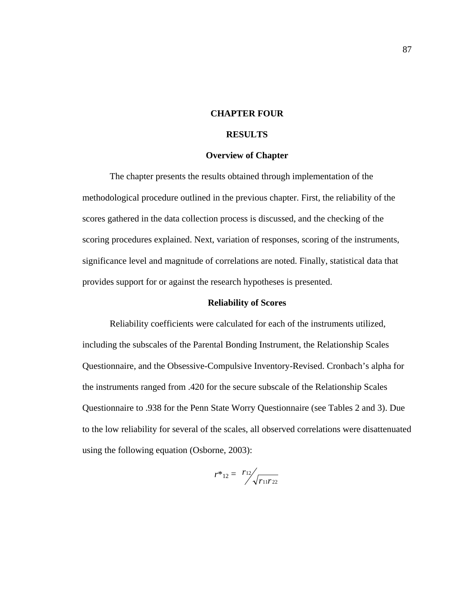# **CHAPTER FOUR**

# **RESULTS**

#### **Overview of Chapter**

 The chapter presents the results obtained through implementation of the methodological procedure outlined in the previous chapter. First, the reliability of the scores gathered in the data collection process is discussed, and the checking of the scoring procedures explained. Next, variation of responses, scoring of the instruments, significance level and magnitude of correlations are noted. Finally, statistical data that provides support for or against the research hypotheses is presented.

#### **Reliability of Scores**

 Reliability coefficients were calculated for each of the instruments utilized, including the subscales of the Parental Bonding Instrument, the Relationship Scales Questionnaire, and the Obsessive-Compulsive Inventory-Revised. Cronbach's alpha for the instruments ranged from .420 for the secure subscale of the Relationship Scales Questionnaire to .938 for the Penn State Worry Questionnaire (see Tables 2 and 3). Due to the low reliability for several of the scales, all observed correlations were disattenuated using the following equation (Osborne, 2003):

$$
r^*_{12} = \sqrt[r_{12}]{r_{11}r_{22}}
$$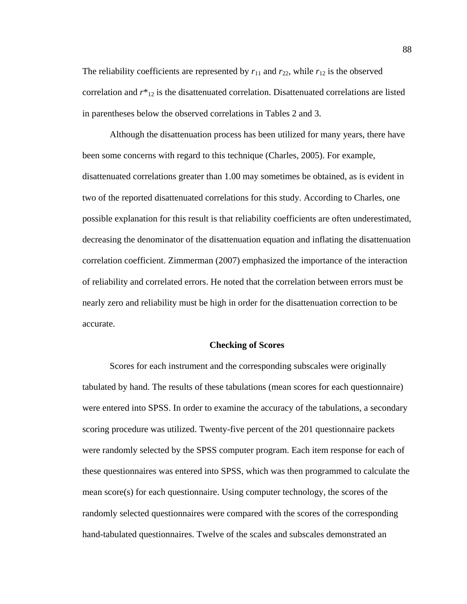The reliability coefficients are represented by  $r_{11}$  and  $r_{22}$ , while  $r_{12}$  is the observed correlation and  $r^*_{12}$  is the disattenuated correlation. Disattenuated correlations are listed in parentheses below the observed correlations in Tables 2 and 3.

 Although the disattenuation process has been utilized for many years, there have been some concerns with regard to this technique (Charles, 2005). For example, disattenuated correlations greater than 1.00 may sometimes be obtained, as is evident in two of the reported disattenuated correlations for this study. According to Charles, one possible explanation for this result is that reliability coefficients are often underestimated, decreasing the denominator of the disattenuation equation and inflating the disattenuation correlation coefficient. Zimmerman (2007) emphasized the importance of the interaction of reliability and correlated errors. He noted that the correlation between errors must be nearly zero and reliability must be high in order for the disattenuation correction to be accurate.

#### **Checking of Scores**

 Scores for each instrument and the corresponding subscales were originally tabulated by hand. The results of these tabulations (mean scores for each questionnaire) were entered into SPSS. In order to examine the accuracy of the tabulations, a secondary scoring procedure was utilized. Twenty-five percent of the 201 questionnaire packets were randomly selected by the SPSS computer program. Each item response for each of these questionnaires was entered into SPSS, which was then programmed to calculate the mean score(s) for each questionnaire. Using computer technology, the scores of the randomly selected questionnaires were compared with the scores of the corresponding hand-tabulated questionnaires. Twelve of the scales and subscales demonstrated an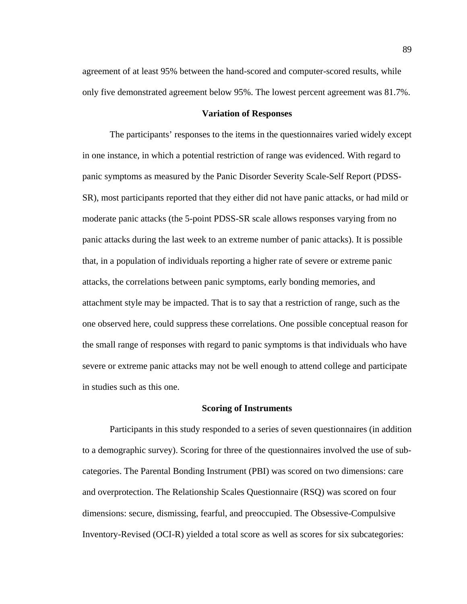agreement of at least 95% between the hand-scored and computer-scored results, while only five demonstrated agreement below 95%. The lowest percent agreement was 81.7%.

#### **Variation of Responses**

 The participants' responses to the items in the questionnaires varied widely except in one instance, in which a potential restriction of range was evidenced. With regard to panic symptoms as measured by the Panic Disorder Severity Scale-Self Report (PDSS-SR), most participants reported that they either did not have panic attacks, or had mild or moderate panic attacks (the 5-point PDSS-SR scale allows responses varying from no panic attacks during the last week to an extreme number of panic attacks). It is possible that, in a population of individuals reporting a higher rate of severe or extreme panic attacks, the correlations between panic symptoms, early bonding memories, and attachment style may be impacted. That is to say that a restriction of range, such as the one observed here, could suppress these correlations. One possible conceptual reason for the small range of responses with regard to panic symptoms is that individuals who have severe or extreme panic attacks may not be well enough to attend college and participate in studies such as this one.

#### **Scoring of Instruments**

 Participants in this study responded to a series of seven questionnaires (in addition to a demographic survey). Scoring for three of the questionnaires involved the use of subcategories. The Parental Bonding Instrument (PBI) was scored on two dimensions: care and overprotection. The Relationship Scales Questionnaire (RSQ) was scored on four dimensions: secure, dismissing, fearful, and preoccupied. The Obsessive-Compulsive Inventory-Revised (OCI-R) yielded a total score as well as scores for six subcategories: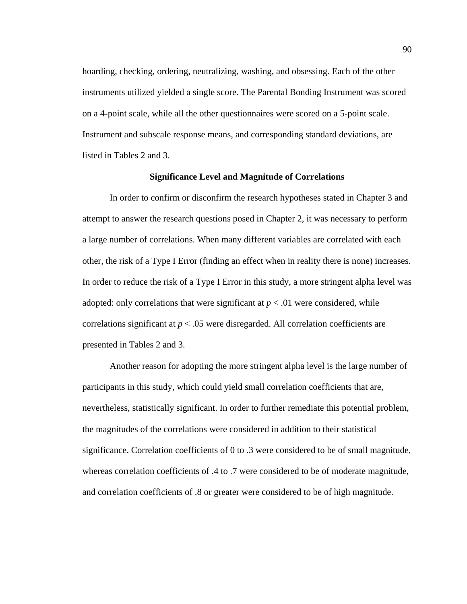hoarding, checking, ordering, neutralizing, washing, and obsessing. Each of the other instruments utilized yielded a single score. The Parental Bonding Instrument was scored on a 4-point scale, while all the other questionnaires were scored on a 5-point scale. Instrument and subscale response means, and corresponding standard deviations, are listed in Tables 2 and 3.

#### **Significance Level and Magnitude of Correlations**

 In order to confirm or disconfirm the research hypotheses stated in Chapter 3 and attempt to answer the research questions posed in Chapter 2, it was necessary to perform a large number of correlations. When many different variables are correlated with each other, the risk of a Type I Error (finding an effect when in reality there is none) increases. In order to reduce the risk of a Type I Error in this study, a more stringent alpha level was adopted: only correlations that were significant at  $p < .01$  were considered, while correlations significant at *p* < .05 were disregarded. All correlation coefficients are presented in Tables 2 and 3.

 Another reason for adopting the more stringent alpha level is the large number of participants in this study, which could yield small correlation coefficients that are, nevertheless, statistically significant. In order to further remediate this potential problem, the magnitudes of the correlations were considered in addition to their statistical significance. Correlation coefficients of 0 to .3 were considered to be of small magnitude, whereas correlation coefficients of .4 to .7 were considered to be of moderate magnitude, and correlation coefficients of .8 or greater were considered to be of high magnitude.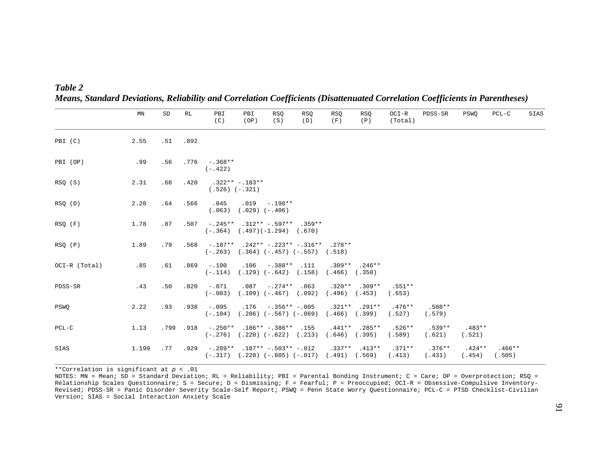| Table 2 |                                                                                                                              |  |  |  |  |
|---------|------------------------------------------------------------------------------------------------------------------------------|--|--|--|--|
|         | Means, Standard Deviations, Reliability and Correlation Coefficients (Disattenuated Correlation Coefficients in Parentheses) |  |  |  |  |

|               | MN    | SD  | RL       | PBI<br>(C)                                                | PBI<br>(OP)      | RSQ<br>(S)                                                                      | RSQ<br>(D) | RSQ<br>(F)                    | <b>RSQ</b><br>(P) | OCI-R<br>(Total)   | PDSS-SR            | PSWO               | $PCL-C$            | SIAS |
|---------------|-------|-----|----------|-----------------------------------------------------------|------------------|---------------------------------------------------------------------------------|------------|-------------------------------|-------------------|--------------------|--------------------|--------------------|--------------------|------|
| PBI (C)       | 2.55  |     | .51 .892 |                                                           |                  |                                                                                 |            |                               |                   |                    |                    |                    |                    |      |
| PBI (OP)      | .99   | .56 |          | $.776 - .368**$<br>$(-.422)$                              |                  |                                                                                 |            |                               |                   |                    |                    |                    |                    |      |
| RSQ (S)       | 2.31  | .68 | .420     | $(.526) (-.321)$                                          | $.322**-.183**$  |                                                                                 |            |                               |                   |                    |                    |                    |                    |      |
| RSQ(D)        | 2.20  | .64 | .566     | .045<br>(.063)                                            | $(.029) (-.406)$ | $.019 - .198**$                                                                 |            |                               |                   |                    |                    |                    |                    |      |
| RSQ (F)       | 1.78  | .87 | .507     |                                                           |                  | $-.245**$ $.312**$ $-.597**$ $.359**$<br>$(-.364)$ $(.497)(-1.294)$ $(.670)$    |            |                               |                   |                    |                    |                    |                    |      |
| RSQ (P)       | 1.89  | .79 |          | $.568$ - $.187**$ $.242**$ - $.223**$ - $.316**$ $.278**$ |                  | $(-.263)$ $(.364)$ $(-.457)$ $(-.557)$ $(.518)$                                 |            |                               |                   |                    |                    |                    |                    |      |
| OCI-R (Total) | .85   | .61 | .869     | $-100$<br>$(-.114)$                                       | .106             | $-.388**$<br>$(.129) (-.642) (.158)$                                            | .111       | $(.466)$ $(.350)$             | $.309**$ . 246**  |                    |                    |                    |                    |      |
| PDSS-SR       | .43   | .50 | .820     | $-0.71$<br>$(-.083)$                                      | .087             | $-.274***$ .063<br>$(.109) (-.467) (.092)$                                      |            | $(.496)$ $(.453)$             | $.320**$ . 309**  | $.551**$<br>(.653) |                    |                    |                    |      |
| PSWO          | 2.22  | .93 | .938     | $-.095$<br>$(-.104)$                                      | .176             | $-.356**-.005$<br>$(.206) (-.567) (-.069)$                                      |            | $(.466)$ $(.399)$             | $.321**$ . 291**  | $.476**$<br>(.527) | $.508**$<br>(.579) |                    |                    |      |
| $PCL-C$       | 1.13  |     | .799.918 | $-.250**$                                                 |                  | $.186**-.386**.155$<br>$(-.276)$ $(.220)$ $(-.622)$ $(.213)$                    |            | $.441**$<br>$(.646)$ $(.395)$ | $.285**$          | $.526**$<br>(.589) | $.539**$<br>(.621) | $.483**$<br>(.521) |                    |      |
| SIAS          | 1.199 | .77 | .929     |                                                           |                  | $-.289**$ . $187**$ -. $503**$ -. 012<br>$(-.317)$ $(.220)$ $(-.805)$ $(-.017)$ |            | $(.491)$ $(.569)$             | $.337**$ . 413**  | $.371**$<br>(.413) | $.376**$<br>(.431) | $.424**$<br>(.454) | $.466**$<br>(.505) |      |

\*\*Correlation is significant at *p* < .01

NOTES: MN = Mean; SD = Standard Deviation; RL = Reliability; PBI = Parental Bonding Instrument; C = Care; OP = Overprotection; RSQ = Relationship Scales Questionnaire; S = Secure; D = Dismissing; F = Fearful; P = Preoccupied; OCI-R = Obsessive-Compulsive Inventory-Revised; PDSS-SR = Panic Disorder Severity Scale-Self Report; PSWQ = Penn State Worry Questionnaire; PCL-C = PTSD Checklist-Civilian Version; SIAS = Social Interaction Anxiety Scale

**\_\_\_\_\_\_\_\_\_\_\_\_\_\_\_\_\_\_\_\_\_\_\_\_\_\_\_\_\_\_\_\_\_\_\_\_\_\_\_\_\_\_\_\_\_\_\_\_\_\_\_\_\_\_\_\_\_\_\_\_\_\_\_\_\_\_\_\_\_\_\_\_\_\_\_\_\_\_\_\_\_\_\_\_\_\_\_\_\_\_\_\_\_\_\_\_\_\_\_\_\_\_\_\_\_\_\_\_\_\_\_\_\_\_\_\_\_\_\_\_\_\_\_\_\_\_\_\_\_\_\_\_\_\_**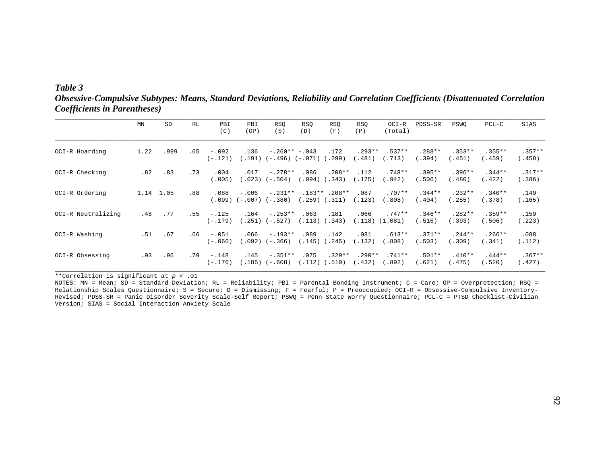# *Table 3*

*Obsessive-Compulsive Subtypes: Means, Standard Deviations, Reliability and Correlation Coefficients (Disattenuated Correlation Coefficients in Parentheses)* 

|                    | ΜN   | SD        | RL  | PBI<br>(C)           | PBI<br>(OP)    | <b>RSQ</b><br>(S)                        | <b>RSO</b><br>(D) | RSQ<br>(F)                            | RSQ<br>(P)        | OCI-R<br>(Total)    | PDSS-SR            | PSWO               | $PCL-C$             | SIAS               |
|--------------------|------|-----------|-----|----------------------|----------------|------------------------------------------|-------------------|---------------------------------------|-------------------|---------------------|--------------------|--------------------|---------------------|--------------------|
| OCI-R Hoarding     | 1.22 | .999      | .65 | $-.092$<br>(-.121)   | .136           | $-.260**-.043$<br>(.191) (-.496) (-.071) |                   | .172<br>.299)                         | $.293**$<br>.481) | $.537**$<br>.713)   | $.288**$<br>(.394) | $.353**$<br>(.451) | $.355***$<br>(.459) | $.357**$<br>(.458) |
| OCI-R Checking     | .82  | .83       | .73 | .004<br>(.005)       | .017           | $-.278**$<br>$(.023) (-.504)$            | .086<br>.094)     | $.208**$<br>.343)                     | .112<br>.175)     | $.748**$<br>(.942)  | $.395**$<br>(.506) | $.396**$<br>(.480) | $.344**$<br>(.422)  | $.317**$<br>(.386) |
| OCI-R Ordering     |      | 1.14 1.05 | .88 | .088                 | $-.006$        | $-.231**$<br>$(.099) (-.007) (-.380)$    |                   | $.183**$ . 208**<br>$(.259)$ $(.311)$ | .087<br>.123)     | $.707**$<br>(.808)  | $.344**$<br>(.404) | $.232**$<br>(.255) | $.340**$<br>(.378)  | .149<br>(.165)     |
| OCI-R Neutralizing | .48  | . 77      | .55 | $-.125$<br>$(-.179)$ | .164           | $-.253**$<br>$(.251) (-.527)$            | .063              | .181<br>$(.113)$ $(.343)$             | .066<br>(.118)    | $.747**$<br>(1.081) | $.346**$<br>(.516) | $.282**$<br>(.393) | $.359**$<br>(.506)  | .159<br>(.223)     |
| OCI-R Washing      | .51  | .67       | .66 | $-.051$<br>$(-.066)$ | .066           | $-.193**$<br>$(.092) (-.366)$            | .089<br>(.145)    | .142<br>.245)                         | .081<br>.132)     | $.613**$<br>(.808)  | $.371**$<br>(.503) | $.244**$<br>(.309) | $.266**$<br>(.341)  | .088<br>(.112)     |
| OCI-R Obsessing    | .93  | .96       | .79 | $-.148$<br>$(-.176)$ | .145<br>(.185) | $-.351**$<br>$(-.608)$                   | .075<br>.112)     | $.329**$<br>.519)                     | $.290**$<br>.432) | $.741**$<br>.892)   | $.501**$<br>(.621) | $.410**$<br>(.475) | $.444**$<br>(.520)  | $.367**$<br>(.427) |

\*\*Correlation is significant at *p* < .01

NOTES: MN = Mean; SD = Standard Deviation; RL = Reliability; PBI = Parental Bonding Instrument; C = Care; OP = Overprotection; RSQ = Relationship Scales Questionnaire; S = Secure; D = Dismissing; F = Fearful; P = Preoccupied; OCI-R = Obsessive-Compulsive Inventory-Revised; PDSS-SR = Panic Disorder Severity Scale-Self Report; PSWQ = Penn State Worry Questionnaire; PCL-C = PTSD Checklist-Civilian Version; SIAS = Social Interaction Anxiety Scale

**\_\_\_\_\_\_\_\_\_\_\_\_\_\_\_\_\_\_\_\_\_\_\_\_\_\_\_\_\_\_\_\_\_\_\_\_\_\_\_\_\_\_\_\_\_\_\_\_\_\_\_\_\_\_\_\_\_\_\_\_\_\_\_\_\_\_\_\_\_\_\_\_\_\_\_\_\_\_\_\_\_\_\_\_\_\_\_\_\_\_\_\_\_\_\_\_\_\_\_\_\_\_\_\_\_\_\_\_\_\_\_\_\_\_\_\_\_\_\_\_\_\_\_\_\_\_\_\_\_\_\_\_\_\_**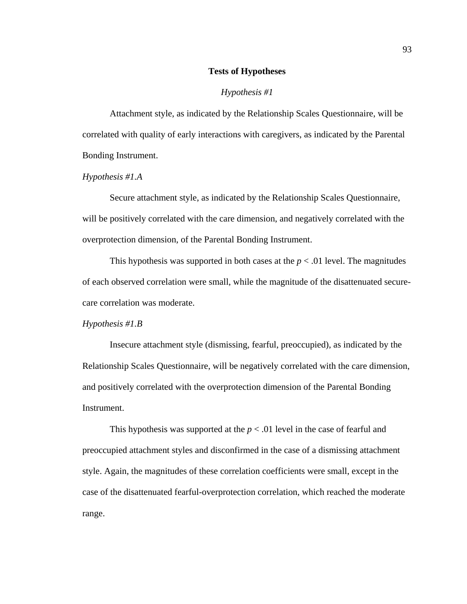## **Tests of Hypotheses**

#### *Hypothesis #1*

 Attachment style, as indicated by the Relationship Scales Questionnaire, will be correlated with quality of early interactions with caregivers, as indicated by the Parental Bonding Instrument.

## *Hypothesis #1.A*

 Secure attachment style, as indicated by the Relationship Scales Questionnaire, will be positively correlated with the care dimension, and negatively correlated with the overprotection dimension, of the Parental Bonding Instrument.

This hypothesis was supported in both cases at the  $p < .01$  level. The magnitudes of each observed correlation were small, while the magnitude of the disattenuated securecare correlation was moderate.

#### *Hypothesis #1.B*

 Insecure attachment style (dismissing, fearful, preoccupied), as indicated by the Relationship Scales Questionnaire, will be negatively correlated with the care dimension, and positively correlated with the overprotection dimension of the Parental Bonding Instrument.

This hypothesis was supported at the  $p < .01$  level in the case of fearful and preoccupied attachment styles and disconfirmed in the case of a dismissing attachment style. Again, the magnitudes of these correlation coefficients were small, except in the case of the disattenuated fearful-overprotection correlation, which reached the moderate range.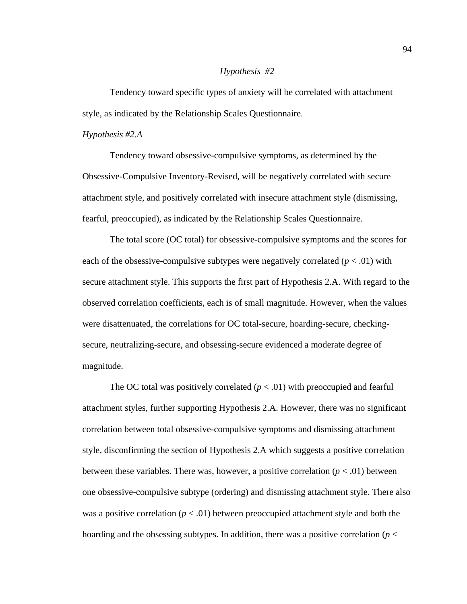## *Hypothesis #2*

Tendency toward specific types of anxiety will be correlated with attachment style, as indicated by the Relationship Scales Questionnaire.

# *Hypothesis #2.A*

 Tendency toward obsessive-compulsive symptoms, as determined by the Obsessive-Compulsive Inventory-Revised, will be negatively correlated with secure attachment style, and positively correlated with insecure attachment style (dismissing, fearful, preoccupied), as indicated by the Relationship Scales Questionnaire.

 The total score (OC total) for obsessive-compulsive symptoms and the scores for each of the obsessive-compulsive subtypes were negatively correlated  $(p < .01)$  with secure attachment style. This supports the first part of Hypothesis 2.A. With regard to the observed correlation coefficients, each is of small magnitude. However, when the values were disattenuated, the correlations for OC total-secure, hoarding-secure, checkingsecure, neutralizing-secure, and obsessing-secure evidenced a moderate degree of magnitude.

The OC total was positively correlated  $(p < .01)$  with preoccupied and fearful attachment styles, further supporting Hypothesis 2.A. However, there was no significant correlation between total obsessive-compulsive symptoms and dismissing attachment style, disconfirming the section of Hypothesis 2.A which suggests a positive correlation between these variables. There was, however, a positive correlation  $(p < .01)$  between one obsessive-compulsive subtype (ordering) and dismissing attachment style. There also was a positive correlation ( $p < .01$ ) between preoccupied attachment style and both the hoarding and the obsessing subtypes. In addition, there was a positive correlation ( $p <$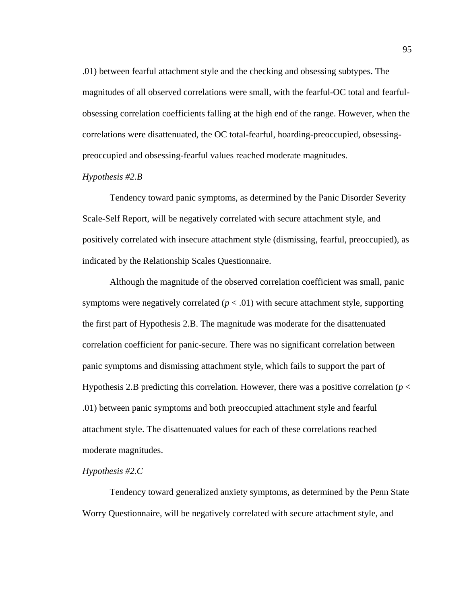.01) between fearful attachment style and the checking and obsessing subtypes. The magnitudes of all observed correlations were small, with the fearful-OC total and fearfulobsessing correlation coefficients falling at the high end of the range. However, when the correlations were disattenuated, the OC total-fearful, hoarding-preoccupied, obsessingpreoccupied and obsessing-fearful values reached moderate magnitudes.

## *Hypothesis #2.B*

 Tendency toward panic symptoms, as determined by the Panic Disorder Severity Scale-Self Report, will be negatively correlated with secure attachment style, and positively correlated with insecure attachment style (dismissing, fearful, preoccupied), as indicated by the Relationship Scales Questionnaire.

 Although the magnitude of the observed correlation coefficient was small, panic symptoms were negatively correlated  $(p < .01)$  with secure attachment style, supporting the first part of Hypothesis 2.B. The magnitude was moderate for the disattenuated correlation coefficient for panic-secure. There was no significant correlation between panic symptoms and dismissing attachment style, which fails to support the part of Hypothesis 2.B predicting this correlation. However, there was a positive correlation (*p* < .01) between panic symptoms and both preoccupied attachment style and fearful attachment style. The disattenuated values for each of these correlations reached moderate magnitudes.

# *Hypothesis #2.C*

 Tendency toward generalized anxiety symptoms, as determined by the Penn State Worry Questionnaire, will be negatively correlated with secure attachment style, and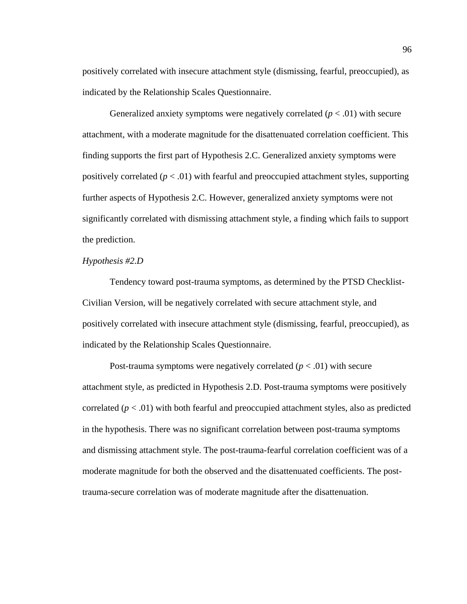positively correlated with insecure attachment style (dismissing, fearful, preoccupied), as indicated by the Relationship Scales Questionnaire.

Generalized anxiety symptoms were negatively correlated  $(p < .01)$  with secure attachment, with a moderate magnitude for the disattenuated correlation coefficient. This finding supports the first part of Hypothesis 2.C. Generalized anxiety symptoms were positively correlated  $(p < .01)$  with fearful and preoccupied attachment styles, supporting further aspects of Hypothesis 2.C. However, generalized anxiety symptoms were not significantly correlated with dismissing attachment style, a finding which fails to support the prediction.

# *Hypothesis #2.D*

 Tendency toward post-trauma symptoms, as determined by the PTSD Checklist-Civilian Version, will be negatively correlated with secure attachment style, and positively correlated with insecure attachment style (dismissing, fearful, preoccupied), as indicated by the Relationship Scales Questionnaire.

Post-trauma symptoms were negatively correlated  $(p < .01)$  with secure attachment style, as predicted in Hypothesis 2.D. Post-trauma symptoms were positively correlated  $(p < .01)$  with both fearful and preoccupied attachment styles, also as predicted in the hypothesis. There was no significant correlation between post-trauma symptoms and dismissing attachment style. The post-trauma-fearful correlation coefficient was of a moderate magnitude for both the observed and the disattenuated coefficients. The posttrauma-secure correlation was of moderate magnitude after the disattenuation.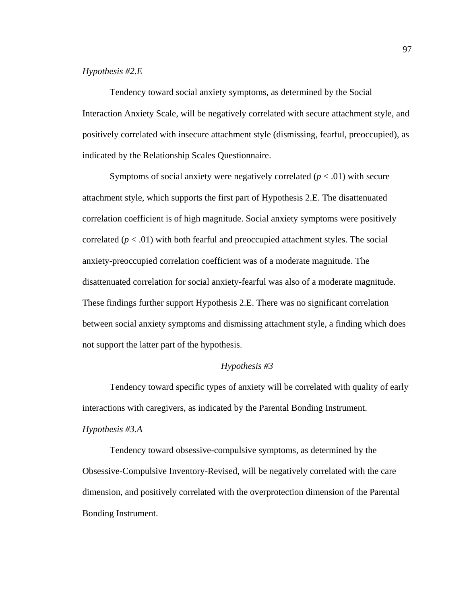## *Hypothesis #2.E*

 Tendency toward social anxiety symptoms, as determined by the Social Interaction Anxiety Scale, will be negatively correlated with secure attachment style, and positively correlated with insecure attachment style (dismissing, fearful, preoccupied), as indicated by the Relationship Scales Questionnaire.

Symptoms of social anxiety were negatively correlated  $(p < .01)$  with secure attachment style, which supports the first part of Hypothesis 2.E. The disattenuated correlation coefficient is of high magnitude. Social anxiety symptoms were positively correlated  $(p < .01)$  with both fearful and preoccupied attachment styles. The social anxiety-preoccupied correlation coefficient was of a moderate magnitude. The disattenuated correlation for social anxiety-fearful was also of a moderate magnitude. These findings further support Hypothesis 2.E. There was no significant correlation between social anxiety symptoms and dismissing attachment style, a finding which does not support the latter part of the hypothesis.

### *Hypothesis #3*

 Tendency toward specific types of anxiety will be correlated with quality of early interactions with caregivers, as indicated by the Parental Bonding Instrument.

## *Hypothesis #3.A*

 Tendency toward obsessive-compulsive symptoms, as determined by the Obsessive-Compulsive Inventory-Revised, will be negatively correlated with the care dimension, and positively correlated with the overprotection dimension of the Parental Bonding Instrument.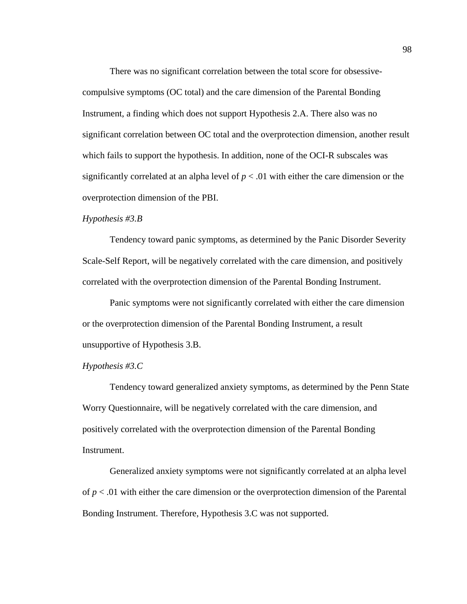There was no significant correlation between the total score for obsessivecompulsive symptoms (OC total) and the care dimension of the Parental Bonding Instrument, a finding which does not support Hypothesis 2.A. There also was no significant correlation between OC total and the overprotection dimension, another result which fails to support the hypothesis. In addition, none of the OCI-R subscales was significantly correlated at an alpha level of  $p < .01$  with either the care dimension or the overprotection dimension of the PBI.

#### *Hypothesis #3.B*

 Tendency toward panic symptoms, as determined by the Panic Disorder Severity Scale-Self Report, will be negatively correlated with the care dimension, and positively correlated with the overprotection dimension of the Parental Bonding Instrument.

 Panic symptoms were not significantly correlated with either the care dimension or the overprotection dimension of the Parental Bonding Instrument, a result unsupportive of Hypothesis 3.B.

## *Hypothesis #3.C*

 Tendency toward generalized anxiety symptoms, as determined by the Penn State Worry Questionnaire, will be negatively correlated with the care dimension, and positively correlated with the overprotection dimension of the Parental Bonding Instrument.

 Generalized anxiety symptoms were not significantly correlated at an alpha level of  $p < .01$  with either the care dimension or the overprotection dimension of the Parental Bonding Instrument. Therefore, Hypothesis 3.C was not supported.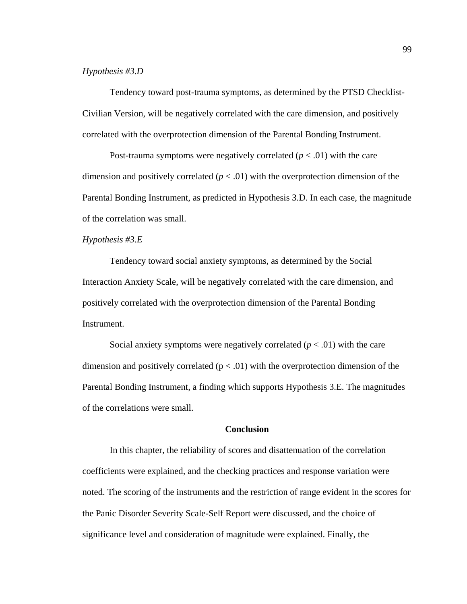## *Hypothesis #3.D*

 Tendency toward post-trauma symptoms, as determined by the PTSD Checklist-Civilian Version, will be negatively correlated with the care dimension, and positively correlated with the overprotection dimension of the Parental Bonding Instrument.

Post-trauma symptoms were negatively correlated  $(p < .01)$  with the care dimension and positively correlated  $(p < .01)$  with the overprotection dimension of the Parental Bonding Instrument, as predicted in Hypothesis 3.D. In each case, the magnitude of the correlation was small.

#### *Hypothesis #3.E*

 Tendency toward social anxiety symptoms, as determined by the Social Interaction Anxiety Scale, will be negatively correlated with the care dimension, and positively correlated with the overprotection dimension of the Parental Bonding Instrument.

Social anxiety symptoms were negatively correlated  $(p < .01)$  with the care dimension and positively correlated  $(p < .01)$  with the overprotection dimension of the Parental Bonding Instrument, a finding which supports Hypothesis 3.E. The magnitudes of the correlations were small.

#### **Conclusion**

 In this chapter, the reliability of scores and disattenuation of the correlation coefficients were explained, and the checking practices and response variation were noted. The scoring of the instruments and the restriction of range evident in the scores for the Panic Disorder Severity Scale-Self Report were discussed, and the choice of significance level and consideration of magnitude were explained. Finally, the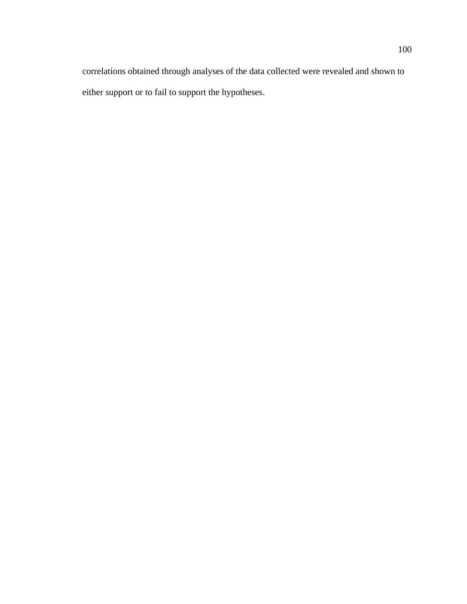correlations obtained through analyses of the data collected were revealed and shown to either support or to fail to support the hypotheses.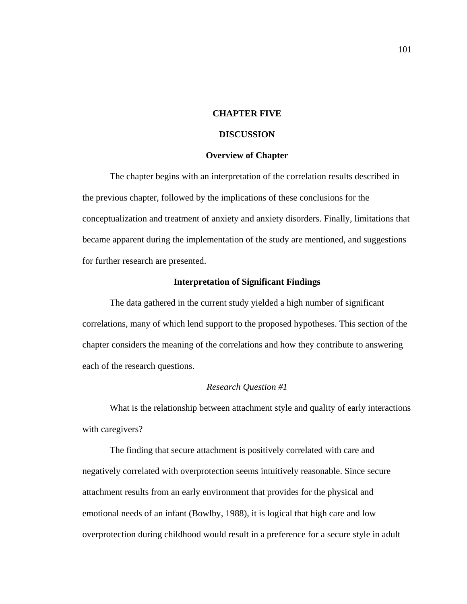## **CHAPTER FIVE**

#### **DISCUSSION**

#### **Overview of Chapter**

 The chapter begins with an interpretation of the correlation results described in the previous chapter, followed by the implications of these conclusions for the conceptualization and treatment of anxiety and anxiety disorders. Finally, limitations that became apparent during the implementation of the study are mentioned, and suggestions for further research are presented.

#### **Interpretation of Significant Findings**

 The data gathered in the current study yielded a high number of significant correlations, many of which lend support to the proposed hypotheses. This section of the chapter considers the meaning of the correlations and how they contribute to answering each of the research questions.

## *Research Question #1*

 What is the relationship between attachment style and quality of early interactions with caregivers?

 The finding that secure attachment is positively correlated with care and negatively correlated with overprotection seems intuitively reasonable. Since secure attachment results from an early environment that provides for the physical and emotional needs of an infant (Bowlby, 1988), it is logical that high care and low overprotection during childhood would result in a preference for a secure style in adult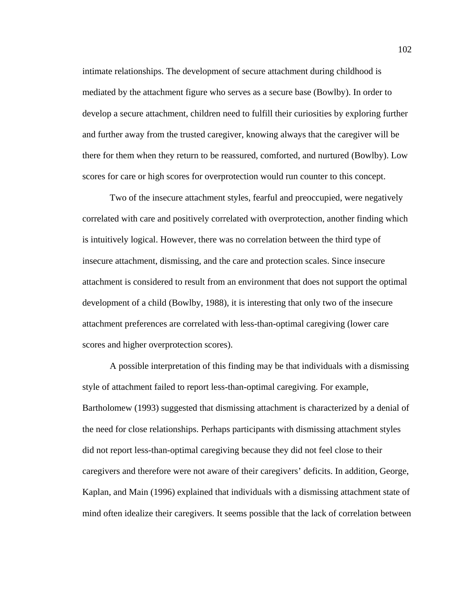intimate relationships. The development of secure attachment during childhood is mediated by the attachment figure who serves as a secure base (Bowlby). In order to develop a secure attachment, children need to fulfill their curiosities by exploring further and further away from the trusted caregiver, knowing always that the caregiver will be there for them when they return to be reassured, comforted, and nurtured (Bowlby). Low scores for care or high scores for overprotection would run counter to this concept.

 Two of the insecure attachment styles, fearful and preoccupied, were negatively correlated with care and positively correlated with overprotection, another finding which is intuitively logical. However, there was no correlation between the third type of insecure attachment, dismissing, and the care and protection scales. Since insecure attachment is considered to result from an environment that does not support the optimal development of a child (Bowlby, 1988), it is interesting that only two of the insecure attachment preferences are correlated with less-than-optimal caregiving (lower care scores and higher overprotection scores).

 A possible interpretation of this finding may be that individuals with a dismissing style of attachment failed to report less-than-optimal caregiving. For example, Bartholomew (1993) suggested that dismissing attachment is characterized by a denial of the need for close relationships. Perhaps participants with dismissing attachment styles did not report less-than-optimal caregiving because they did not feel close to their caregivers and therefore were not aware of their caregivers' deficits. In addition, George, Kaplan, and Main (1996) explained that individuals with a dismissing attachment state of mind often idealize their caregivers. It seems possible that the lack of correlation between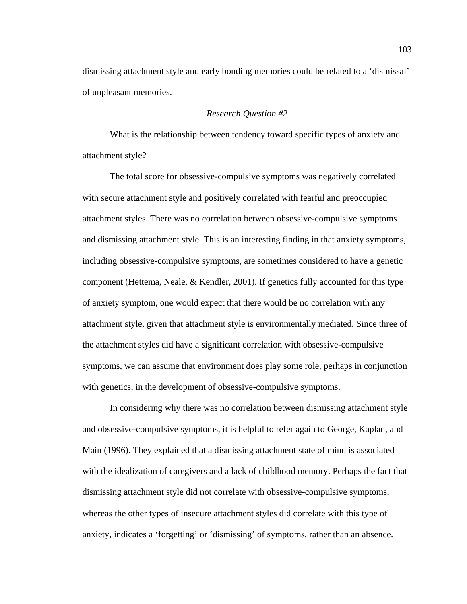dismissing attachment style and early bonding memories could be related to a 'dismissal' of unpleasant memories.

## *Research Question #2*

 What is the relationship between tendency toward specific types of anxiety and attachment style?

 The total score for obsessive-compulsive symptoms was negatively correlated with secure attachment style and positively correlated with fearful and preoccupied attachment styles. There was no correlation between obsessive-compulsive symptoms and dismissing attachment style. This is an interesting finding in that anxiety symptoms, including obsessive-compulsive symptoms, are sometimes considered to have a genetic component (Hettema, Neale, & Kendler, 2001). If genetics fully accounted for this type of anxiety symptom, one would expect that there would be no correlation with any attachment style, given that attachment style is environmentally mediated. Since three of the attachment styles did have a significant correlation with obsessive-compulsive symptoms, we can assume that environment does play some role, perhaps in conjunction with genetics, in the development of obsessive-compulsive symptoms.

 In considering why there was no correlation between dismissing attachment style and obsessive-compulsive symptoms, it is helpful to refer again to George, Kaplan, and Main (1996). They explained that a dismissing attachment state of mind is associated with the idealization of caregivers and a lack of childhood memory. Perhaps the fact that dismissing attachment style did not correlate with obsessive-compulsive symptoms, whereas the other types of insecure attachment styles did correlate with this type of anxiety, indicates a 'forgetting' or 'dismissing' of symptoms, rather than an absence.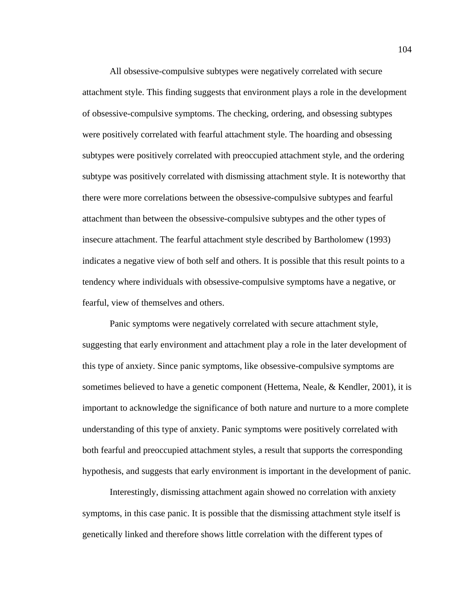All obsessive-compulsive subtypes were negatively correlated with secure attachment style. This finding suggests that environment plays a role in the development of obsessive-compulsive symptoms. The checking, ordering, and obsessing subtypes were positively correlated with fearful attachment style. The hoarding and obsessing subtypes were positively correlated with preoccupied attachment style, and the ordering subtype was positively correlated with dismissing attachment style. It is noteworthy that there were more correlations between the obsessive-compulsive subtypes and fearful attachment than between the obsessive-compulsive subtypes and the other types of insecure attachment. The fearful attachment style described by Bartholomew (1993) indicates a negative view of both self and others. It is possible that this result points to a tendency where individuals with obsessive-compulsive symptoms have a negative, or fearful, view of themselves and others.

 Panic symptoms were negatively correlated with secure attachment style, suggesting that early environment and attachment play a role in the later development of this type of anxiety. Since panic symptoms, like obsessive-compulsive symptoms are sometimes believed to have a genetic component (Hettema, Neale, & Kendler, 2001), it is important to acknowledge the significance of both nature and nurture to a more complete understanding of this type of anxiety. Panic symptoms were positively correlated with both fearful and preoccupied attachment styles, a result that supports the corresponding hypothesis, and suggests that early environment is important in the development of panic.

 Interestingly, dismissing attachment again showed no correlation with anxiety symptoms, in this case panic. It is possible that the dismissing attachment style itself is genetically linked and therefore shows little correlation with the different types of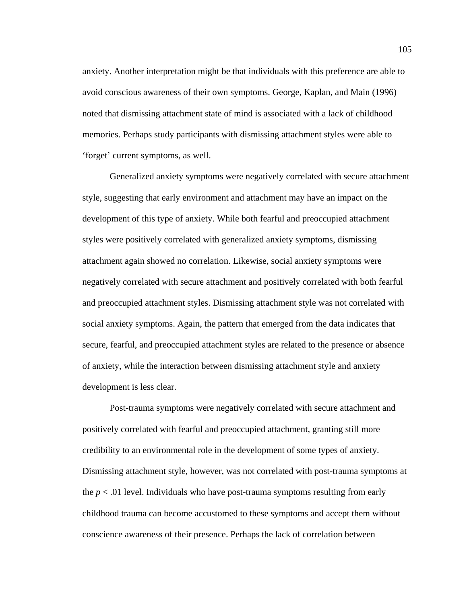anxiety. Another interpretation might be that individuals with this preference are able to avoid conscious awareness of their own symptoms. George, Kaplan, and Main (1996) noted that dismissing attachment state of mind is associated with a lack of childhood memories. Perhaps study participants with dismissing attachment styles were able to 'forget' current symptoms, as well.

 Generalized anxiety symptoms were negatively correlated with secure attachment style, suggesting that early environment and attachment may have an impact on the development of this type of anxiety. While both fearful and preoccupied attachment styles were positively correlated with generalized anxiety symptoms, dismissing attachment again showed no correlation. Likewise, social anxiety symptoms were negatively correlated with secure attachment and positively correlated with both fearful and preoccupied attachment styles. Dismissing attachment style was not correlated with social anxiety symptoms. Again, the pattern that emerged from the data indicates that secure, fearful, and preoccupied attachment styles are related to the presence or absence of anxiety, while the interaction between dismissing attachment style and anxiety development is less clear.

 Post-trauma symptoms were negatively correlated with secure attachment and positively correlated with fearful and preoccupied attachment, granting still more credibility to an environmental role in the development of some types of anxiety. Dismissing attachment style, however, was not correlated with post-trauma symptoms at the  $p < .01$  level. Individuals who have post-trauma symptoms resulting from early childhood trauma can become accustomed to these symptoms and accept them without conscience awareness of their presence. Perhaps the lack of correlation between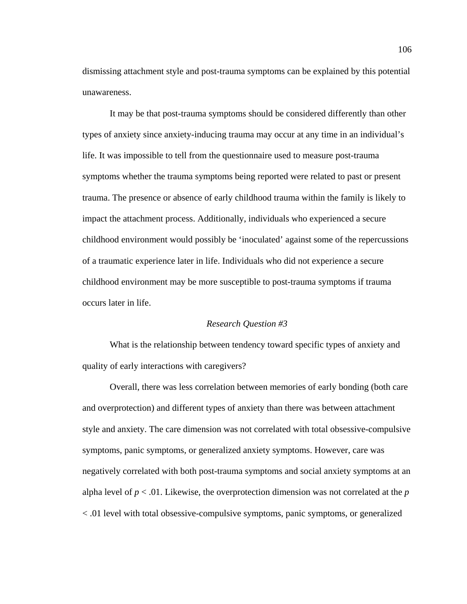dismissing attachment style and post-trauma symptoms can be explained by this potential unawareness.

 It may be that post-trauma symptoms should be considered differently than other types of anxiety since anxiety-inducing trauma may occur at any time in an individual's life. It was impossible to tell from the questionnaire used to measure post-trauma symptoms whether the trauma symptoms being reported were related to past or present trauma. The presence or absence of early childhood trauma within the family is likely to impact the attachment process. Additionally, individuals who experienced a secure childhood environment would possibly be 'inoculated' against some of the repercussions of a traumatic experience later in life. Individuals who did not experience a secure childhood environment may be more susceptible to post-trauma symptoms if trauma occurs later in life.

#### *Research Question #3*

 What is the relationship between tendency toward specific types of anxiety and quality of early interactions with caregivers?

 Overall, there was less correlation between memories of early bonding (both care and overprotection) and different types of anxiety than there was between attachment style and anxiety. The care dimension was not correlated with total obsessive-compulsive symptoms, panic symptoms, or generalized anxiety symptoms. However, care was negatively correlated with both post-trauma symptoms and social anxiety symptoms at an alpha level of  $p < 0.01$ . Likewise, the overprotection dimension was not correlated at the  $p$ < .01 level with total obsessive-compulsive symptoms, panic symptoms, or generalized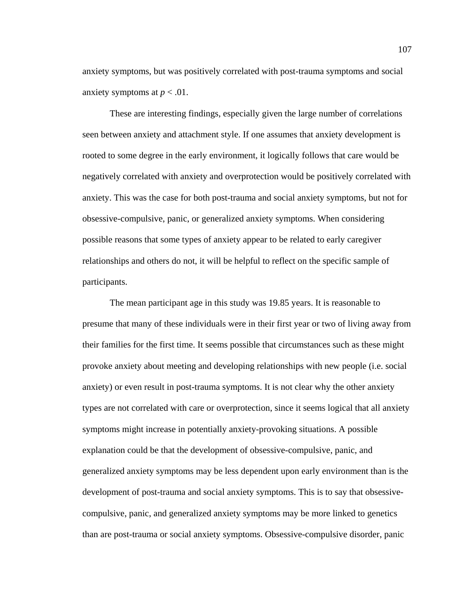anxiety symptoms, but was positively correlated with post-trauma symptoms and social anxiety symptoms at  $p < .01$ .

 These are interesting findings, especially given the large number of correlations seen between anxiety and attachment style. If one assumes that anxiety development is rooted to some degree in the early environment, it logically follows that care would be negatively correlated with anxiety and overprotection would be positively correlated with anxiety. This was the case for both post-trauma and social anxiety symptoms, but not for obsessive-compulsive, panic, or generalized anxiety symptoms. When considering possible reasons that some types of anxiety appear to be related to early caregiver relationships and others do not, it will be helpful to reflect on the specific sample of participants.

 The mean participant age in this study was 19.85 years. It is reasonable to presume that many of these individuals were in their first year or two of living away from their families for the first time. It seems possible that circumstances such as these might provoke anxiety about meeting and developing relationships with new people (i.e. social anxiety) or even result in post-trauma symptoms. It is not clear why the other anxiety types are not correlated with care or overprotection, since it seems logical that all anxiety symptoms might increase in potentially anxiety-provoking situations. A possible explanation could be that the development of obsessive-compulsive, panic, and generalized anxiety symptoms may be less dependent upon early environment than is the development of post-trauma and social anxiety symptoms. This is to say that obsessivecompulsive, panic, and generalized anxiety symptoms may be more linked to genetics than are post-trauma or social anxiety symptoms. Obsessive-compulsive disorder, panic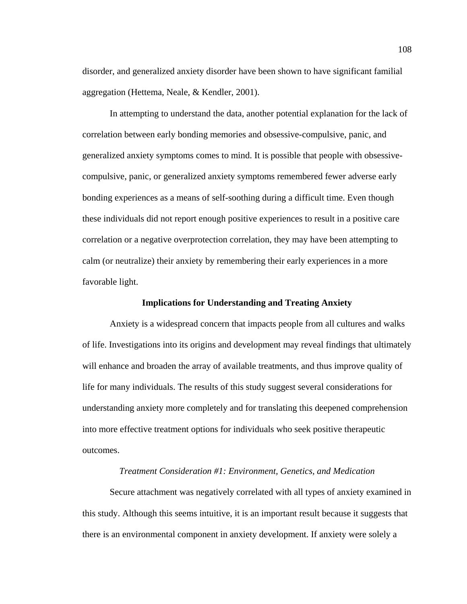disorder, and generalized anxiety disorder have been shown to have significant familial aggregation (Hettema, Neale, & Kendler, 2001).

 In attempting to understand the data, another potential explanation for the lack of correlation between early bonding memories and obsessive-compulsive, panic, and generalized anxiety symptoms comes to mind. It is possible that people with obsessivecompulsive, panic, or generalized anxiety symptoms remembered fewer adverse early bonding experiences as a means of self-soothing during a difficult time. Even though these individuals did not report enough positive experiences to result in a positive care correlation or a negative overprotection correlation, they may have been attempting to calm (or neutralize) their anxiety by remembering their early experiences in a more favorable light.

#### **Implications for Understanding and Treating Anxiety**

 Anxiety is a widespread concern that impacts people from all cultures and walks of life. Investigations into its origins and development may reveal findings that ultimately will enhance and broaden the array of available treatments, and thus improve quality of life for many individuals. The results of this study suggest several considerations for understanding anxiety more completely and for translating this deepened comprehension into more effective treatment options for individuals who seek positive therapeutic outcomes.

## *Treatment Consideration #1: Environment, Genetics, and Medication*

 Secure attachment was negatively correlated with all types of anxiety examined in this study. Although this seems intuitive, it is an important result because it suggests that there is an environmental component in anxiety development. If anxiety were solely a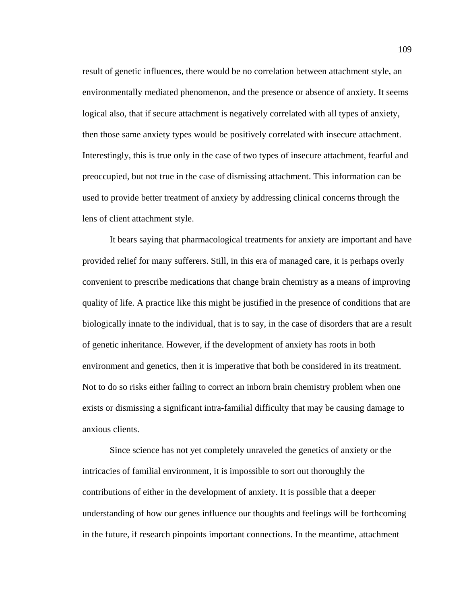result of genetic influences, there would be no correlation between attachment style, an environmentally mediated phenomenon, and the presence or absence of anxiety. It seems logical also, that if secure attachment is negatively correlated with all types of anxiety, then those same anxiety types would be positively correlated with insecure attachment. Interestingly, this is true only in the case of two types of insecure attachment, fearful and preoccupied, but not true in the case of dismissing attachment. This information can be used to provide better treatment of anxiety by addressing clinical concerns through the lens of client attachment style.

 It bears saying that pharmacological treatments for anxiety are important and have provided relief for many sufferers. Still, in this era of managed care, it is perhaps overly convenient to prescribe medications that change brain chemistry as a means of improving quality of life. A practice like this might be justified in the presence of conditions that are biologically innate to the individual, that is to say, in the case of disorders that are a result of genetic inheritance. However, if the development of anxiety has roots in both environment and genetics, then it is imperative that both be considered in its treatment. Not to do so risks either failing to correct an inborn brain chemistry problem when one exists or dismissing a significant intra-familial difficulty that may be causing damage to anxious clients.

 Since science has not yet completely unraveled the genetics of anxiety or the intricacies of familial environment, it is impossible to sort out thoroughly the contributions of either in the development of anxiety. It is possible that a deeper understanding of how our genes influence our thoughts and feelings will be forthcoming in the future, if research pinpoints important connections. In the meantime, attachment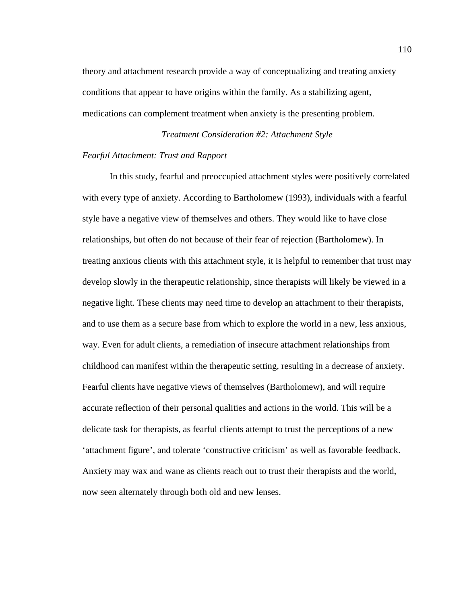theory and attachment research provide a way of conceptualizing and treating anxiety conditions that appear to have origins within the family. As a stabilizing agent, medications can complement treatment when anxiety is the presenting problem.

# *Treatment Consideration #2: Attachment Style Fearful Attachment: Trust and Rapport*

In this study, fearful and preoccupied attachment styles were positively correlated with every type of anxiety. According to Bartholomew (1993), individuals with a fearful style have a negative view of themselves and others. They would like to have close relationships, but often do not because of their fear of rejection (Bartholomew). In treating anxious clients with this attachment style, it is helpful to remember that trust may develop slowly in the therapeutic relationship, since therapists will likely be viewed in a negative light. These clients may need time to develop an attachment to their therapists, and to use them as a secure base from which to explore the world in a new, less anxious, way. Even for adult clients, a remediation of insecure attachment relationships from childhood can manifest within the therapeutic setting, resulting in a decrease of anxiety. Fearful clients have negative views of themselves (Bartholomew), and will require accurate reflection of their personal qualities and actions in the world. This will be a delicate task for therapists, as fearful clients attempt to trust the perceptions of a new 'attachment figure', and tolerate 'constructive criticism' as well as favorable feedback. Anxiety may wax and wane as clients reach out to trust their therapists and the world, now seen alternately through both old and new lenses.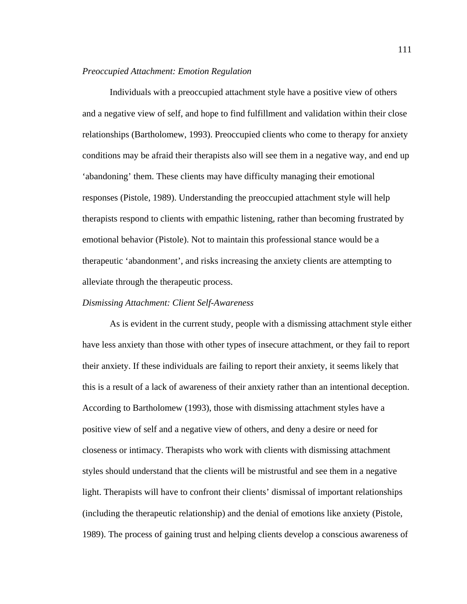## *Preoccupied Attachment: Emotion Regulation*

Individuals with a preoccupied attachment style have a positive view of others and a negative view of self, and hope to find fulfillment and validation within their close relationships (Bartholomew, 1993). Preoccupied clients who come to therapy for anxiety conditions may be afraid their therapists also will see them in a negative way, and end up 'abandoning' them. These clients may have difficulty managing their emotional responses (Pistole, 1989). Understanding the preoccupied attachment style will help therapists respond to clients with empathic listening, rather than becoming frustrated by emotional behavior (Pistole). Not to maintain this professional stance would be a therapeutic 'abandonment', and risks increasing the anxiety clients are attempting to alleviate through the therapeutic process.

## *Dismissing Attachment: Client Self-Awareness*

As is evident in the current study, people with a dismissing attachment style either have less anxiety than those with other types of insecure attachment, or they fail to report their anxiety. If these individuals are failing to report their anxiety, it seems likely that this is a result of a lack of awareness of their anxiety rather than an intentional deception. According to Bartholomew (1993), those with dismissing attachment styles have a positive view of self and a negative view of others, and deny a desire or need for closeness or intimacy. Therapists who work with clients with dismissing attachment styles should understand that the clients will be mistrustful and see them in a negative light. Therapists will have to confront their clients' dismissal of important relationships (including the therapeutic relationship) and the denial of emotions like anxiety (Pistole, 1989). The process of gaining trust and helping clients develop a conscious awareness of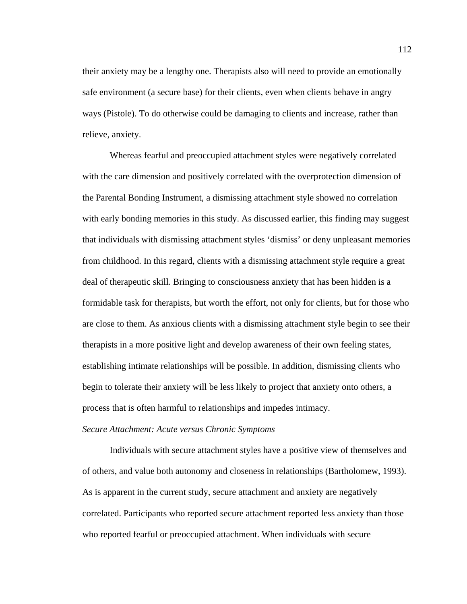their anxiety may be a lengthy one. Therapists also will need to provide an emotionally safe environment (a secure base) for their clients, even when clients behave in angry ways (Pistole). To do otherwise could be damaging to clients and increase, rather than relieve, anxiety.

 Whereas fearful and preoccupied attachment styles were negatively correlated with the care dimension and positively correlated with the overprotection dimension of the Parental Bonding Instrument, a dismissing attachment style showed no correlation with early bonding memories in this study. As discussed earlier, this finding may suggest that individuals with dismissing attachment styles 'dismiss' or deny unpleasant memories from childhood. In this regard, clients with a dismissing attachment style require a great deal of therapeutic skill. Bringing to consciousness anxiety that has been hidden is a formidable task for therapists, but worth the effort, not only for clients, but for those who are close to them. As anxious clients with a dismissing attachment style begin to see their therapists in a more positive light and develop awareness of their own feeling states, establishing intimate relationships will be possible. In addition, dismissing clients who begin to tolerate their anxiety will be less likely to project that anxiety onto others, a process that is often harmful to relationships and impedes intimacy.

## *Secure Attachment: Acute versus Chronic Symptoms*

Individuals with secure attachment styles have a positive view of themselves and of others, and value both autonomy and closeness in relationships (Bartholomew, 1993). As is apparent in the current study, secure attachment and anxiety are negatively correlated. Participants who reported secure attachment reported less anxiety than those who reported fearful or preoccupied attachment. When individuals with secure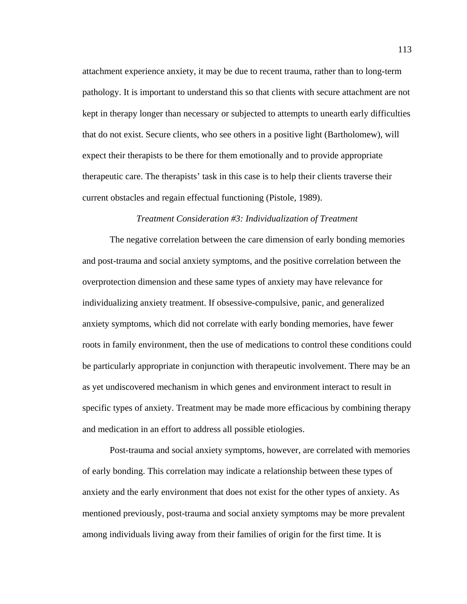attachment experience anxiety, it may be due to recent trauma, rather than to long-term pathology. It is important to understand this so that clients with secure attachment are not kept in therapy longer than necessary or subjected to attempts to unearth early difficulties that do not exist. Secure clients, who see others in a positive light (Bartholomew), will expect their therapists to be there for them emotionally and to provide appropriate therapeutic care. The therapists' task in this case is to help their clients traverse their current obstacles and regain effectual functioning (Pistole, 1989).

#### *Treatment Consideration #3: Individualization of Treatment*

 The negative correlation between the care dimension of early bonding memories and post-trauma and social anxiety symptoms, and the positive correlation between the overprotection dimension and these same types of anxiety may have relevance for individualizing anxiety treatment. If obsessive-compulsive, panic, and generalized anxiety symptoms, which did not correlate with early bonding memories, have fewer roots in family environment, then the use of medications to control these conditions could be particularly appropriate in conjunction with therapeutic involvement. There may be an as yet undiscovered mechanism in which genes and environment interact to result in specific types of anxiety. Treatment may be made more efficacious by combining therapy and medication in an effort to address all possible etiologies.

 Post-trauma and social anxiety symptoms, however, are correlated with memories of early bonding. This correlation may indicate a relationship between these types of anxiety and the early environment that does not exist for the other types of anxiety. As mentioned previously, post-trauma and social anxiety symptoms may be more prevalent among individuals living away from their families of origin for the first time. It is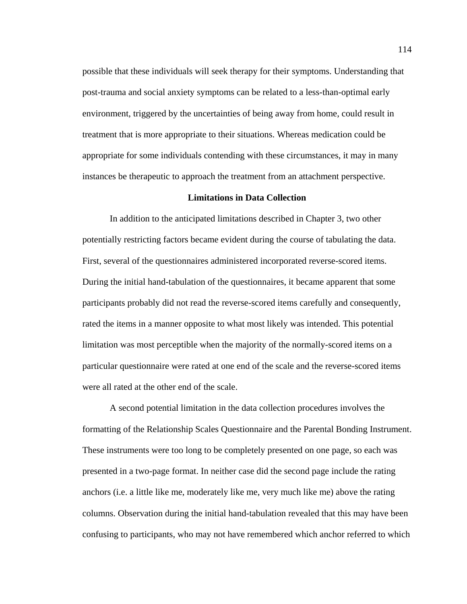possible that these individuals will seek therapy for their symptoms. Understanding that post-trauma and social anxiety symptoms can be related to a less-than-optimal early environment, triggered by the uncertainties of being away from home, could result in treatment that is more appropriate to their situations. Whereas medication could be appropriate for some individuals contending with these circumstances, it may in many instances be therapeutic to approach the treatment from an attachment perspective.

#### **Limitations in Data Collection**

 In addition to the anticipated limitations described in Chapter 3, two other potentially restricting factors became evident during the course of tabulating the data. First, several of the questionnaires administered incorporated reverse-scored items. During the initial hand-tabulation of the questionnaires, it became apparent that some participants probably did not read the reverse-scored items carefully and consequently, rated the items in a manner opposite to what most likely was intended. This potential limitation was most perceptible when the majority of the normally-scored items on a particular questionnaire were rated at one end of the scale and the reverse-scored items were all rated at the other end of the scale.

 A second potential limitation in the data collection procedures involves the formatting of the Relationship Scales Questionnaire and the Parental Bonding Instrument. These instruments were too long to be completely presented on one page, so each was presented in a two-page format. In neither case did the second page include the rating anchors (i.e. a little like me, moderately like me, very much like me) above the rating columns. Observation during the initial hand-tabulation revealed that this may have been confusing to participants, who may not have remembered which anchor referred to which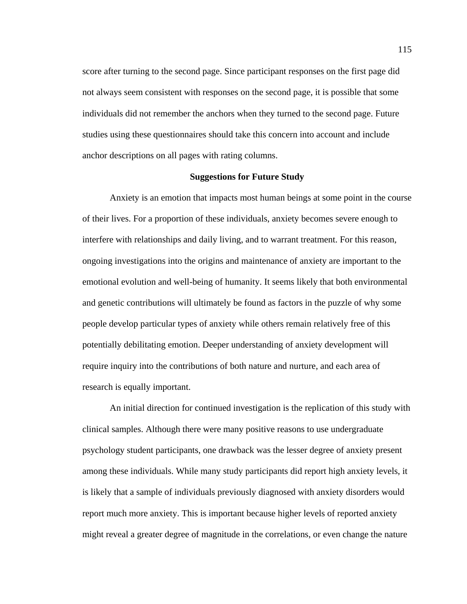score after turning to the second page. Since participant responses on the first page did not always seem consistent with responses on the second page, it is possible that some individuals did not remember the anchors when they turned to the second page. Future studies using these questionnaires should take this concern into account and include anchor descriptions on all pages with rating columns.

#### **Suggestions for Future Study**

 Anxiety is an emotion that impacts most human beings at some point in the course of their lives. For a proportion of these individuals, anxiety becomes severe enough to interfere with relationships and daily living, and to warrant treatment. For this reason, ongoing investigations into the origins and maintenance of anxiety are important to the emotional evolution and well-being of humanity. It seems likely that both environmental and genetic contributions will ultimately be found as factors in the puzzle of why some people develop particular types of anxiety while others remain relatively free of this potentially debilitating emotion. Deeper understanding of anxiety development will require inquiry into the contributions of both nature and nurture, and each area of research is equally important.

 An initial direction for continued investigation is the replication of this study with clinical samples. Although there were many positive reasons to use undergraduate psychology student participants, one drawback was the lesser degree of anxiety present among these individuals. While many study participants did report high anxiety levels, it is likely that a sample of individuals previously diagnosed with anxiety disorders would report much more anxiety. This is important because higher levels of reported anxiety might reveal a greater degree of magnitude in the correlations, or even change the nature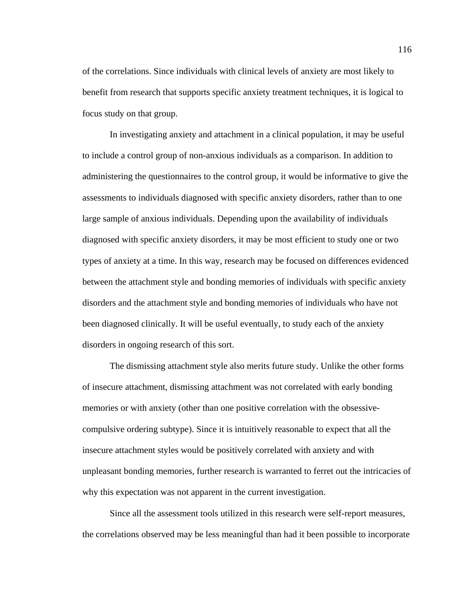of the correlations. Since individuals with clinical levels of anxiety are most likely to benefit from research that supports specific anxiety treatment techniques, it is logical to focus study on that group.

 In investigating anxiety and attachment in a clinical population, it may be useful to include a control group of non-anxious individuals as a comparison. In addition to administering the questionnaires to the control group, it would be informative to give the assessments to individuals diagnosed with specific anxiety disorders, rather than to one large sample of anxious individuals. Depending upon the availability of individuals diagnosed with specific anxiety disorders, it may be most efficient to study one or two types of anxiety at a time. In this way, research may be focused on differences evidenced between the attachment style and bonding memories of individuals with specific anxiety disorders and the attachment style and bonding memories of individuals who have not been diagnosed clinically. It will be useful eventually, to study each of the anxiety disorders in ongoing research of this sort.

 The dismissing attachment style also merits future study. Unlike the other forms of insecure attachment, dismissing attachment was not correlated with early bonding memories or with anxiety (other than one positive correlation with the obsessivecompulsive ordering subtype). Since it is intuitively reasonable to expect that all the insecure attachment styles would be positively correlated with anxiety and with unpleasant bonding memories, further research is warranted to ferret out the intricacies of why this expectation was not apparent in the current investigation.

 Since all the assessment tools utilized in this research were self-report measures, the correlations observed may be less meaningful than had it been possible to incorporate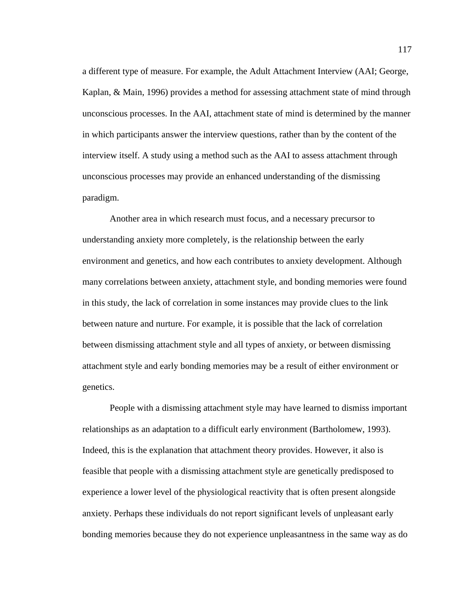a different type of measure. For example, the Adult Attachment Interview (AAI; George, Kaplan, & Main, 1996) provides a method for assessing attachment state of mind through unconscious processes. In the AAI, attachment state of mind is determined by the manner in which participants answer the interview questions, rather than by the content of the interview itself. A study using a method such as the AAI to assess attachment through unconscious processes may provide an enhanced understanding of the dismissing paradigm.

 Another area in which research must focus, and a necessary precursor to understanding anxiety more completely, is the relationship between the early environment and genetics, and how each contributes to anxiety development. Although many correlations between anxiety, attachment style, and bonding memories were found in this study, the lack of correlation in some instances may provide clues to the link between nature and nurture. For example, it is possible that the lack of correlation between dismissing attachment style and all types of anxiety, or between dismissing attachment style and early bonding memories may be a result of either environment or genetics.

 People with a dismissing attachment style may have learned to dismiss important relationships as an adaptation to a difficult early environment (Bartholomew, 1993). Indeed, this is the explanation that attachment theory provides. However, it also is feasible that people with a dismissing attachment style are genetically predisposed to experience a lower level of the physiological reactivity that is often present alongside anxiety. Perhaps these individuals do not report significant levels of unpleasant early bonding memories because they do not experience unpleasantness in the same way as do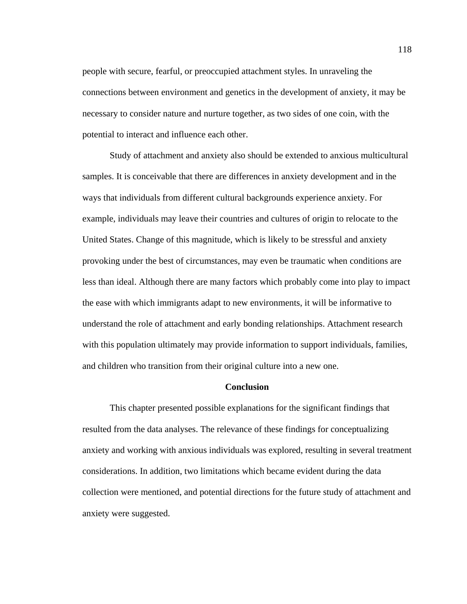people with secure, fearful, or preoccupied attachment styles. In unraveling the connections between environment and genetics in the development of anxiety, it may be necessary to consider nature and nurture together, as two sides of one coin, with the potential to interact and influence each other.

 Study of attachment and anxiety also should be extended to anxious multicultural samples. It is conceivable that there are differences in anxiety development and in the ways that individuals from different cultural backgrounds experience anxiety. For example, individuals may leave their countries and cultures of origin to relocate to the United States. Change of this magnitude, which is likely to be stressful and anxiety provoking under the best of circumstances, may even be traumatic when conditions are less than ideal. Although there are many factors which probably come into play to impact the ease with which immigrants adapt to new environments, it will be informative to understand the role of attachment and early bonding relationships. Attachment research with this population ultimately may provide information to support individuals, families, and children who transition from their original culture into a new one.

## **Conclusion**

 This chapter presented possible explanations for the significant findings that resulted from the data analyses. The relevance of these findings for conceptualizing anxiety and working with anxious individuals was explored, resulting in several treatment considerations. In addition, two limitations which became evident during the data collection were mentioned, and potential directions for the future study of attachment and anxiety were suggested.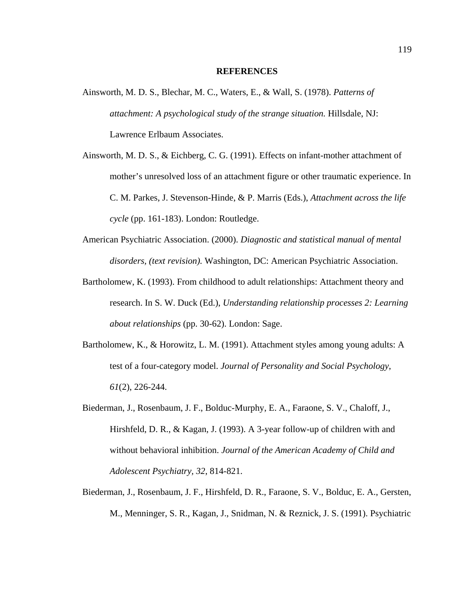#### **REFERENCES**

- Ainsworth, M. D. S., Blechar, M. C., Waters, E., & Wall, S. (1978). *Patterns of attachment: A psychological study of the strange situation.* Hillsdale, NJ: Lawrence Erlbaum Associates.
- Ainsworth, M. D. S., & Eichberg, C. G. (1991). Effects on infant-mother attachment of mother's unresolved loss of an attachment figure or other traumatic experience. In C. M. Parkes, J. Stevenson-Hinde, & P. Marris (Eds.), *Attachment across the life cycle* (pp. 161-183). London: Routledge.
- American Psychiatric Association. (2000). *Diagnostic and statistical manual of mental disorders, (text revision).* Washington, DC: American Psychiatric Association.
- Bartholomew, K. (1993). From childhood to adult relationships: Attachment theory and research. In S. W. Duck (Ed.), *Understanding relationship processes 2: Learning about relationships* (pp. 30-62). London: Sage.
- Bartholomew, K., & Horowitz, L. M. (1991). Attachment styles among young adults: A test of a four-category model. *Journal of Personality and Social Psychology*, *61*(2), 226-244.
- Biederman, J., Rosenbaum, J. F., Bolduc-Murphy, E. A., Faraone, S. V., Chaloff, J., Hirshfeld, D. R., & Kagan, J. (1993). A 3-year follow-up of children with and without behavioral inhibition. *Journal of the American Academy of Child and Adolescent Psychiatry, 32*, 814-821.
- Biederman, J., Rosenbaum, J. F., Hirshfeld, D. R., Faraone, S. V., Bolduc, E. A., Gersten, M., Menninger, S. R., Kagan, J., Snidman, N. & Reznick, J. S. (1991). Psychiatric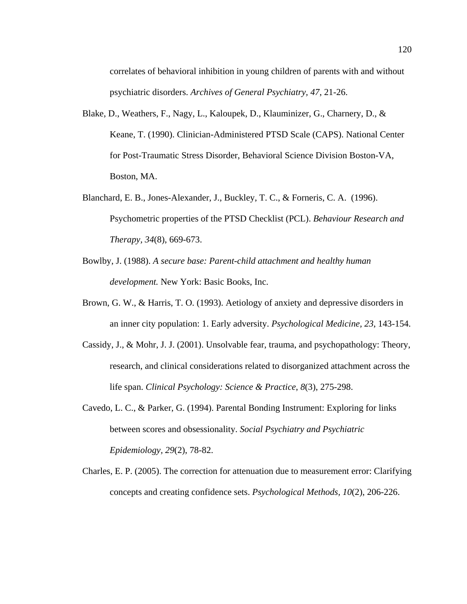correlates of behavioral inhibition in young children of parents with and without psychiatric disorders. *Archives of General Psychiatry, 47*, 21-26.

- Blake, D., Weathers, F., Nagy, L., Kaloupek, D., Klauminizer, G., Charnery, D., & Keane, T. (1990). Clinician-Administered PTSD Scale (CAPS). National Center for Post-Traumatic Stress Disorder, Behavioral Science Division Boston-VA, Boston, MA.
- Blanchard, E. B., Jones-Alexander, J., Buckley, T. C., & Forneris, C. A. (1996). Psychometric properties of the PTSD Checklist (PCL). *Behaviour Research and Therapy, 34*(8), 669-673.
- Bowlby, J. (1988). *A secure base: Parent-child attachment and healthy human development.* New York: Basic Books, Inc.
- Brown, G. W., & Harris, T. O. (1993). Aetiology of anxiety and depressive disorders in an inner city population: 1. Early adversity. *Psychological Medicine, 23*, 143-154.
- Cassidy, J., & Mohr, J. J. (2001). Unsolvable fear, trauma, and psychopathology: Theory, research, and clinical considerations related to disorganized attachment across the life span. *Clinical Psychology: Science & Practice*, *8*(3), 275-298.
- Cavedo, L. C., & Parker, G. (1994). Parental Bonding Instrument: Exploring for links between scores and obsessionality. *Social Psychiatry and Psychiatric Epidemiology, 29*(2), 78-82.
- Charles, E. P. (2005). The correction for attenuation due to measurement error: Clarifying concepts and creating confidence sets. *Psychological Methods, 10*(2), 206-226.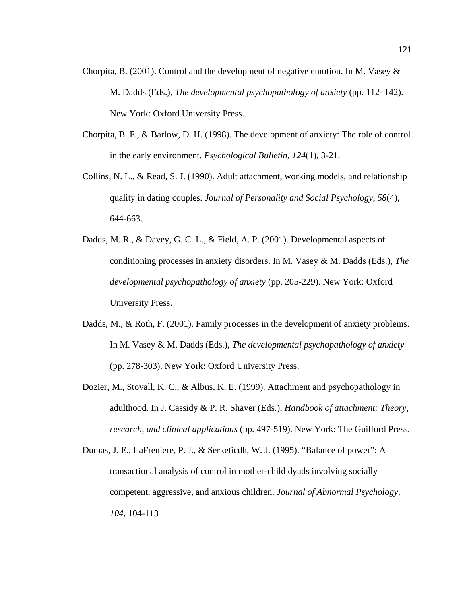- Chorpita, B. (2001). Control and the development of negative emotion. In M. Vasey & M. Dadds (Eds.), *The developmental psychopathology of anxiety* (pp. 112- 142). New York: Oxford University Press.
- Chorpita, B. F., & Barlow, D. H. (1998). The development of anxiety: The role of control in the early environment. *Psychological Bulletin*, *124*(1), 3-21.
- Collins, N. L., & Read, S. J. (1990). Adult attachment, working models, and relationship quality in dating couples. *Journal of Personality and Social Psychology*, *58*(4), 644-663.
- Dadds, M. R., & Davey, G. C. L., & Field, A. P. (2001). Developmental aspects of conditioning processes in anxiety disorders. In M. Vasey & M. Dadds (Eds.), *The developmental psychopathology of anxiety* (pp. 205-229). New York: Oxford University Press.
- Dadds, M., & Roth, F. (2001). Family processes in the development of anxiety problems. In M. Vasey & M. Dadds (Eds.), *The developmental psychopathology of anxiety* (pp. 278-303). New York: Oxford University Press.
- Dozier, M., Stovall, K. C., & Albus, K. E. (1999). Attachment and psychopathology in adulthood. In J. Cassidy & P. R. Shaver (Eds.), *Handbook of attachment: Theory, research, and clinical applications* (pp. 497-519). New York: The Guilford Press.
- Dumas, J. E., LaFreniere, P. J., & Serketicdh, W. J. (1995). "Balance of power": A transactional analysis of control in mother-child dyads involving socially competent, aggressive, and anxious children. *Journal of Abnormal Psychology, 104*, 104-113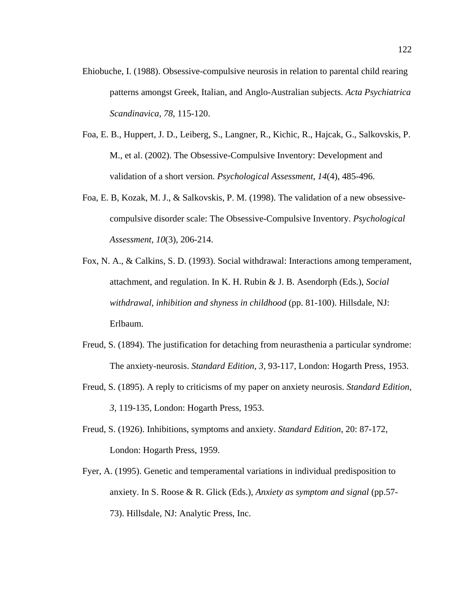- Ehiobuche, I. (1988). Obsessive-compulsive neurosis in relation to parental child rearing patterns amongst Greek, Italian, and Anglo-Australian subjects. *Acta Psychiatrica Scandinavica, 78*, 115-120.
- Foa, E. B., Huppert, J. D., Leiberg, S., Langner, R., Kichic, R., Hajcak, G., Salkovskis, P. M., et al. (2002). The Obsessive-Compulsive Inventory: Development and validation of a short version. *Psychological Assessment*, *14*(4), 485-496.
- Foa, E. B, Kozak, M. J., & Salkovskis, P. M. (1998). The validation of a new obsessivecompulsive disorder scale: The Obsessive-Compulsive Inventory. *Psychological Assessment*, *10*(3), 206-214.
- Fox, N. A., & Calkins, S. D. (1993). Social withdrawal: Interactions among temperament, attachment, and regulation. In K. H. Rubin & J. B. Asendorph (Eds.), *Social withdrawal, inhibition and shyness in childhood* (pp. 81-100). Hillsdale, NJ: Erlbaum.
- Freud, S. (1894). The justification for detaching from neurasthenia a particular syndrome: The anxiety-neurosis. *Standard Edition, 3*, 93-117, London: Hogarth Press, 1953.
- Freud, S. (1895). A reply to criticisms of my paper on anxiety neurosis. *Standard Edition, 3*, 119-135, London: Hogarth Press, 1953.
- Freud, S. (1926). Inhibitions, symptoms and anxiety. *Standard Edition*, 20: 87-172, London: Hogarth Press, 1959.
- Fyer, A. (1995). Genetic and temperamental variations in individual predisposition to anxiety. In S. Roose & R. Glick (Eds.), *Anxiety as symptom and signal* (pp.57- 73). Hillsdale, NJ: Analytic Press, Inc.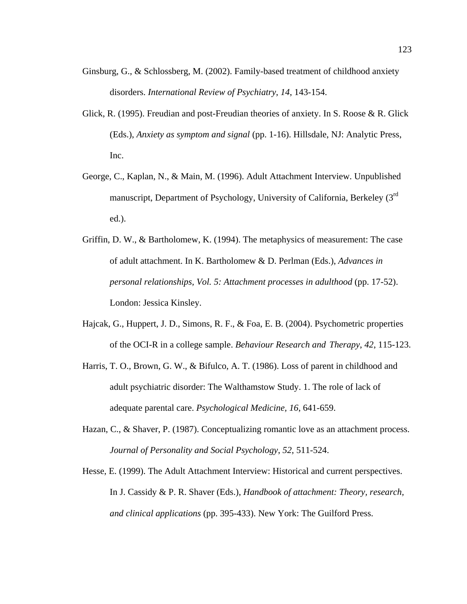- Ginsburg, G., & Schlossberg, M. (2002). Family-based treatment of childhood anxiety disorders. *International Review of Psychiatry*, *14*, 143-154.
- Glick, R. (1995). Freudian and post-Freudian theories of anxiety. In S. Roose & R. Glick (Eds.), *Anxiety as symptom and signal* (pp. 1-16). Hillsdale, NJ: Analytic Press, Inc.
- George, C., Kaplan, N., & Main, M. (1996). Adult Attachment Interview. Unpublished manuscript, Department of Psychology, University of California, Berkeley (3rd ed.).
- Griffin, D. W., & Bartholomew, K. (1994). The metaphysics of measurement: The case of adult attachment. In K. Bartholomew & D. Perlman (Eds.), *Advances in personal relationships, Vol. 5: Attachment processes in adulthood* (pp. 17-52). London: Jessica Kinsley.
- Hajcak, G., Huppert, J. D., Simons, R. F., & Foa, E. B. (2004). Psychometric properties of the OCI-R in a college sample. *Behaviour Research and Therapy*, *42*, 115-123.
- Harris, T. O., Brown, G. W., & Bifulco, A. T. (1986). Loss of parent in childhood and adult psychiatric disorder: The Walthamstow Study. 1. The role of lack of adequate parental care. *Psychological Medicine, 16*, 641-659.
- Hazan, C., & Shaver, P. (1987). Conceptualizing romantic love as an attachment process. *Journal of Personality and Social Psychology*, *52*, 511-524.
- Hesse, E. (1999). The Adult Attachment Interview: Historical and current perspectives. In J. Cassidy & P. R. Shaver (Eds.), *Handbook of attachment: Theory, research, and clinical applications* (pp. 395-433). New York: The Guilford Press.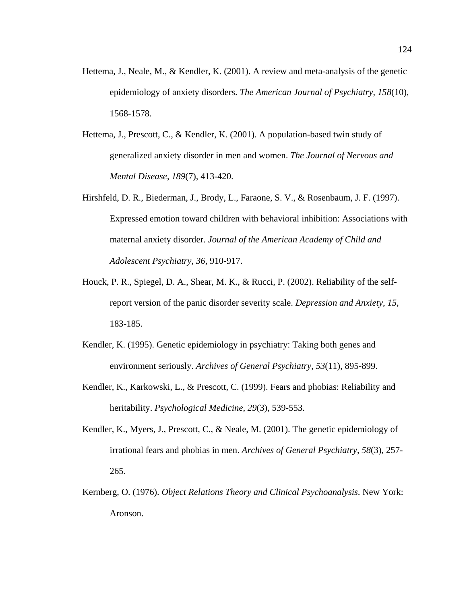- Hettema, J., Neale, M., & Kendler, K. (2001). A review and meta-analysis of the genetic epidemiology of anxiety disorders. *The American Journal of Psychiatry*, *158*(10), 1568-1578.
- Hettema, J., Prescott, C., & Kendler, K. (2001). A population-based twin study of generalized anxiety disorder in men and women. *The Journal of Nervous and Mental Disease*, *189*(7), 413-420.
- Hirshfeld, D. R., Biederman, J., Brody, L., Faraone, S. V., & Rosenbaum, J. F. (1997). Expressed emotion toward children with behavioral inhibition: Associations with maternal anxiety disorder. *Journal of the American Academy of Child and Adolescent Psychiatry, 36*, 910-917.
- Houck, P. R., Spiegel, D. A., Shear, M. K., & Rucci, P. (2002). Reliability of the selfreport version of the panic disorder severity scale. *Depression and Anxiety*, *15*, 183-185.
- Kendler, K. (1995). Genetic epidemiology in psychiatry: Taking both genes and environment seriously. *Archives of General Psychiatry*, *53*(11), 895-899.
- Kendler, K., Karkowski, L., & Prescott, C. (1999). Fears and phobias: Reliability and heritability. *Psychological Medicine*, *29*(3), 539-553.
- Kendler, K., Myers, J., Prescott, C., & Neale, M. (2001). The genetic epidemiology of irrational fears and phobias in men. *Archives of General Psychiatry*, *58*(3), 257- 265.
- Kernberg, O. (1976). *Object Relations Theory and Clinical Psychoanalysis*. New York: Aronson.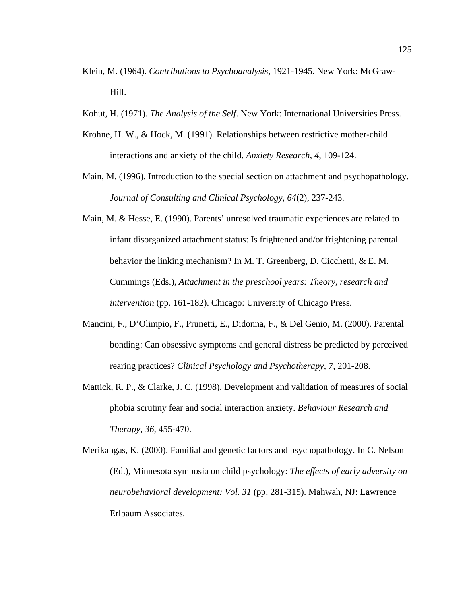- Klein, M. (1964). *Contributions to Psychoanalysis*, 1921-1945. New York: McGraw-Hill.
- Kohut, H. (1971). *The Analysis of the Self*. New York: International Universities Press.
- Krohne, H. W., & Hock, M. (1991). Relationships between restrictive mother-child interactions and anxiety of the child. *Anxiety Research, 4*, 109-124.
- Main, M. (1996). Introduction to the special section on attachment and psychopathology. *Journal of Consulting and Clinical Psychology*, *64*(2), 237-243.
- Main, M. & Hesse, E. (1990). Parents' unresolved traumatic experiences are related to infant disorganized attachment status: Is frightened and/or frightening parental behavior the linking mechanism? In M. T. Greenberg, D. Cicchetti, & E. M. Cummings (Eds.), *Attachment in the preschool years: Theory, research and intervention* (pp. 161-182). Chicago: University of Chicago Press.
- Mancini, F., D'Olimpio, F., Prunetti, E., Didonna, F., & Del Genio, M. (2000). Parental bonding: Can obsessive symptoms and general distress be predicted by perceived rearing practices? *Clinical Psychology and Psychotherapy, 7*, 201-208.
- Mattick, R. P., & Clarke, J. C. (1998). Development and validation of measures of social phobia scrutiny fear and social interaction anxiety. *Behaviour Research and Therapy*, *36*, 455-470.
- Merikangas, K. (2000). Familial and genetic factors and psychopathology. In C. Nelson (Ed.), Minnesota symposia on child psychology: *The effects of early adversity on neurobehavioral development: Vol. 31* (pp. 281-315). Mahwah, NJ: Lawrence Erlbaum Associates.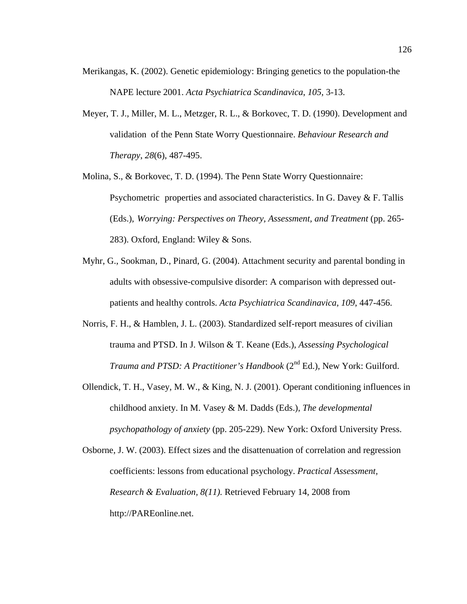- Merikangas, K. (2002). Genetic epidemiology: Bringing genetics to the population-the NAPE lecture 2001. *Acta Psychiatrica Scandinavica*, *105*, 3-13.
- Meyer, T. J., Miller, M. L., Metzger, R. L., & Borkovec, T. D. (1990). Development and validation of the Penn State Worry Questionnaire. *Behaviour Research and Therapy*, *28*(6), 487-495.
- Molina, S., & Borkovec, T. D. (1994). The Penn State Worry Questionnaire: Psychometric properties and associated characteristics. In G. Davey & F. Tallis (Eds.), *Worrying: Perspectives on Theory, Assessment, and Treatment* (pp. 265- 283). Oxford, England: Wiley & Sons.
- Myhr, G., Sookman, D., Pinard, G. (2004). Attachment security and parental bonding in adults with obsessive-compulsive disorder: A comparison with depressed outpatients and healthy controls. *Acta Psychiatrica Scandinavica, 109*, 447-456.
- Norris, F. H., & Hamblen, J. L. (2003). Standardized self-report measures of civilian trauma and PTSD. In J. Wilson & T. Keane (Eds.), *Assessing Psychological Trauma and PTSD: A Practitioner's Handbook* (2<sup>nd</sup> Ed.), New York: Guilford.
- Ollendick, T. H., Vasey, M. W., & King, N. J. (2001). Operant conditioning influences in childhood anxiety. In M. Vasey & M. Dadds (Eds.), *The developmental psychopathology of anxiety* (pp. 205-229). New York: Oxford University Press.
- Osborne, J. W. (2003). Effect sizes and the disattenuation of correlation and regression coefficients: lessons from educational psychology. *Practical Assessment, Research & Evaluation, 8(11).* Retrieved February 14, 2008 from http://PAREonline.net.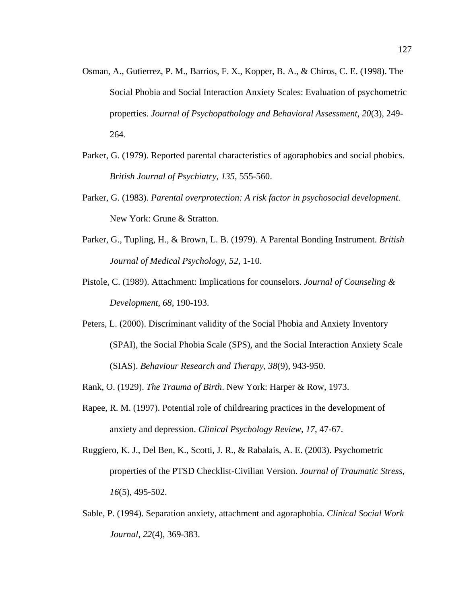- Osman, A., Gutierrez, P. M., Barrios, F. X., Kopper, B. A., & Chiros, C. E. (1998). The Social Phobia and Social Interaction Anxiety Scales: Evaluation of psychometric properties. *Journal of Psychopathology and Behavioral Assessment*, *20*(3), 249- 264.
- Parker, G. (1979). Reported parental characteristics of agoraphobics and social phobics. *British Journal of Psychiatry, 135*, 555-560.
- Parker, G. (1983). *Parental overprotection: A risk factor in psychosocial development*. New York: Grune & Stratton.
- Parker, G., Tupling, H., & Brown, L. B. (1979). A Parental Bonding Instrument. *British Journal of Medical Psychology*, *52*, 1-10.
- Pistole, C. (1989). Attachment: Implications for counselors. *Journal of Counseling & Development, 68,* 190-193.
- Peters, L. (2000). Discriminant validity of the Social Phobia and Anxiety Inventory (SPAI), the Social Phobia Scale (SPS), and the Social Interaction Anxiety Scale (SIAS). *Behaviour Research and Therapy*, *38*(9), 943-950.
- Rank, O. (1929). *The Trauma of Birth*. New York: Harper & Row, 1973.
- Rapee, R. M. (1997). Potential role of childrearing practices in the development of anxiety and depression. *Clinical Psychology Review, 17*, 47-67.
- Ruggiero, K. J., Del Ben, K., Scotti, J. R., & Rabalais, A. E. (2003). Psychometric properties of the PTSD Checklist-Civilian Version. *Journal of Traumatic Stress*, *16*(5), 495-502.
- Sable, P. (1994). Separation anxiety, attachment and agoraphobia. *Clinical Social Work Journal*, *22*(4), 369-383.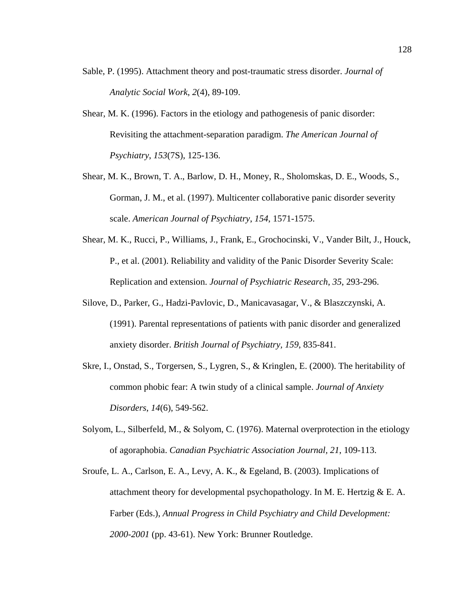- Sable, P. (1995). Attachment theory and post-traumatic stress disorder. *Journal of Analytic Social Work*, *2*(4), 89-109.
- Shear, M. K. (1996). Factors in the etiology and pathogenesis of panic disorder: Revisiting the attachment-separation paradigm. *The American Journal of Psychiatry*, *153*(7S), 125-136.
- Shear, M. K., Brown, T. A., Barlow, D. H., Money, R., Sholomskas, D. E., Woods, S., Gorman, J. M., et al. (1997). Multicenter collaborative panic disorder severity scale. *American Journal of Psychiatry*, *154*, 1571-1575.
- Shear, M. K., Rucci, P., Williams, J., Frank, E., Grochocinski, V., Vander Bilt, J., Houck, P., et al. (2001). Reliability and validity of the Panic Disorder Severity Scale: Replication and extension. *Journal of Psychiatric Research*, *35*, 293-296.
- Silove, D., Parker, G., Hadzi-Pavlovic, D., Manicavasagar, V., & Blaszczynski, A. (1991). Parental representations of patients with panic disorder and generalized anxiety disorder. *British Journal of Psychiatry, 159*, 835-841.
- Skre, I., Onstad, S., Torgersen, S., Lygren, S., & Kringlen, E. (2000). The heritability of common phobic fear: A twin study of a clinical sample. *Journal of Anxiety Disorders*, *14*(6), 549-562.
- Solyom, L., Silberfeld, M., & Solyom, C. (1976). Maternal overprotection in the etiology of agoraphobia. *Canadian Psychiatric Association Journal, 21*, 109-113.
- Sroufe, L. A., Carlson, E. A., Levy, A. K., & Egeland, B. (2003). Implications of attachment theory for developmental psychopathology. In M. E. Hertzig  $\&$  E. A. Farber (Eds.), *Annual Progress in Child Psychiatry and Child Development: 2000-2001* (pp. 43-61). New York: Brunner Routledge.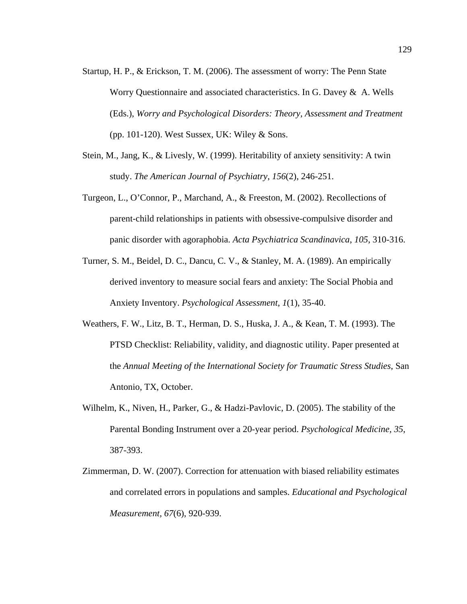- Startup, H. P., & Erickson, T. M. (2006). The assessment of worry: The Penn State Worry Questionnaire and associated characteristics. In G. Davey & A. Wells (Eds.), *Worry and Psychological Disorders: Theory, Assessment and Treatment* (pp. 101-120). West Sussex, UK: Wiley & Sons.
- Stein, M., Jang, K., & Livesly, W. (1999). Heritability of anxiety sensitivity: A twin study. *The American Journal of Psychiatry*, *156*(2), 246-251.
- Turgeon, L., O'Connor, P., Marchand, A., & Freeston, M. (2002). Recollections of parent-child relationships in patients with obsessive-compulsive disorder and panic disorder with agoraphobia. *Acta Psychiatrica Scandinavica*, *105*, 310-316.
- Turner, S. M., Beidel, D. C., Dancu, C. V., & Stanley, M. A. (1989). An empirically derived inventory to measure social fears and anxiety: The Social Phobia and Anxiety Inventory. *Psychological Assessment*, *1*(1), 35-40.
- Weathers, F. W., Litz, B. T., Herman, D. S., Huska, J. A., & Kean, T. M. (1993). The PTSD Checklist: Reliability, validity, and diagnostic utility. Paper presented at the *Annual Meeting of the International Society for Traumatic Stress Studies*, San Antonio, TX, October.
- Wilhelm, K., Niven, H., Parker, G., & Hadzi-Pavlovic, D. (2005). The stability of the Parental Bonding Instrument over a 20-year period. *Psychological Medicine, 35*, 387-393.
- Zimmerman, D. W. (2007). Correction for attenuation with biased reliability estimates and correlated errors in populations and samples. *Educational and Psychological Measurement, 67*(6), 920-939.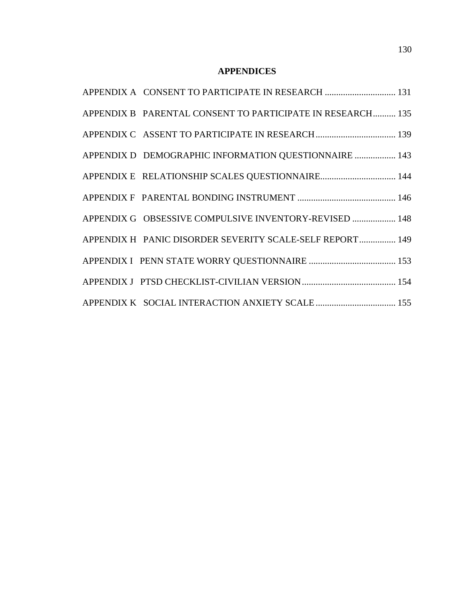### **APPENDICES**

| APPENDIX A CONSENT TO PARTICIPATE IN RESEARCH  131         |
|------------------------------------------------------------|
| APPENDIX B PARENTAL CONSENT TO PARTICIPATE IN RESEARCH 135 |
|                                                            |
| APPENDIX D DEMOGRAPHIC INFORMATION QUESTIONNAIRE  143      |
|                                                            |
|                                                            |
| APPENDIX G OBSESSIVE COMPULSIVE INVENTORY-REVISED  148     |
| APPENDIX H PANIC DISORDER SEVERITY SCALE-SELF REPORT 149   |
|                                                            |
|                                                            |
|                                                            |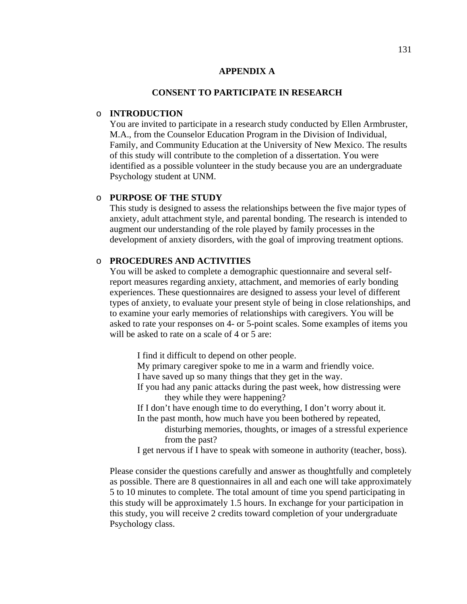## **APPENDIX A**

## **CONSENT TO PARTICIPATE IN RESEARCH**

## o **INTRODUCTION**

 You are invited to participate in a research study conducted by Ellen Armbruster, M.A., from the Counselor Education Program in the Division of Individual, Family, and Community Education at the University of New Mexico. The results of this study will contribute to the completion of a dissertation. You were identified as a possible volunteer in the study because you are an undergraduate Psychology student at UNM.

## o **PURPOSE OF THE STUDY**

 This study is designed to assess the relationships between the five major types of anxiety, adult attachment style, and parental bonding. The research is intended to augment our understanding of the role played by family processes in the development of anxiety disorders, with the goal of improving treatment options.

## o **PROCEDURES AND ACTIVITIES**

 You will be asked to complete a demographic questionnaire and several self report measures regarding anxiety, attachment, and memories of early bonding experiences. These questionnaires are designed to assess your level of different types of anxiety, to evaluate your present style of being in close relationships, and to examine your early memories of relationships with caregivers. You will be asked to rate your responses on 4- or 5-point scales. Some examples of items you will be asked to rate on a scale of 4 or 5 are:

- I find it difficult to depend on other people.
- My primary caregiver spoke to me in a warm and friendly voice.
- I have saved up so many things that they get in the way.
- If you had any panic attacks during the past week, how distressing were they while they were happening?
- If I don't have enough time to do everything, I don't worry about it.
- In the past month, how much have you been bothered by repeated,
	- disturbing memories, thoughts, or images of a stressful experience from the past?
- I get nervous if I have to speak with someone in authority (teacher, boss).

 Please consider the questions carefully and answer as thoughtfully and completely as possible. There are 8 questionnaires in all and each one will take approximately 5 to 10 minutes to complete. The total amount of time you spend participating in this study will be approximately 1.5 hours. In exchange for your participation in this study, you will receive 2 credits toward completion of your undergraduate Psychology class.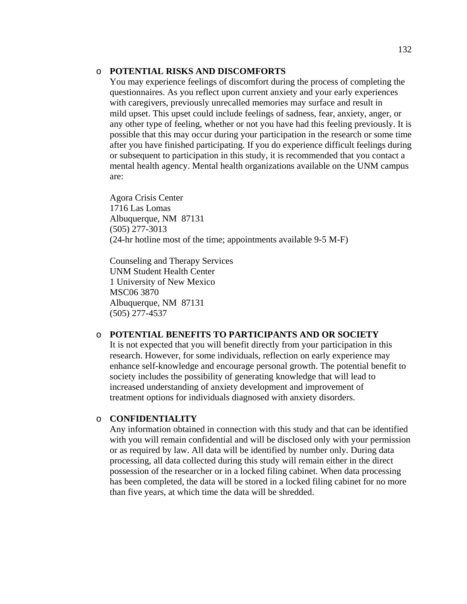## o **POTENTIAL RISKS AND DISCOMFORTS**

 You may experience feelings of discomfort during the process of completing the questionnaires. As you reflect upon current anxiety and your early experiences with caregivers, previously unrecalled memories may surface and result in mild upset. This upset could include feelings of sadness, fear, anxiety, anger, or any other type of feeling, whether or not you have had this feeling previously. It is possible that this may occur during your participation in the research or some time after you have finished participating. If you do experience difficult feelings during or subsequent to participation in this study, it is recommended that you contact a mental health agency. Mental health organizations available on the UNM campus are:

 Agora Crisis Center 1716 Las Lomas Albuquerque, NM 87131 (505) 277-3013 (24-hr hotline most of the time; appointments available 9-5 M-F)

 Counseling and Therapy Services UNM Student Health Center 1 University of New Mexico MSC06 3870 Albuquerque, NM 87131 (505) 277-4537

## o **POTENTIAL BENEFITS TO PARTICIPANTS AND OR SOCIETY**

 It is not expected that you will benefit directly from your participation in this research. However, for some individuals, reflection on early experience may enhance self-knowledge and encourage personal growth. The potential benefit to society includes the possibility of generating knowledge that will lead to increased understanding of anxiety development and improvement of treatment options for individuals diagnosed with anxiety disorders.

## o **CONFIDENTIALITY**

 Any information obtained in connection with this study and that can be identified with you will remain confidential and will be disclosed only with your permission or as required by law. All data will be identified by number only. During data processing, all data collected during this study will remain either in the direct possession of the researcher or in a locked filing cabinet. When data processing has been completed, the data will be stored in a locked filing cabinet for no more than five years, at which time the data will be shredded.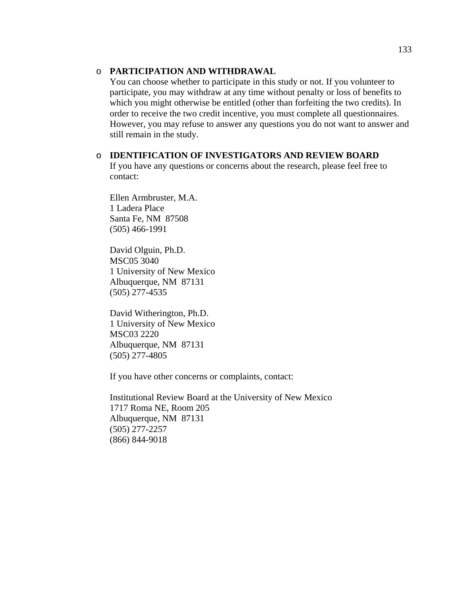## o **PARTICIPATION AND WITHDRAWAL**

 You can choose whether to participate in this study or not. If you volunteer to participate, you may withdraw at any time without penalty or loss of benefits to which you might otherwise be entitled (other than forfeiting the two credits). In order to receive the two credit incentive, you must complete all questionnaires. However, you may refuse to answer any questions you do not want to answer and still remain in the study.

o **IDENTIFICATION OF INVESTIGATORS AND REVIEW BOARD**  If you have any questions or concerns about the research, please feel free to contact:

 Ellen Armbruster, M.A. 1 Ladera Place Santa Fe, NM 87508 (505) 466-1991

 David Olguin, Ph.D. MSC05 3040 1 University of New Mexico Albuquerque, NM 87131 (505) 277-4535

 David Witherington, Ph.D. 1 University of New Mexico MSC03 2220 Albuquerque, NM 87131 (505) 277-4805

If you have other concerns or complaints, contact:

 Institutional Review Board at the University of New Mexico 1717 Roma NE, Room 205 Albuquerque, NM 87131 (505) 277-2257 (866) 844-9018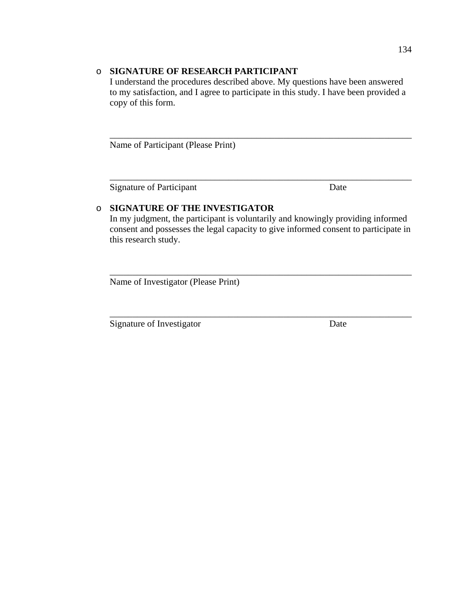# o **SIGNATURE OF RESEARCH PARTICIPANT**

 I understand the procedures described above. My questions have been answered to my satisfaction, and I agree to participate in this study. I have been provided a copy of this form.

 $\overline{\phantom{a}}$  ,  $\overline{\phantom{a}}$  ,  $\overline{\phantom{a}}$  ,  $\overline{\phantom{a}}$  ,  $\overline{\phantom{a}}$  ,  $\overline{\phantom{a}}$  ,  $\overline{\phantom{a}}$  ,  $\overline{\phantom{a}}$  ,  $\overline{\phantom{a}}$  ,  $\overline{\phantom{a}}$  ,  $\overline{\phantom{a}}$  ,  $\overline{\phantom{a}}$  ,  $\overline{\phantom{a}}$  ,  $\overline{\phantom{a}}$  ,  $\overline{\phantom{a}}$  ,  $\overline{\phantom{a}}$ 

 $\overline{\phantom{a}}$  , and the contribution of the contribution of the contribution of the contribution of the contribution of the contribution of the contribution of the contribution of the contribution of the contribution of the

Name of Participant (Please Print)

Signature of Participant Date

# o **SIGNATURE OF THE INVESTIGATOR**

 In my judgment, the participant is voluntarily and knowingly providing informed consent and possesses the legal capacity to give informed consent to participate in this research study.

 $\overline{\phantom{a}}$  , and the contribution of the contribution of the contribution of the contribution of the contribution of the contribution of the contribution of the contribution of the contribution of the contribution of the

 $\overline{\phantom{a}}$  , and the contribution of the contribution of the contribution of the contribution of the contribution of the contribution of the contribution of the contribution of the contribution of the contribution of the

Name of Investigator (Please Print)

Signature of Investigator Date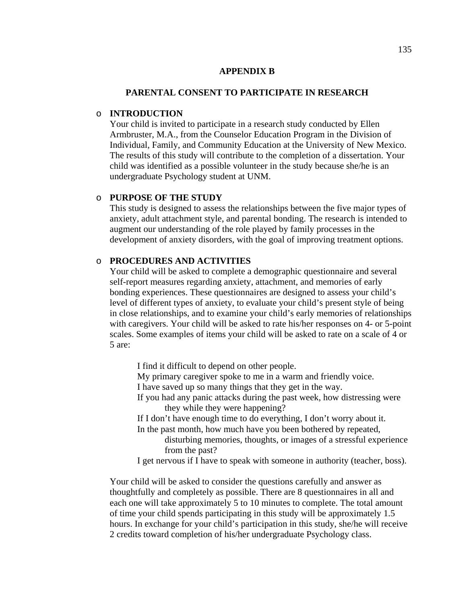#### **APPENDIX B**

#### **PARENTAL CONSENT TO PARTICIPATE IN RESEARCH**

## o **INTRODUCTION**

 Your child is invited to participate in a research study conducted by Ellen Armbruster, M.A., from the Counselor Education Program in the Division of Individual, Family, and Community Education at the University of New Mexico. The results of this study will contribute to the completion of a dissertation. Your child was identified as a possible volunteer in the study because she/he is an undergraduate Psychology student at UNM.

# o **PURPOSE OF THE STUDY**

 This study is designed to assess the relationships between the five major types of anxiety, adult attachment style, and parental bonding. The research is intended to augment our understanding of the role played by family processes in the development of anxiety disorders, with the goal of improving treatment options.

## o **PROCEDURES AND ACTIVITIES**

 Your child will be asked to complete a demographic questionnaire and several self-report measures regarding anxiety, attachment, and memories of early bonding experiences. These questionnaires are designed to assess your child's level of different types of anxiety, to evaluate your child's present style of being in close relationships, and to examine your child's early memories of relationships with caregivers. Your child will be asked to rate his/her responses on 4- or 5-point scales. Some examples of items your child will be asked to rate on a scale of 4 or 5 are:

 I find it difficult to depend on other people. My primary caregiver spoke to me in a warm and friendly voice. I have saved up so many things that they get in the way. If you had any panic attacks during the past week, how distressing were they while they were happening? If I don't have enough time to do everything, I don't worry about it. In the past month, how much have you been bothered by repeated, disturbing memories, thoughts, or images of a stressful experience from the past? I get nervous if I have to speak with someone in authority (teacher, boss).

 Your child will be asked to consider the questions carefully and answer as thoughtfully and completely as possible. There are 8 questionnaires in all and each one will take approximately 5 to 10 minutes to complete. The total amount of time your child spends participating in this study will be approximately 1.5 hours. In exchange for your child's participation in this study, she/he will receive 2 credits toward completion of his/her undergraduate Psychology class.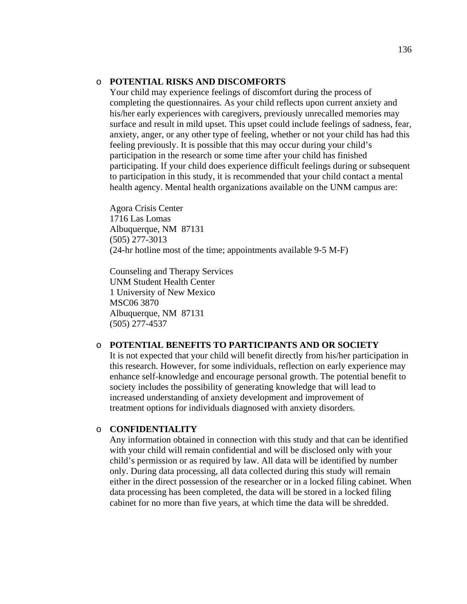## o **POTENTIAL RISKS AND DISCOMFORTS**

 Your child may experience feelings of discomfort during the process of completing the questionnaires. As your child reflects upon current anxiety and his/her early experiences with caregivers, previously unrecalled memories may surface and result in mild upset. This upset could include feelings of sadness, fear, anxiety, anger, or any other type of feeling, whether or not your child has had this feeling previously. It is possible that this may occur during your child's participation in the research or some time after your child has finished participating. If your child does experience difficult feelings during or subsequent to participation in this study, it is recommended that your child contact a mental health agency. Mental health organizations available on the UNM campus are:

 Agora Crisis Center 1716 Las Lomas Albuquerque, NM 87131 (505) 277-3013 (24-hr hotline most of the time; appointments available 9-5 M-F)

 Counseling and Therapy Services UNM Student Health Center 1 University of New Mexico MSC06 3870 Albuquerque, NM 87131 (505) 277-4537

#### o **POTENTIAL BENEFITS TO PARTICIPANTS AND OR SOCIETY**

 It is not expected that your child will benefit directly from his/her participation in this research. However, for some individuals, reflection on early experience may enhance self-knowledge and encourage personal growth. The potential benefit to society includes the possibility of generating knowledge that will lead to increased understanding of anxiety development and improvement of treatment options for individuals diagnosed with anxiety disorders.

#### o **CONFIDENTIALITY**

 Any information obtained in connection with this study and that can be identified with your child will remain confidential and will be disclosed only with your child's permission or as required by law. All data will be identified by number only. During data processing, all data collected during this study will remain either in the direct possession of the researcher or in a locked filing cabinet. When data processing has been completed, the data will be stored in a locked filing cabinet for no more than five years, at which time the data will be shredded.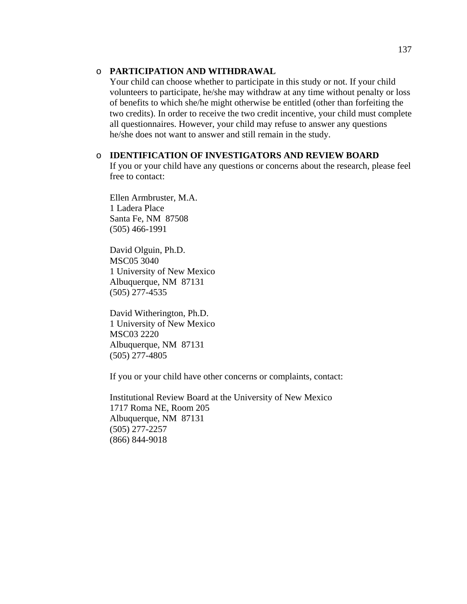## o **PARTICIPATION AND WITHDRAWAL**

 Your child can choose whether to participate in this study or not. If your child volunteers to participate, he/she may withdraw at any time without penalty or loss of benefits to which she/he might otherwise be entitled (other than forfeiting the two credits). In order to receive the two credit incentive, your child must complete all questionnaires. However, your child may refuse to answer any questions he/she does not want to answer and still remain in the study.

#### o **IDENTIFICATION OF INVESTIGATORS AND REVIEW BOARD**

 If you or your child have any questions or concerns about the research, please feel free to contact:

 Ellen Armbruster, M.A. 1 Ladera Place Santa Fe, NM 87508 (505) 466-1991

 David Olguin, Ph.D. MSC05 3040 1 University of New Mexico Albuquerque, NM 87131 (505) 277-4535

 David Witherington, Ph.D. 1 University of New Mexico MSC03 2220 Albuquerque, NM 87131 (505) 277-4805

If you or your child have other concerns or complaints, contact:

 Institutional Review Board at the University of New Mexico 1717 Roma NE, Room 205 Albuquerque, NM 87131 (505) 277-2257 (866) 844-9018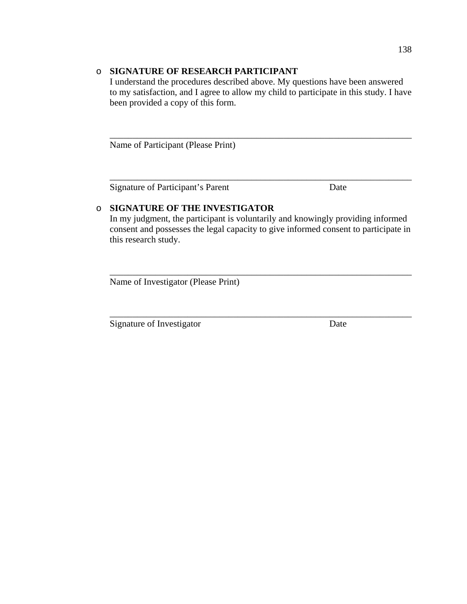# o **SIGNATURE OF RESEARCH PARTICIPANT**

 I understand the procedures described above. My questions have been answered to my satisfaction, and I agree to allow my child to participate in this study. I have been provided a copy of this form.

 $\overline{\phantom{a}}$  ,  $\overline{\phantom{a}}$  ,  $\overline{\phantom{a}}$  ,  $\overline{\phantom{a}}$  ,  $\overline{\phantom{a}}$  ,  $\overline{\phantom{a}}$  ,  $\overline{\phantom{a}}$  ,  $\overline{\phantom{a}}$  ,  $\overline{\phantom{a}}$  ,  $\overline{\phantom{a}}$  ,  $\overline{\phantom{a}}$  ,  $\overline{\phantom{a}}$  ,  $\overline{\phantom{a}}$  ,  $\overline{\phantom{a}}$  ,  $\overline{\phantom{a}}$  ,  $\overline{\phantom{a}}$ 

 $\overline{\phantom{a}}$  , and the contribution of the contribution of the contribution of the contribution of the contribution of the contribution of the contribution of the contribution of the contribution of the contribution of the

Name of Participant (Please Print)

Signature of Participant's Parent Date

# o **SIGNATURE OF THE INVESTIGATOR**

 In my judgment, the participant is voluntarily and knowingly providing informed consent and possesses the legal capacity to give informed consent to participate in this research study.

 $\overline{\phantom{a}}$  , and the contribution of the contribution of the contribution of the contribution of the contribution of the contribution of the contribution of the contribution of the contribution of the contribution of the

 $\overline{\phantom{a}}$  , and the contribution of the contribution of the contribution of the contribution of the contribution of the contribution of the contribution of the contribution of the contribution of the contribution of the

Name of Investigator (Please Print)

Signature of Investigator Date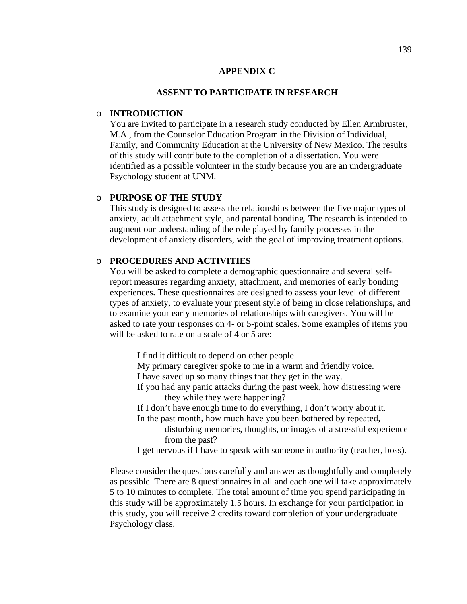#### **APPENDIX C**

#### **ASSENT TO PARTICIPATE IN RESEARCH**

#### o **INTRODUCTION**

 You are invited to participate in a research study conducted by Ellen Armbruster, M.A., from the Counselor Education Program in the Division of Individual, Family, and Community Education at the University of New Mexico. The results of this study will contribute to the completion of a dissertation. You were identified as a possible volunteer in the study because you are an undergraduate Psychology student at UNM.

## o **PURPOSE OF THE STUDY**

 This study is designed to assess the relationships between the five major types of anxiety, adult attachment style, and parental bonding. The research is intended to augment our understanding of the role played by family processes in the development of anxiety disorders, with the goal of improving treatment options.

## o **PROCEDURES AND ACTIVITIES**

 You will be asked to complete a demographic questionnaire and several self report measures regarding anxiety, attachment, and memories of early bonding experiences. These questionnaires are designed to assess your level of different types of anxiety, to evaluate your present style of being in close relationships, and to examine your early memories of relationships with caregivers. You will be asked to rate your responses on 4- or 5-point scales. Some examples of items you will be asked to rate on a scale of 4 or 5 are:

- I find it difficult to depend on other people.
- My primary caregiver spoke to me in a warm and friendly voice.
- I have saved up so many things that they get in the way.
- If you had any panic attacks during the past week, how distressing were they while they were happening?
- If I don't have enough time to do everything, I don't worry about it.
- In the past month, how much have you been bothered by repeated,
	- disturbing memories, thoughts, or images of a stressful experience from the past?
- I get nervous if I have to speak with someone in authority (teacher, boss).

 Please consider the questions carefully and answer as thoughtfully and completely as possible. There are 8 questionnaires in all and each one will take approximately 5 to 10 minutes to complete. The total amount of time you spend participating in this study will be approximately 1.5 hours. In exchange for your participation in this study, you will receive 2 credits toward completion of your undergraduate Psychology class.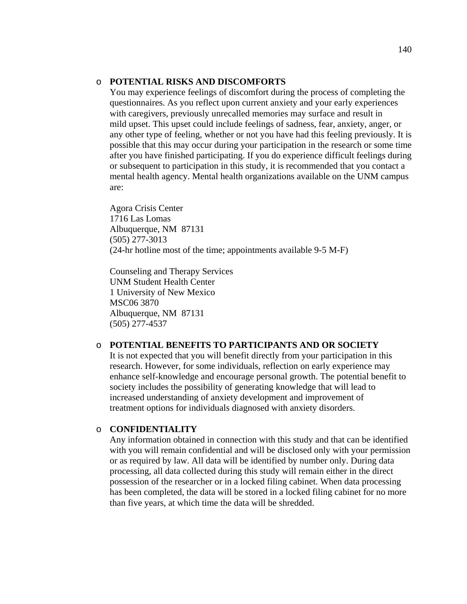## o **POTENTIAL RISKS AND DISCOMFORTS**

 You may experience feelings of discomfort during the process of completing the questionnaires. As you reflect upon current anxiety and your early experiences with caregivers, previously unrecalled memories may surface and result in mild upset. This upset could include feelings of sadness, fear, anxiety, anger, or any other type of feeling, whether or not you have had this feeling previously. It is possible that this may occur during your participation in the research or some time after you have finished participating. If you do experience difficult feelings during or subsequent to participation in this study, it is recommended that you contact a mental health agency. Mental health organizations available on the UNM campus are:

 Agora Crisis Center 1716 Las Lomas Albuquerque, NM 87131 (505) 277-3013 (24-hr hotline most of the time; appointments available 9-5 M-F)

 Counseling and Therapy Services UNM Student Health Center 1 University of New Mexico MSC06 3870 Albuquerque, NM 87131 (505) 277-4537

#### o **POTENTIAL BENEFITS TO PARTICIPANTS AND OR SOCIETY**

 It is not expected that you will benefit directly from your participation in this research. However, for some individuals, reflection on early experience may enhance self-knowledge and encourage personal growth. The potential benefit to society includes the possibility of generating knowledge that will lead to increased understanding of anxiety development and improvement of treatment options for individuals diagnosed with anxiety disorders.

#### o **CONFIDENTIALITY**

 Any information obtained in connection with this study and that can be identified with you will remain confidential and will be disclosed only with your permission or as required by law. All data will be identified by number only. During data processing, all data collected during this study will remain either in the direct possession of the researcher or in a locked filing cabinet. When data processing has been completed, the data will be stored in a locked filing cabinet for no more than five years, at which time the data will be shredded.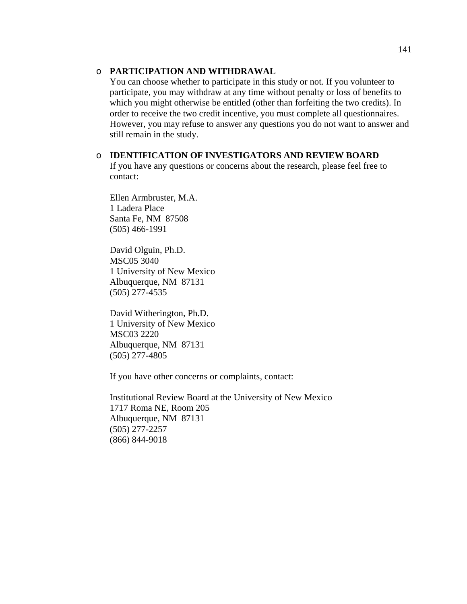## o **PARTICIPATION AND WITHDRAWAL**

 You can choose whether to participate in this study or not. If you volunteer to participate, you may withdraw at any time without penalty or loss of benefits to which you might otherwise be entitled (other than forfeiting the two credits). In order to receive the two credit incentive, you must complete all questionnaires. However, you may refuse to answer any questions you do not want to answer and still remain in the study.

o **IDENTIFICATION OF INVESTIGATORS AND REVIEW BOARD**  If you have any questions or concerns about the research, please feel free to contact:

 Ellen Armbruster, M.A. 1 Ladera Place Santa Fe, NM 87508 (505) 466-1991

 David Olguin, Ph.D. MSC05 3040 1 University of New Mexico Albuquerque, NM 87131 (505) 277-4535

 David Witherington, Ph.D. 1 University of New Mexico MSC03 2220 Albuquerque, NM 87131 (505) 277-4805

If you have other concerns or complaints, contact:

 Institutional Review Board at the University of New Mexico 1717 Roma NE, Room 205 Albuquerque, NM 87131 (505) 277-2257 (866) 844-9018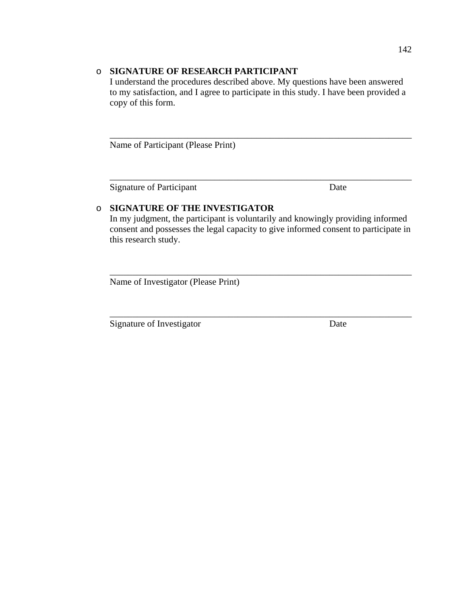# o **SIGNATURE OF RESEARCH PARTICIPANT**

 I understand the procedures described above. My questions have been answered to my satisfaction, and I agree to participate in this study. I have been provided a copy of this form.

 $\overline{\phantom{a}}$  ,  $\overline{\phantom{a}}$  ,  $\overline{\phantom{a}}$  ,  $\overline{\phantom{a}}$  ,  $\overline{\phantom{a}}$  ,  $\overline{\phantom{a}}$  ,  $\overline{\phantom{a}}$  ,  $\overline{\phantom{a}}$  ,  $\overline{\phantom{a}}$  ,  $\overline{\phantom{a}}$  ,  $\overline{\phantom{a}}$  ,  $\overline{\phantom{a}}$  ,  $\overline{\phantom{a}}$  ,  $\overline{\phantom{a}}$  ,  $\overline{\phantom{a}}$  ,  $\overline{\phantom{a}}$ 

 $\overline{\phantom{a}}$  , and the contribution of the contribution of the contribution of the contribution of the contribution of the contribution of the contribution of the contribution of the contribution of the contribution of the

Name of Participant (Please Print)

Signature of Participant Date

# o **SIGNATURE OF THE INVESTIGATOR**

 In my judgment, the participant is voluntarily and knowingly providing informed consent and possesses the legal capacity to give informed consent to participate in this research study.

 $\overline{\phantom{a}}$  , and the contribution of the contribution of the contribution of the contribution of the contribution of the contribution of the contribution of the contribution of the contribution of the contribution of the

 $\overline{\phantom{a}}$  , and the contribution of the contribution of the contribution of the contribution of the contribution of the contribution of the contribution of the contribution of the contribution of the contribution of the

Name of Investigator (Please Print)

Signature of Investigator Date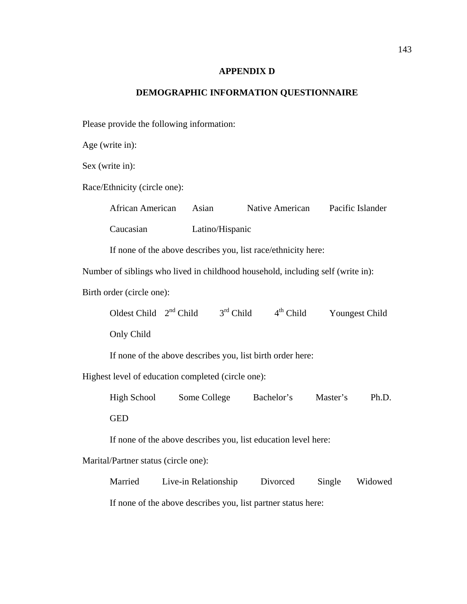#### **APPENDIX D**

# **DEMOGRAPHIC INFORMATION QUESTIONNAIRE**

Please provide the following information:

Age (write in):

Sex (write in):

Race/Ethnicity (circle one):

 African American Asian Native American Pacific Islander Caucasian Latino/Hispanic

If none of the above describes you, list race/ethnicity here:

Number of siblings who lived in childhood household, including self (write in):

Birth order (circle one):

Oldest Child  $2<sup>nd</sup>$  Child  $3<sup>rd</sup>$  Child  $4<sup>th</sup>$  Child Youngest Child Only Child

If none of the above describes you, list birth order here:

Highest level of education completed (circle one):

High School Some College Bachelor's Master's Ph.D.

GED

If none of the above describes you, list education level here:

Marital/Partner status (circle one):

 Married Live-in Relationship Divorced Single Widowed If none of the above describes you, list partner status here: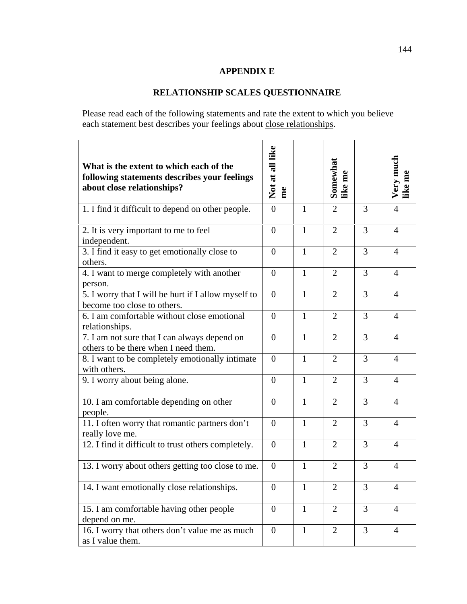#### **APPENDIX E**

# **RELATIONSHIP SCALES QUESTIONNAIRE**

Please read each of the following statements and rate the extent to which you believe each statement best describes your feelings about close relationships.

| What is the extent to which each of the<br>following statements describes your feelings<br>about close relationships? | Not at all like<br>me |              | Somewhat<br>like me |   | Very much<br>like me |
|-----------------------------------------------------------------------------------------------------------------------|-----------------------|--------------|---------------------|---|----------------------|
| 1. I find it difficult to depend on other people.                                                                     | $\theta$              | $\mathbf{1}$ | $\overline{2}$      | 3 | $\overline{4}$       |
| 2. It is very important to me to feel<br>independent.                                                                 | $\overline{0}$        | 1            | $\overline{2}$      | 3 | $\overline{4}$       |
| 3. I find it easy to get emotionally close to<br>others.                                                              | $\overline{0}$        | $\mathbf{1}$ | $\overline{2}$      | 3 | $\overline{4}$       |
| 4. I want to merge completely with another<br>person.                                                                 | $\Omega$              | $\mathbf{1}$ | $\overline{2}$      | 3 | $\overline{4}$       |
| 5. I worry that I will be hurt if I allow myself to<br>become too close to others.                                    | $\overline{0}$        | 1            | $\overline{2}$      | 3 | $\overline{4}$       |
| 6. I am comfortable without close emotional<br>relationships.                                                         | $\overline{0}$        | $\mathbf{1}$ | $\overline{2}$      | 3 | $\overline{4}$       |
| 7. I am not sure that I can always depend on<br>others to be there when I need them.                                  | $\Omega$              | $\mathbf{1}$ | $\overline{2}$      | 3 | $\overline{4}$       |
| 8. I want to be completely emotionally intimate<br>with others.                                                       | $\overline{0}$        | 1            | $\overline{2}$      | 3 | $\overline{4}$       |
| 9. I worry about being alone.                                                                                         | $\overline{0}$        | 1            | $\overline{2}$      | 3 | $\overline{4}$       |
| 10. I am comfortable depending on other<br>people.                                                                    | $\theta$              | $\mathbf{1}$ | $\overline{2}$      | 3 | $\overline{4}$       |
| 11. I often worry that romantic partners don't<br>really love me.                                                     | $\overline{0}$        | 1            | $\overline{2}$      | 3 | $\overline{4}$       |
| 12. I find it difficult to trust others completely.                                                                   | $\overline{0}$        | 1            | $\overline{2}$      | 3 | $\overline{4}$       |
| 13. I worry about others getting too close to me.                                                                     | $\Omega$              | 1            | $\overline{2}$      | 3 | $\overline{4}$       |
| 14. I want emotionally close relationships.                                                                           | $\boldsymbol{0}$      | 1            | $\overline{2}$      | 3 | $\overline{4}$       |
| 15. I am comfortable having other people<br>depend on me.                                                             | $\theta$              | $\mathbf{1}$ | $\overline{2}$      | 3 | $\overline{4}$       |
| 16. I worry that others don't value me as much<br>as I value them.                                                    | $\overline{0}$        | $\mathbf{1}$ | $\overline{2}$      | 3 | $\overline{4}$       |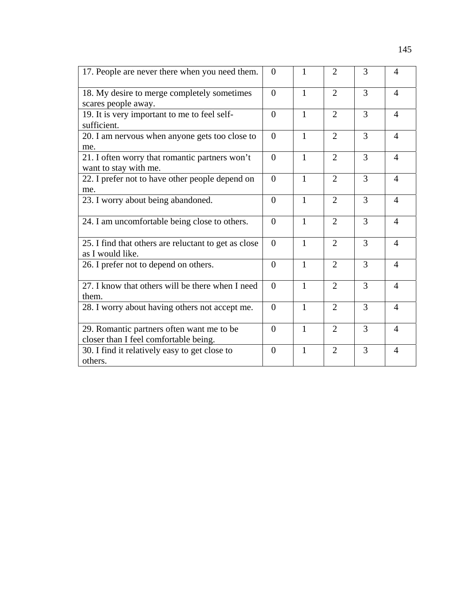| 17. People are never there when you need them.                                     | $\overline{0}$ | 1            | 2              | 3 | $\overline{4}$              |
|------------------------------------------------------------------------------------|----------------|--------------|----------------|---|-----------------------------|
| 18. My desire to merge completely sometimes<br>scares people away.                 | $\Omega$       | $\mathbf{1}$ | $\overline{2}$ | 3 | $\overline{4}$              |
| 19. It is very important to me to feel self-<br>sufficient.                        | $\theta$       | $\mathbf{1}$ | $\overline{2}$ | 3 | $\overline{4}$              |
| 20. I am nervous when anyone gets too close to<br>me.                              | $\theta$       | $\mathbf{1}$ | $\overline{2}$ | 3 | $\overline{A}$              |
| 21. I often worry that romantic partners won't<br>want to stay with me.            | $\Omega$       | 1            | $\overline{2}$ | 3 | $\overline{4}$              |
| 22. I prefer not to have other people depend on<br>me.                             | $\overline{0}$ | $\mathbf{1}$ | $\overline{2}$ | 3 | $\overline{4}$              |
| 23. I worry about being abandoned.                                                 | $\Omega$       | $\mathbf{1}$ | $\overline{2}$ | 3 | $\overline{A}$              |
| 24. I am uncomfortable being close to others.                                      | $\Omega$       | $\mathbf{1}$ | $\overline{2}$ | 3 | $\overline{4}$              |
| 25. I find that others are reluctant to get as close<br>as I would like.           | $\theta$       | 1            | $\overline{2}$ | 3 | $\overline{4}$              |
| 26. I prefer not to depend on others.                                              | $\overline{0}$ | $\mathbf{1}$ | $\overline{2}$ | 3 | $\boldsymbol{\vartriangle}$ |
| 27. I know that others will be there when I need<br>them.                          | $\Omega$       | $\mathbf{1}$ | $\overline{2}$ | 3 | $\overline{4}$              |
| 28. I worry about having others not accept me.                                     | $\theta$       | $\mathbf{1}$ | $\overline{2}$ | 3 | $\overline{4}$              |
| 29. Romantic partners often want me to be<br>closer than I feel comfortable being. | $\Omega$       | $\mathbf{1}$ | $\overline{2}$ | 3 | $\overline{4}$              |
| 30. I find it relatively easy to get close to<br>others.                           | $\Omega$       | $\mathbf{1}$ | $\overline{2}$ | 3 | $\overline{A}$              |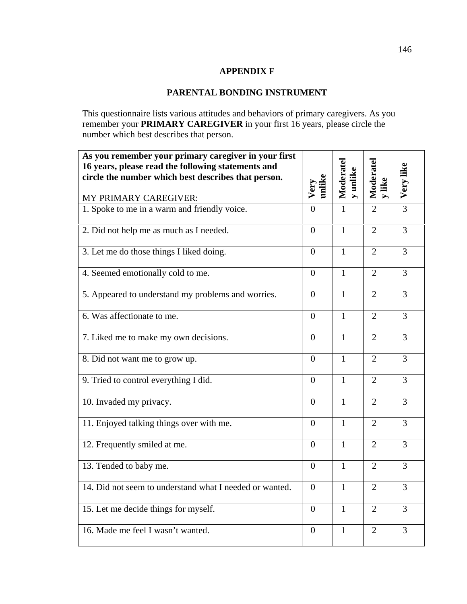#### **APPENDIX F**

## **PARENTAL BONDING INSTRUMENT**

This questionnaire lists various attitudes and behaviors of primary caregivers. As you remember your **PRIMARY CAREGIVER** in your first 16 years, please circle the number which best describes that person.

| As you remember your primary caregiver in your first<br>16 years, please read the following statements and<br>circle the number which best describes that person. |                | Moderatel<br>y unlike | Moderatel      | Very like      |
|-------------------------------------------------------------------------------------------------------------------------------------------------------------------|----------------|-----------------------|----------------|----------------|
| MY PRIMARY CAREGIVER:                                                                                                                                             | unlike<br>Very |                       | y like         |                |
| 1. Spoke to me in a warm and friendly voice.                                                                                                                      | $\overline{0}$ | 1                     | $\overline{2}$ | $\overline{3}$ |
| 2. Did not help me as much as I needed.                                                                                                                           | $\overline{0}$ | $\mathbf{1}$          | $\overline{2}$ | $\overline{3}$ |
| 3. Let me do those things I liked doing.                                                                                                                          | $\overline{0}$ | $\mathbf{1}$          | $\overline{2}$ | $\overline{3}$ |
| 4. Seemed emotionally cold to me.                                                                                                                                 | $\overline{0}$ | 1                     | $\overline{2}$ | $\overline{3}$ |
| 5. Appeared to understand my problems and worries.                                                                                                                | $\overline{0}$ | $\mathbf{1}$          | $\overline{2}$ | $\overline{3}$ |
| 6. Was affectionate to me.                                                                                                                                        | $\theta$       | $\mathbf{1}$          | $\overline{2}$ | 3              |
| 7. Liked me to make my own decisions.                                                                                                                             | $\overline{0}$ | $\mathbf{1}$          | $\overline{2}$ | $\overline{3}$ |
| 8. Did not want me to grow up.                                                                                                                                    | $\theta$       | $\mathbf{1}$          | $\overline{2}$ | $\overline{3}$ |
| 9. Tried to control everything I did.                                                                                                                             | $\overline{0}$ | $\mathbf{1}$          | $\overline{2}$ | $\overline{3}$ |
| 10. Invaded my privacy.                                                                                                                                           | $\overline{0}$ | $\mathbf{1}$          | $\overline{2}$ | $\overline{3}$ |
| 11. Enjoyed talking things over with me.                                                                                                                          | $\overline{0}$ | $\mathbf{1}$          | $\overline{2}$ | $\overline{3}$ |
| 12. Frequently smiled at me.                                                                                                                                      | $\overline{0}$ | $\mathbf{1}$          | $\overline{2}$ | $\overline{3}$ |
| 13. Tended to baby me.                                                                                                                                            | $\overline{0}$ | $\mathbf{1}$          | $\overline{2}$ | 3              |
| 14. Did not seem to understand what I needed or wanted.                                                                                                           | $\overline{0}$ | $\mathbf{1}$          | $\overline{2}$ | $\overline{3}$ |
| 15. Let me decide things for myself.                                                                                                                              | $\overline{0}$ | $\mathbf{1}$          | $\overline{2}$ | $\overline{3}$ |
| 16. Made me feel I wasn't wanted.                                                                                                                                 | $\overline{0}$ | $\mathbf{1}$          | $\overline{2}$ | 3              |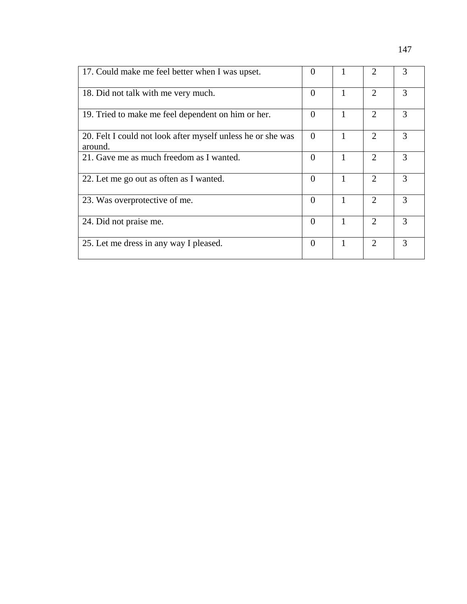| 17. Could make me feel better when I was upset.                        | $\Omega$ |   | $\mathcal{D}_{\mathcal{L}}$ | 3             |
|------------------------------------------------------------------------|----------|---|-----------------------------|---------------|
| 18. Did not talk with me very much.                                    | $\Omega$ |   | $\mathcal{D}_{\mathcal{L}}$ | 3             |
| 19. Tried to make me feel dependent on him or her.                     | $\Omega$ |   | 2                           | 3             |
| 20. Felt I could not look after myself unless he or she was<br>around. | $\Omega$ |   | $\mathcal{D}_{\mathcal{A}}$ | $\mathcal{R}$ |
| 21. Gave me as much freedom as I wanted.                               | $\Omega$ |   | $\overline{2}$              | 3             |
| 22. Let me go out as often as I wanted.                                | $\Omega$ | 1 | $\overline{2}$              | $\mathcal{R}$ |
| 23. Was overprotective of me.                                          | $\Omega$ | 1 | $\mathcal{D}_{\mathcal{A}}$ | $\mathcal{R}$ |
| 24. Did not praise me.                                                 | $\Omega$ |   | $\mathcal{D}_{\mathcal{L}}$ | 3             |
| 25. Let me dress in any way I pleased.                                 | $\Omega$ |   | $\mathcal{D}_{\mathcal{L}}$ | 3             |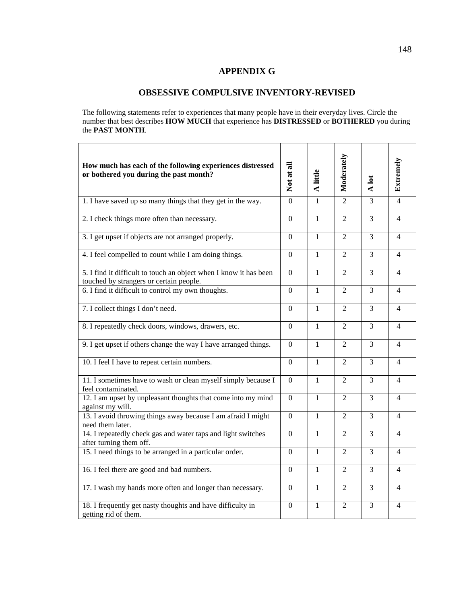#### **APPENDIX G**

# **OBSESSIVE COMPULSIVE INVENTORY-REVISED**

The following statements refer to experiences that many people have in their everyday lives. Circle the number that best describes **HOW MUCH** that experience has **DISTRESSED** or **BOTHERED** you during the **PAST MONTH**.

| How much has each of the following experiences distressed<br>or bothered you during the past month?          | Not at all       | A little       | Moderately     | A lot          | Extremely      |
|--------------------------------------------------------------------------------------------------------------|------------------|----------------|----------------|----------------|----------------|
| 1. I have saved up so many things that they get in the way.                                                  | $\overline{0}$   | $\mathbf{1}$   | $\overline{2}$ | $\overline{3}$ | $\overline{4}$ |
| 2. I check things more often than necessary.                                                                 | $\overline{0}$   | $\mathbf{1}$   | $\overline{2}$ | $\overline{3}$ | $\overline{4}$ |
| 3. I get upset if objects are not arranged properly.                                                         | $\overline{0}$   | $\mathbf{1}$   | 2              | 3              | $\overline{4}$ |
| 4. I feel compelled to count while I am doing things.                                                        | $\Omega$         | $\mathbf{1}$   | $\overline{2}$ | $\overline{3}$ | $\overline{4}$ |
| 5. I find it difficult to touch an object when I know it has been<br>touched by strangers or certain people. | $\Omega$         | 1              | $\overline{2}$ | 3              | $\overline{4}$ |
| 6. I find it difficult to control my own thoughts.                                                           | $\Omega$         | $\mathbf{1}$   | $\overline{2}$ | $\overline{3}$ | 4              |
| 7. I collect things I don't need.                                                                            | $\overline{0}$   | $\mathbf{1}$   | $\overline{2}$ | $\overline{3}$ | $\overline{4}$ |
| 8. I repeatedly check doors, windows, drawers, etc.                                                          | $\boldsymbol{0}$ | $\mathbf{1}$   | $\overline{2}$ | 3              | $\overline{4}$ |
| 9. I get upset if others change the way I have arranged things.                                              | $\Omega$         | $\mathbf{1}$   | $\overline{2}$ | $\overline{3}$ | 4              |
| 10. I feel I have to repeat certain numbers.                                                                 | $\boldsymbol{0}$ | 1              | $\overline{2}$ | 3              | 4              |
| 11. I sometimes have to wash or clean myself simply because I<br>feel contaminated.                          | $\Omega$         | $\mathbf{1}$   | $\overline{2}$ | $\overline{3}$ | $\overline{4}$ |
| 12. I am upset by unpleasant thoughts that come into my mind<br>against my will.                             | $\Omega$         | $\mathbf{1}$   | $\overline{2}$ | $\overline{3}$ | $\overline{4}$ |
| 13. I avoid throwing things away because I am afraid I might<br>need them later.                             | $\overline{0}$   | 1              | $\overline{2}$ | 3              | 4              |
| 14. I repeatedly check gas and water taps and light switches<br>after turning them off.                      | $\overline{0}$   | $\overline{1}$ | $\overline{2}$ | $\overline{3}$ | $\overline{4}$ |
| 15. I need things to be arranged in a particular order.                                                      | $\Omega$         | 1              | $\overline{2}$ | $\overline{3}$ | 4              |
| 16. I feel there are good and bad numbers.                                                                   | $\Omega$         | $\mathbf{1}$   | $\overline{2}$ | $\overline{3}$ | 4              |
| 17. I wash my hands more often and longer than necessary.                                                    | $\boldsymbol{0}$ | $\mathbf{1}$   | $\overline{2}$ | 3              | $\overline{4}$ |
| 18. I frequently get nasty thoughts and have difficulty in<br>getting rid of them.                           | $\Omega$         | $\mathbf{1}$   | $\overline{2}$ | $\overline{3}$ | 4              |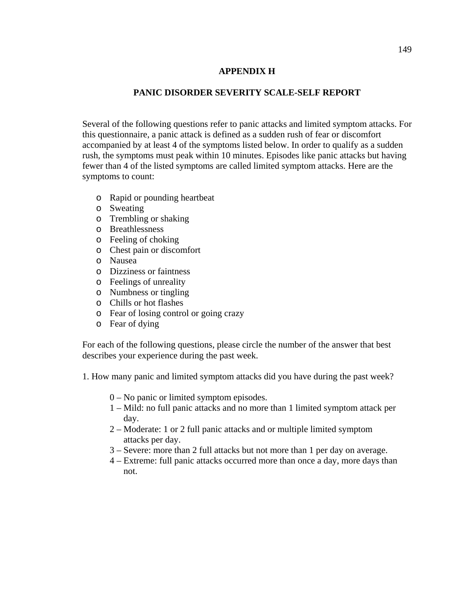# **APPENDIX H**

#### **PANIC DISORDER SEVERITY SCALE-SELF REPORT**

Several of the following questions refer to panic attacks and limited symptom attacks. For this questionnaire, a panic attack is defined as a sudden rush of fear or discomfort accompanied by at least 4 of the symptoms listed below. In order to qualify as a sudden rush, the symptoms must peak within 10 minutes. Episodes like panic attacks but having fewer than 4 of the listed symptoms are called limited symptom attacks. Here are the symptoms to count:

- o Rapid or pounding heartbeat
- o Sweating
- o Trembling or shaking
- o Breathlessness
- o Feeling of choking
- o Chest pain or discomfort
- o Nausea
- o Dizziness or faintness
- o Feelings of unreality
- o Numbness or tingling
- o Chills or hot flashes
- o Fear of losing control or going crazy
- o Fear of dying

For each of the following questions, please circle the number of the answer that best describes your experience during the past week.

1. How many panic and limited symptom attacks did you have during the past week?

- 0 No panic or limited symptom episodes.
- 1 Mild: no full panic attacks and no more than 1 limited symptom attack per day.
- 2 Moderate: 1 or 2 full panic attacks and or multiple limited symptom attacks per day.
- 3 Severe: more than 2 full attacks but not more than 1 per day on average.
- 4 Extreme: full panic attacks occurred more than once a day, more days than not.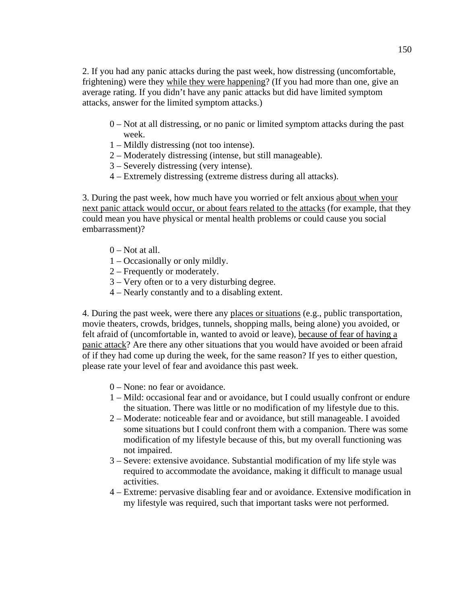2. If you had any panic attacks during the past week, how distressing (uncomfortable, frightening) were they while they were happening? (If you had more than one, give an average rating. If you didn't have any panic attacks but did have limited symptom attacks, answer for the limited symptom attacks.)

- 0 Not at all distressing, or no panic or limited symptom attacks during the past week.
- 1 Mildly distressing (not too intense).
- 2 Moderately distressing (intense, but still manageable).
- 3 Severely distressing (very intense).
- 4 Extremely distressing (extreme distress during all attacks).

3. During the past week, how much have you worried or felt anxious about when your next panic attack would occur, or about fears related to the attacks (for example, that they could mean you have physical or mental health problems or could cause you social embarrassment)?

- $0$  Not at all.
- 1 Occasionally or only mildly.
- 2 Frequently or moderately.
- 3 Very often or to a very disturbing degree.
- 4 Nearly constantly and to a disabling extent.

4. During the past week, were there any places or situations (e.g., public transportation, movie theaters, crowds, bridges, tunnels, shopping malls, being alone) you avoided, or felt afraid of (uncomfortable in, wanted to avoid or leave), because of fear of having a panic attack? Are there any other situations that you would have avoided or been afraid of if they had come up during the week, for the same reason? If yes to either question, please rate your level of fear and avoidance this past week.

- 0 None: no fear or avoidance.
- 1 Mild: occasional fear and or avoidance, but I could usually confront or endure the situation. There was little or no modification of my lifestyle due to this.
- 2 Moderate: noticeable fear and or avoidance, but still manageable. I avoided some situations but I could confront them with a companion. There was some modification of my lifestyle because of this, but my overall functioning was not impaired.
- 3 Severe: extensive avoidance. Substantial modification of my life style was required to accommodate the avoidance, making it difficult to manage usual activities.
- 4 Extreme: pervasive disabling fear and or avoidance. Extensive modification in my lifestyle was required, such that important tasks were not performed.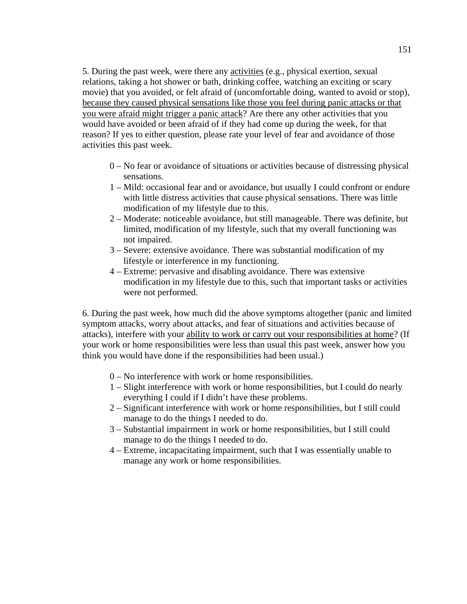5. During the past week, were there any activities (e.g., physical exertion, sexual relations, taking a hot shower or bath, drinking coffee, watching an exciting or scary movie) that you avoided, or felt afraid of (uncomfortable doing, wanted to avoid or stop), because they caused physical sensations like those you feel during panic attacks or that you were afraid might trigger a panic attack? Are there any other activities that you would have avoided or been afraid of if they had come up during the week, for that reason? If yes to either question, please rate your level of fear and avoidance of those activities this past week.

- 0 No fear or avoidance of situations or activities because of distressing physical sensations.
- 1 Mild: occasional fear and or avoidance, but usually I could confront or endure with little distress activities that cause physical sensations. There was little modification of my lifestyle due to this.
- 2 Moderate: noticeable avoidance, but still manageable. There was definite, but limited, modification of my lifestyle, such that my overall functioning was not impaired.
- 3 Severe: extensive avoidance. There was substantial modification of my lifestyle or interference in my functioning.
- 4 Extreme: pervasive and disabling avoidance. There was extensive modification in my lifestyle due to this, such that important tasks or activities were not performed.

6. During the past week, how much did the above symptoms altogether (panic and limited symptom attacks, worry about attacks, and fear of situations and activities because of attacks), interfere with your ability to work or carry out your responsibilities at home? (If your work or home responsibilities were less than usual this past week, answer how you think you would have done if the responsibilities had been usual.)

- 0 No interference with work or home responsibilities.
- 1 Slight interference with work or home responsibilities, but I could do nearly everything I could if I didn't have these problems.
- 2 Significant interference with work or home responsibilities, but I still could manage to do the things I needed to do.
- 3 Substantial impairment in work or home responsibilities, but I still could manage to do the things I needed to do.
- 4 Extreme, incapacitating impairment, such that I was essentially unable to manage any work or home responsibilities.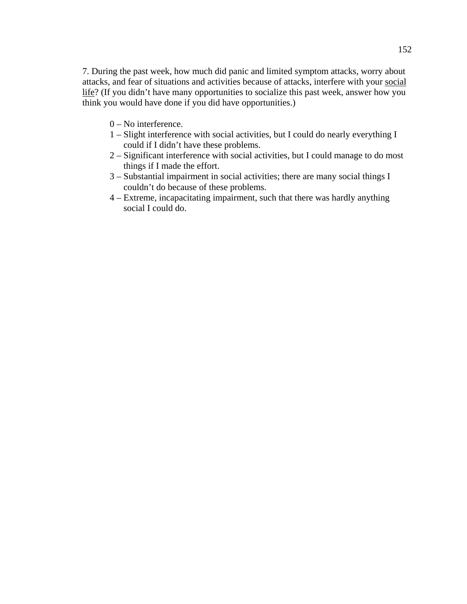7. During the past week, how much did panic and limited symptom attacks, worry about attacks, and fear of situations and activities because of attacks, interfere with your social life? (If you didn't have many opportunities to socialize this past week, answer how you think you would have done if you did have opportunities.)

- 0 No interference.
- 1 Slight interference with social activities, but I could do nearly everything I could if I didn't have these problems.
- 2 Significant interference with social activities, but I could manage to do most things if I made the effort.
- 3 Substantial impairment in social activities; there are many social things I couldn't do because of these problems.
- 4 Extreme, incapacitating impairment, such that there was hardly anything social I could do.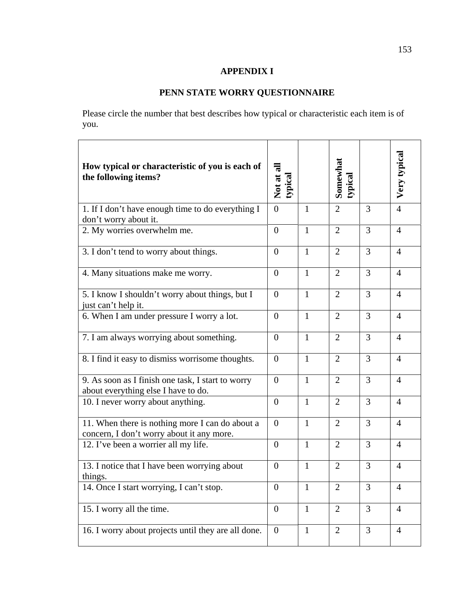# **APPENDIX I**

# **PENN STATE WORRY QUESTIONNAIRE**

Please circle the number that best describes how typical or characteristic each item is of you.

| How typical or characteristic of you is each of<br>the following items?                      | Not at all<br>typical |              | Somewhat<br>typical |                | Very typical   |
|----------------------------------------------------------------------------------------------|-----------------------|--------------|---------------------|----------------|----------------|
| 1. If I don't have enough time to do everything I<br>don't worry about it.                   | $\overline{0}$        | $\mathbf{1}$ | $\overline{2}$      | 3              | $\overline{4}$ |
| 2. My worries overwhelm me.                                                                  | $\overline{0}$        | $\mathbf{1}$ | $\overline{2}$      | 3              | $\overline{4}$ |
| 3. I don't tend to worry about things.                                                       | $\overline{0}$        | $\mathbf{1}$ | $\overline{2}$      | 3              | $\overline{4}$ |
| 4. Many situations make me worry.                                                            | $\overline{0}$        | $\mathbf{1}$ | $\overline{2}$      | 3              | $\overline{4}$ |
| 5. I know I shouldn't worry about things, but I<br>just can't help it.                       | $\theta$              | $\mathbf{1}$ | $\overline{2}$      | 3              | $\overline{4}$ |
| 6. When I am under pressure I worry a lot.                                                   | $\overline{0}$        | $\mathbf{1}$ | $\overline{2}$      | 3              | $\overline{4}$ |
| 7. I am always worrying about something.                                                     | $\overline{0}$        | $\mathbf{1}$ | $\overline{2}$      | 3              | $\overline{4}$ |
| 8. I find it easy to dismiss worrisome thoughts.                                             | $\theta$              | $\mathbf{1}$ | $\overline{2}$      | 3              | $\overline{4}$ |
| 9. As soon as I finish one task, I start to worry<br>about everything else I have to do.     | $\theta$              | $\mathbf{1}$ | $\overline{2}$      | 3              | $\overline{4}$ |
| 10. I never worry about anything.                                                            | $\overline{0}$        | $\mathbf{1}$ | $\overline{2}$      | $\overline{3}$ | $\overline{4}$ |
| 11. When there is nothing more I can do about a<br>concern, I don't worry about it any more. | $\theta$              | $\mathbf{1}$ | $\overline{2}$      | 3              | $\overline{4}$ |
| 12. I've been a worrier all my life.                                                         | $\theta$              | $\mathbf{1}$ | $\overline{2}$      | 3              | $\overline{4}$ |
| 13. I notice that I have been worrying about<br>things.                                      | $\overline{0}$        | $\mathbf{1}$ | $\overline{2}$      | 3              | $\overline{4}$ |
| 14. Once I start worrying, I can't stop.                                                     | $\boldsymbol{0}$      | $\mathbf{1}$ | $\overline{2}$      | 3              | $\overline{4}$ |
| 15. I worry all the time.                                                                    | $\boldsymbol{0}$      | $\mathbf{1}$ | $\overline{2}$      | $\overline{3}$ | $\overline{4}$ |
| 16. I worry about projects until they are all done.                                          | $\overline{0}$        | $\mathbf{1}$ | $\overline{2}$      | $\overline{3}$ | $\overline{4}$ |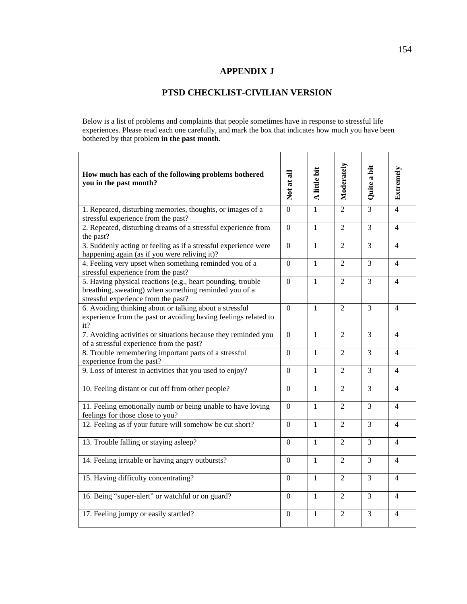#### **APPENDIX J**

# **PTSD CHECKLIST-CIVILIAN VERSION**

Below is a list of problems and complaints that people sometimes have in response to stressful life experiences. Please read each one carefully, and mark the box that indicates how much you have been bothered by that problem **in the past month**.

 $\Gamma$ 

| How much has each of the following problems bothered<br>you in the past month?                                                                              | Not at all       | A little bit | Moderately     | Quite a bit    | Extremely      |
|-------------------------------------------------------------------------------------------------------------------------------------------------------------|------------------|--------------|----------------|----------------|----------------|
| 1. Repeated, disturbing memories, thoughts, or images of a<br>stressful experience from the past?                                                           | $\overline{0}$   | $\mathbf{1}$ | $\overline{2}$ | $\overline{3}$ | $\overline{4}$ |
| 2. Repeated, disturbing dreams of a stressful experience from<br>the past?                                                                                  | $\boldsymbol{0}$ | $\mathbf{1}$ | $\overline{2}$ | 3              | $\overline{4}$ |
| 3. Suddenly acting or feeling as if a stressful experience were<br>happening again (as if you were reliving it)?                                            | $\overline{0}$   | $\mathbf{1}$ | $\overline{2}$ | $\overline{3}$ | $\overline{4}$ |
| 4. Feeling very upset when something reminded you of a<br>stressful experience from the past?                                                               | $\overline{0}$   | $\mathbf{1}$ | $\overline{2}$ | 3              | $\overline{4}$ |
| 5. Having physical reactions (e.g., heart pounding, trouble<br>breathing, sweating) when something reminded you of a<br>stressful experience from the past? | $\overline{0}$   | $\mathbf{1}$ | $\overline{2}$ | $\overline{3}$ | $\overline{4}$ |
| 6. Avoiding thinking about or talking about a stressful<br>experience from the past or avoiding having feelings related to<br>it?                           | $\overline{0}$   | $\mathbf{1}$ | $\overline{2}$ | 3              | $\overline{4}$ |
| 7. Avoiding activities or situations because they reminded you<br>of a stressful experience from the past?                                                  | $\overline{0}$   | $\mathbf{1}$ | $\overline{2}$ | $\overline{3}$ | $\overline{4}$ |
| 8. Trouble remembering important parts of a stressful<br>experience from the past?                                                                          | $\mathbf{0}$     | $\mathbf{1}$ | $\overline{2}$ | 3              | $\overline{4}$ |
| 9. Loss of interest in activities that you used to enjoy?                                                                                                   | $\theta$         | $\mathbf{1}$ | $\overline{2}$ | $\overline{3}$ | $\overline{4}$ |
| 10. Feeling distant or cut off from other people?                                                                                                           | $\theta$         | 1            | $\overline{2}$ | 3              | $\overline{4}$ |
| 11. Feeling emotionally numb or being unable to have loving<br>feelings for those close to you?                                                             | $\overline{0}$   | $\mathbf{1}$ | $\overline{2}$ | $\overline{3}$ | $\overline{4}$ |
| 12. Feeling as if your future will somehow be cut short?                                                                                                    | $\overline{0}$   | $\mathbf{1}$ | $\overline{2}$ | 3              | $\overline{4}$ |
| 13. Trouble falling or staying asleep?                                                                                                                      | $\mathbf{0}$     | $\mathbf{1}$ | $\overline{2}$ | $\overline{3}$ | $\overline{4}$ |
| 14. Feeling irritable or having angry outbursts?                                                                                                            | $\overline{0}$   | $\mathbf{1}$ | $\overline{2}$ | 3              | $\overline{4}$ |
| 15. Having difficulty concentrating?                                                                                                                        | $\overline{0}$   | $\mathbf{1}$ | $\overline{2}$ | $\overline{3}$ | $\overline{4}$ |
| 16. Being "super-alert" or watchful or on guard?                                                                                                            | $\overline{0}$   | $\mathbf{1}$ | $\overline{2}$ | $\overline{3}$ | $\overline{4}$ |
| 17. Feeling jumpy or easily startled?                                                                                                                       | $\overline{0}$   | $\mathbf{1}$ | $\overline{2}$ | 3              | $\overline{4}$ |